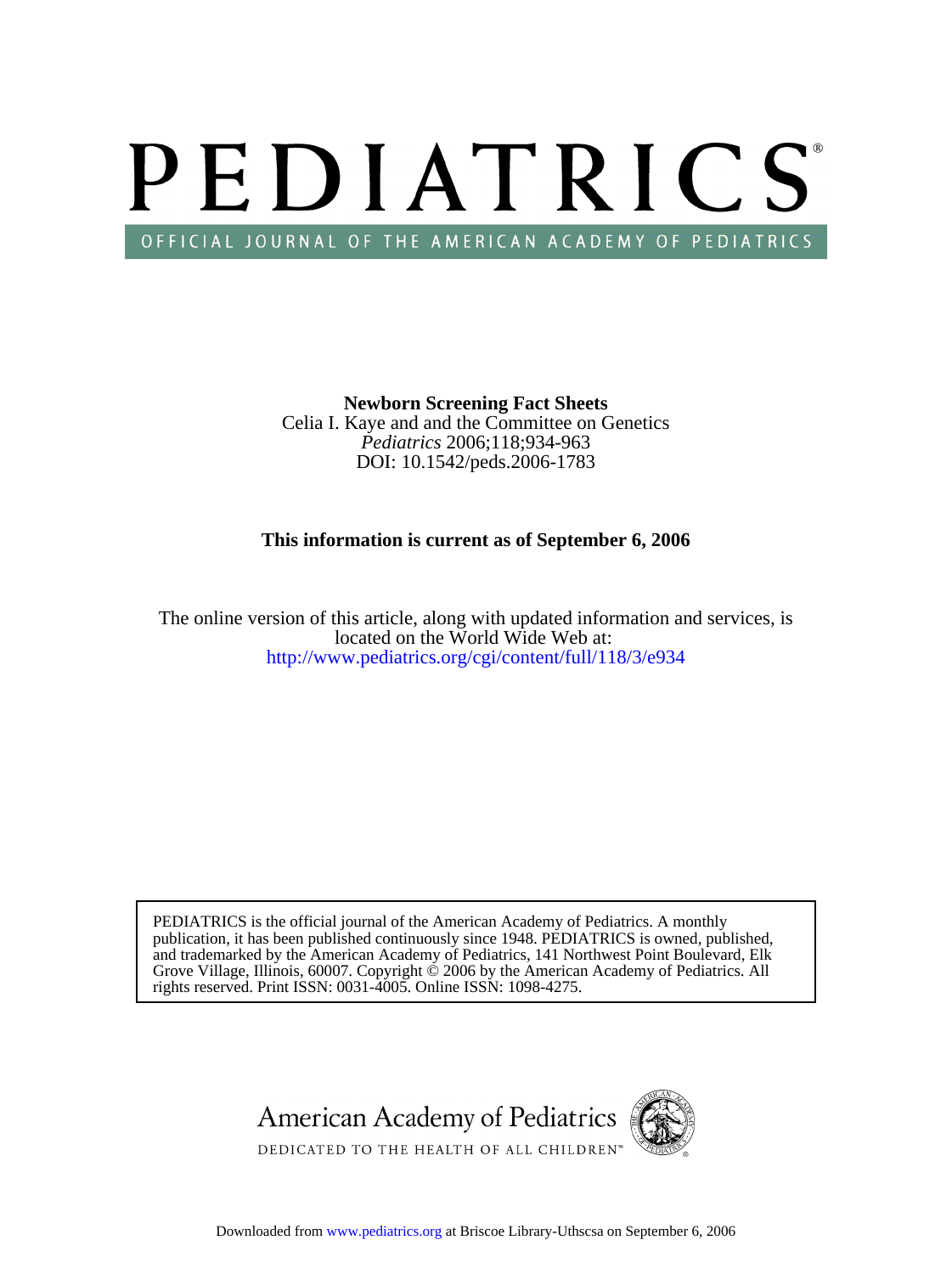# PEDIATRICS OFFICIAL JOURNAL OF THE AMERICAN ACADEMY OF PEDIATRICS

DOI: 10.1542/peds.2006-1783 *Pediatrics* 2006;118;934-963 Celia I. Kaye and and the Committee on Genetics **Newborn Screening Fact Sheets**

### **This information is current as of September 6, 2006**

<http://www.pediatrics.org/cgi/content/full/118/3/e934> located on the World Wide Web at: The online version of this article, along with updated information and services, is

rights reserved. Print ISSN: 0031-4005. Online ISSN: 1098-4275. Grove Village, Illinois, 60007. Copyright  $\ddot{\odot}$  2006 by the American Academy of Pediatrics. All and trademarked by the American Academy of Pediatrics, 141 Northwest Point Boulevard, Elk publication, it has been published continuously since 1948. PEDIATRICS is owned, published, PEDIATRICS is the official journal of the American Academy of Pediatrics. A monthly

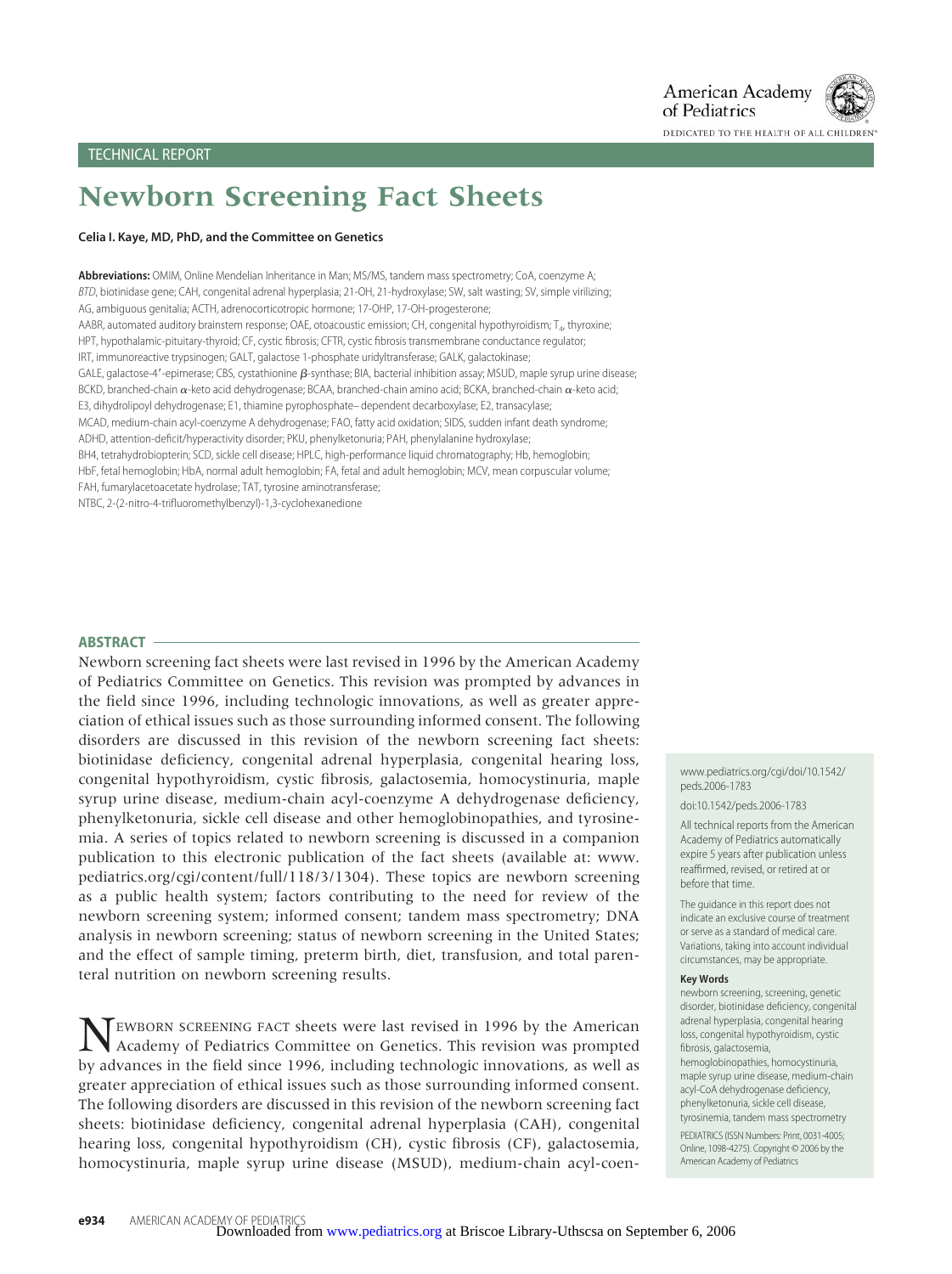tyrosinemia, tandem mass spectrometry PEDIATRICS (ISSN Numbers: Print, 0031-4005; Online, 1098-4275). Copyright © 2006 by the American Academy of Pediatrics

fibrosis, galactosemia,

TECHNICAL REPORT

## **Newborn Screening Fact Sheets**

#### **Celia I. Kaye, MD, PhD, and the Committee on Genetics**

**Abbreviations:** OMIM, Online Mendelian Inheritance in Man; MS/MS, tandem mass spectrometry; CoA, coenzyme A; BTD, biotinidase gene; CAH, congenital adrenal hyperplasia; 21-OH, 21-hydroxylase; SW, salt wasting; SV, simple virilizing; AG, ambiguous genitalia; ACTH, adrenocorticotropic hormone; 17-OHP, 17-OH-progesterone; AABR, automated auditory brainstem response; OAE, otoacoustic emission; CH, congenital hypothyroidism; T<sub>4</sub>, thyroxine; HPT, hypothalamic-pituitary-thyroid; CF, cystic fibrosis; CFTR, cystic fibrosis transmembrane conductance regulator; IRT, immunoreactive trypsinogen; GALT, galactose 1-phosphate uridyltransferase; GALK, galactokinase; GALE, galactose-4'-epimerase; CBS, cystathionine  $\beta$ -synthase; BIA, bacterial inhibition assay; MSUD, maple syrup urine disease; BCKD, branched-chain  $\alpha$ -keto acid dehydrogenase; BCAA, branched-chain amino acid; BCKA, branched-chain  $\alpha$ -keto acid; E3, dihydrolipoyl dehydrogenase; E1, thiamine pyrophosphate–dependent decarboxylase; E2, transacylase; MCAD, medium-chain acyl-coenzyme A dehydrogenase; FAO, fatty acid oxidation; SIDS, sudden infant death syndrome; ADHD, attention-deficit/hyperactivity disorder; PKU, phenylketonuria; PAH, phenylalanine hydroxylase; BH4, tetrahydrobiopterin; SCD, sickle cell disease; HPLC, high-performance liquid chromatography; Hb, hemoglobin; HbF, fetal hemoglobin; HbA, normal adult hemoglobin; FA, fetal and adult hemoglobin; MCV, mean corpuscular volume; FAH, fumarylacetoacetate hydrolase; TAT, tyrosine aminotransferase; NTBC, 2-(2-nitro-4-trifluoromethylbenzyl)-1,3-cyclohexanedione

#### **ABSTRACT**

Newborn screening fact sheets were last revised in 1996 by the American Academy of Pediatrics Committee on Genetics. This revision was prompted by advances in the field since 1996, including technologic innovations, as well as greater appreciation of ethical issues such as those surrounding informed consent. The following disorders are discussed in this revision of the newborn screening fact sheets: biotinidase deficiency, congenital adrenal hyperplasia, congenital hearing loss, congenital hypothyroidism, cystic fibrosis, galactosemia, homocystinuria, maple syrup urine disease, medium-chain acyl-coenzyme A dehydrogenase deficiency, phenylketonuria, sickle cell disease and other hemoglobinopathies, and tyrosinemia. A series of topics related to newborn screening is discussed in a companion publication to this electronic publication of the fact sheets (available at: www. pediatrics.org/cgi/content/full/118/3/1304). These topics are newborn screening as a public health system; factors contributing to the need for review of the newborn screening system; informed consent; tandem mass spectrometry; DNA analysis in newborn screening; status of newborn screening in the United States; and the effect of sample timing, preterm birth, diet, transfusion, and total parenteral nutrition on newborn screening results.

NEWBORN SCREENING FACT sheets were last revised in 1996 by the American Academy of Pediatrics Committee on Genetics. This revision was prompted by advances in the field since 1996, including technologic innovations, as well as greater appreciation of ethical issues such as those surrounding informed consent. The following disorders are discussed in this revision of the newborn screening fact sheets: biotinidase deficiency, congenital adrenal hyperplasia (CAH), congenital hearing loss, congenital hypothyroidism (CH), cystic fibrosis (CF), galactosemia, homocystinuria, maple syrup urine disease (MSUD), medium-chain acyl-coen-

www.pediatrics.org/cgi/doi/10.1542/ peds.2006-1783

doi:10.1542/peds.2006-1783

All technical reports from the American Academy of Pediatrics automatically expire 5 years after publication unless reaffirmed, revised, or retired at or before that time.

The guidance in this report does not indicate an exclusive course of treatment or serve as a standard of medical care. Variations, taking into account individual circumstances, may be appropriate.

disorder, biotinidase deficiency, congenital adrenal hyperplasia, congenital hearing loss, congenital hypothyroidism, cystic

hemoglobinopathies, homocystinuria,

#### **Key Words** newborn screening, screening, genetic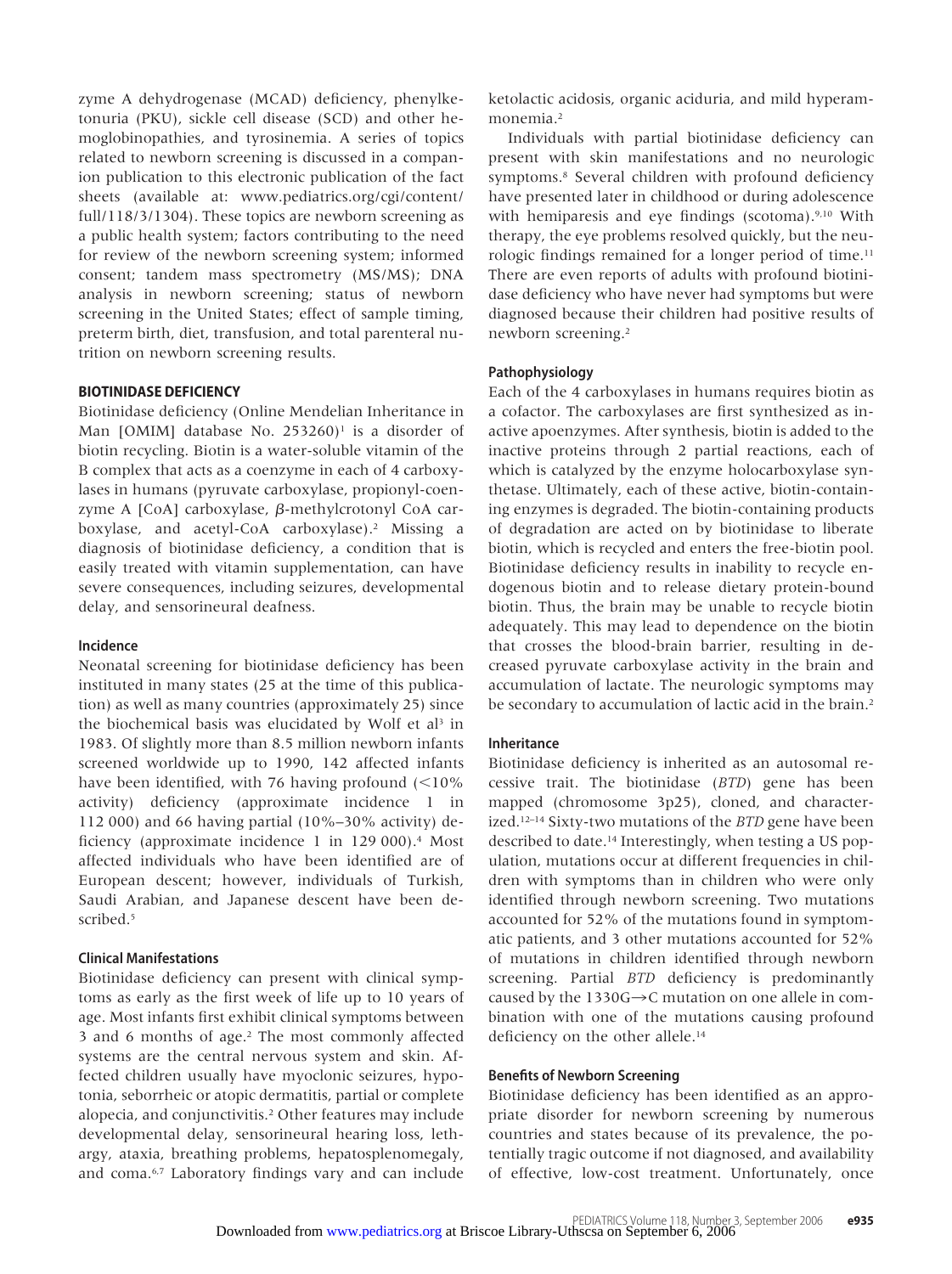zyme A dehydrogenase (MCAD) deficiency, phenylketonuria (PKU), sickle cell disease (SCD) and other hemoglobinopathies, and tyrosinemia. A series of topics related to newborn screening is discussed in a companion publication to this electronic publication of the fact sheets (available at: www.pediatrics.org/cgi/content/ full/118/3/1304). These topics are newborn screening as a public health system; factors contributing to the need for review of the newborn screening system; informed consent; tandem mass spectrometry (MS/MS); DNA analysis in newborn screening; status of newborn screening in the United States; effect of sample timing, preterm birth, diet, transfusion, and total parenteral nutrition on newborn screening results.

#### **BIOTINIDASE DEFICIENCY**

Biotinidase deficiency (Online Mendelian Inheritance in Man [OMIM] database No. 253260)<sup>1</sup> is a disorder of biotin recycling. Biotin is a water-soluble vitamin of the B complex that acts as a coenzyme in each of 4 carboxylases in humans (pyruvate carboxylase, propionyl-coenzyme A  $[CoAl]$  carboxylase,  $\beta$ -methylcrotonyl CoA carboxylase, and acetyl-CoA carboxylase).2 Missing a diagnosis of biotinidase deficiency, a condition that is easily treated with vitamin supplementation, can have severe consequences, including seizures, developmental delay, and sensorineural deafness.

#### **Incidence**

Neonatal screening for biotinidase deficiency has been instituted in many states (25 at the time of this publication) as well as many countries (approximately 25) since the biochemical basis was elucidated by Wolf et al<sup>3</sup> in 1983. Of slightly more than 8.5 million newborn infants screened worldwide up to 1990, 142 affected infants have been identified, with 76 having profound  $($ <br/>10% activity) deficiency (approximate incidence 1 in 112 000) and 66 having partial (10%–30% activity) deficiency (approximate incidence 1 in 129 000).4 Most affected individuals who have been identified are of European descent; however, individuals of Turkish, Saudi Arabian, and Japanese descent have been described<sup>5</sup>

#### **Clinical Manifestations**

Biotinidase deficiency can present with clinical symptoms as early as the first week of life up to 10 years of age. Most infants first exhibit clinical symptoms between 3 and 6 months of age.2 The most commonly affected systems are the central nervous system and skin. Affected children usually have myoclonic seizures, hypotonia, seborrheic or atopic dermatitis, partial or complete alopecia, and conjunctivitis.2 Other features may include developmental delay, sensorineural hearing loss, lethargy, ataxia, breathing problems, hepatosplenomegaly, and coma.6,7 Laboratory findings vary and can include

ketolactic acidosis, organic aciduria, and mild hyperammonemia.2

Individuals with partial biotinidase deficiency can present with skin manifestations and no neurologic symptoms.<sup>8</sup> Several children with profound deficiency have presented later in childhood or during adolescence with hemiparesis and eye findings (scotoma).<sup>9,10</sup> With therapy, the eye problems resolved quickly, but the neurologic findings remained for a longer period of time.11 There are even reports of adults with profound biotinidase deficiency who have never had symptoms but were diagnosed because their children had positive results of newborn screening.2

#### **Pathophysiology**

Each of the 4 carboxylases in humans requires biotin as a cofactor. The carboxylases are first synthesized as inactive apoenzymes. After synthesis, biotin is added to the inactive proteins through 2 partial reactions, each of which is catalyzed by the enzyme holocarboxylase synthetase. Ultimately, each of these active, biotin-containing enzymes is degraded. The biotin-containing products of degradation are acted on by biotinidase to liberate biotin, which is recycled and enters the free-biotin pool. Biotinidase deficiency results in inability to recycle endogenous biotin and to release dietary protein-bound biotin. Thus, the brain may be unable to recycle biotin adequately. This may lead to dependence on the biotin that crosses the blood-brain barrier, resulting in decreased pyruvate carboxylase activity in the brain and accumulation of lactate. The neurologic symptoms may be secondary to accumulation of lactic acid in the brain.<sup>2</sup>

#### **Inheritance**

Biotinidase deficiency is inherited as an autosomal recessive trait. The biotinidase (*BTD*) gene has been mapped (chromosome 3p25), cloned, and characterized.12–14 Sixty-two mutations of the *BTD* gene have been described to date.14 Interestingly, when testing a US population, mutations occur at different frequencies in children with symptoms than in children who were only identified through newborn screening. Two mutations accounted for 52% of the mutations found in symptomatic patients, and 3 other mutations accounted for 52% of mutations in children identified through newborn screening. Partial *BTD* deficiency is predominantly caused by the 1330G $\rightarrow$ C mutation on one allele in combination with one of the mutations causing profound deficiency on the other allele.14

#### **Benefits of Newborn Screening**

Biotinidase deficiency has been identified as an appropriate disorder for newborn screening by numerous countries and states because of its prevalence, the potentially tragic outcome if not diagnosed, and availability of effective, low-cost treatment. Unfortunately, once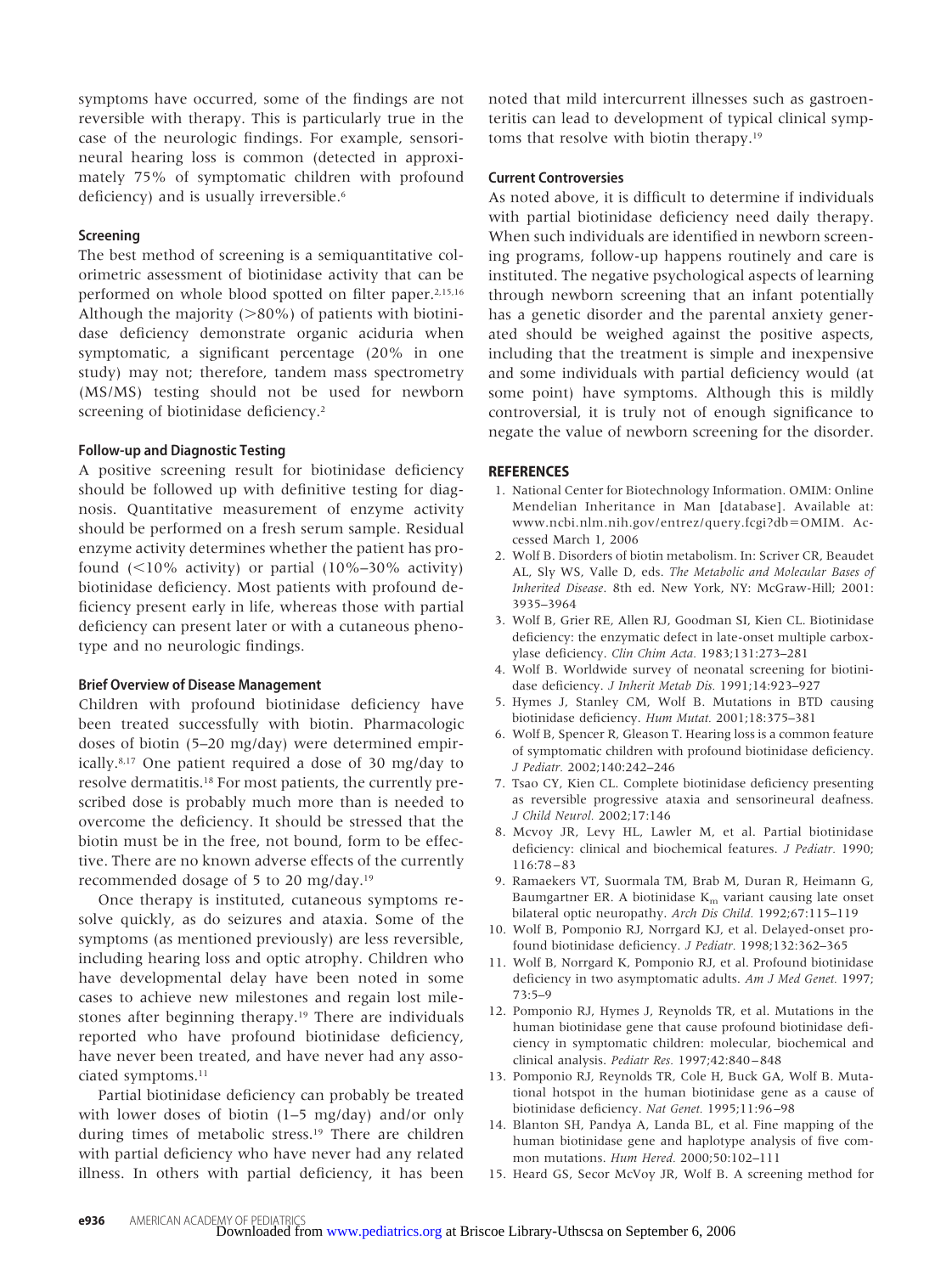symptoms have occurred, some of the findings are not reversible with therapy. This is particularly true in the case of the neurologic findings. For example, sensorineural hearing loss is common (detected in approximately 75% of symptomatic children with profound deficiency) and is usually irreversible.<sup>6</sup>

#### **Screening**

The best method of screening is a semiquantitative colorimetric assessment of biotinidase activity that can be performed on whole blood spotted on filter paper.2,15,16 Although the majority  $(>80\%)$  of patients with biotinidase deficiency demonstrate organic aciduria when symptomatic, a significant percentage (20% in one study) may not; therefore, tandem mass spectrometry (MS/MS) testing should not be used for newborn screening of biotinidase deficiency.<sup>2</sup>

#### **Follow-up and Diagnostic Testing**

A positive screening result for biotinidase deficiency should be followed up with definitive testing for diagnosis. Quantitative measurement of enzyme activity should be performed on a fresh serum sample. Residual enzyme activity determines whether the patient has profound  $($  <10% activity) or partial  $(10\% - 30\%$  activity) biotinidase deficiency. Most patients with profound deficiency present early in life, whereas those with partial deficiency can present later or with a cutaneous phenotype and no neurologic findings.

#### **Brief Overview of Disease Management**

Children with profound biotinidase deficiency have been treated successfully with biotin. Pharmacologic doses of biotin (5–20 mg/day) were determined empirically.8,17 One patient required a dose of 30 mg/day to resolve dermatitis.18 For most patients, the currently prescribed dose is probably much more than is needed to overcome the deficiency. It should be stressed that the biotin must be in the free, not bound, form to be effective. There are no known adverse effects of the currently recommended dosage of 5 to 20 mg/day.19

Once therapy is instituted, cutaneous symptoms resolve quickly, as do seizures and ataxia. Some of the symptoms (as mentioned previously) are less reversible, including hearing loss and optic atrophy. Children who have developmental delay have been noted in some cases to achieve new milestones and regain lost milestones after beginning therapy.19 There are individuals reported who have profound biotinidase deficiency, have never been treated, and have never had any associated symptoms.11

Partial biotinidase deficiency can probably be treated with lower doses of biotin (1–5 mg/day) and/or only during times of metabolic stress.<sup>19</sup> There are children with partial deficiency who have never had any related illness. In others with partial deficiency, it has been noted that mild intercurrent illnesses such as gastroenteritis can lead to development of typical clinical symptoms that resolve with biotin therapy.19

#### **Current Controversies**

As noted above, it is difficult to determine if individuals with partial biotinidase deficiency need daily therapy. When such individuals are identified in newborn screening programs, follow-up happens routinely and care is instituted. The negative psychological aspects of learning through newborn screening that an infant potentially has a genetic disorder and the parental anxiety generated should be weighed against the positive aspects, including that the treatment is simple and inexpensive and some individuals with partial deficiency would (at some point) have symptoms. Although this is mildly controversial, it is truly not of enough significance to negate the value of newborn screening for the disorder.

#### **REFERENCES**

- 1. National Center for Biotechnology Information. OMIM: Online Mendelian Inheritance in Man [database]. Available at: www.ncbi.nlm.nih.gov/entrez/query.fcgi?db=OMIM. Accessed March 1, 2006
- 2. Wolf B. Disorders of biotin metabolism. In: Scriver CR, Beaudet AL, Sly WS, Valle D, eds. *The Metabolic and Molecular Bases of Inherited Disease*. 8th ed. New York, NY: McGraw-Hill; 2001: 3935–3964
- 3. Wolf B, Grier RE, Allen RJ, Goodman SI, Kien CL. Biotinidase deficiency: the enzymatic defect in late-onset multiple carboxylase deficiency. *Clin Chim Acta.* 1983;131:273–281
- 4. Wolf B. Worldwide survey of neonatal screening for biotinidase deficiency. *J Inherit Metab Dis.* 1991;14:923–927
- 5. Hymes J, Stanley CM, Wolf B. Mutations in BTD causing biotinidase deficiency. *Hum Mutat.* 2001;18:375–381
- 6. Wolf B, Spencer R, Gleason T. Hearing loss is a common feature of symptomatic children with profound biotinidase deficiency. *J Pediatr.* 2002;140:242–246
- 7. Tsao CY, Kien CL. Complete biotinidase deficiency presenting as reversible progressive ataxia and sensorineural deafness. *J Child Neurol.* 2002;17:146
- 8. Mcvoy JR, Levy HL, Lawler M, et al. Partial biotinidase deficiency: clinical and biochemical features. *J Pediatr.* 1990; 116:78 – 83
- 9. Ramaekers VT, Suormala TM, Brab M, Duran R, Heimann G, Baumgartner ER. A biotinidase  $K_m$  variant causing late onset bilateral optic neuropathy. *Arch Dis Child.* 1992;67:115–119
- 10. Wolf B, Pomponio RJ, Norrgard KJ, et al. Delayed-onset profound biotinidase deficiency. *J Pediatr.* 1998;132:362–365
- 11. Wolf B, Norrgard K, Pomponio RJ, et al. Profound biotinidase deficiency in two asymptomatic adults. *Am J Med Genet.* 1997;  $73.5 - 9$
- 12. Pomponio RJ, Hymes J, Reynolds TR, et al. Mutations in the human biotinidase gene that cause profound biotinidase deficiency in symptomatic children: molecular, biochemical and clinical analysis. *Pediatr Res.* 1997;42:840 – 848
- 13. Pomponio RJ, Reynolds TR, Cole H, Buck GA, Wolf B. Mutational hotspot in the human biotinidase gene as a cause of biotinidase deficiency. *Nat Genet.* 1995;11:96 –98
- 14. Blanton SH, Pandya A, Landa BL, et al. Fine mapping of the human biotinidase gene and haplotype analysis of five common mutations. *Hum Hered.* 2000;50:102–111
- 15. Heard GS, Secor McVoy JR, Wolf B. A screening method for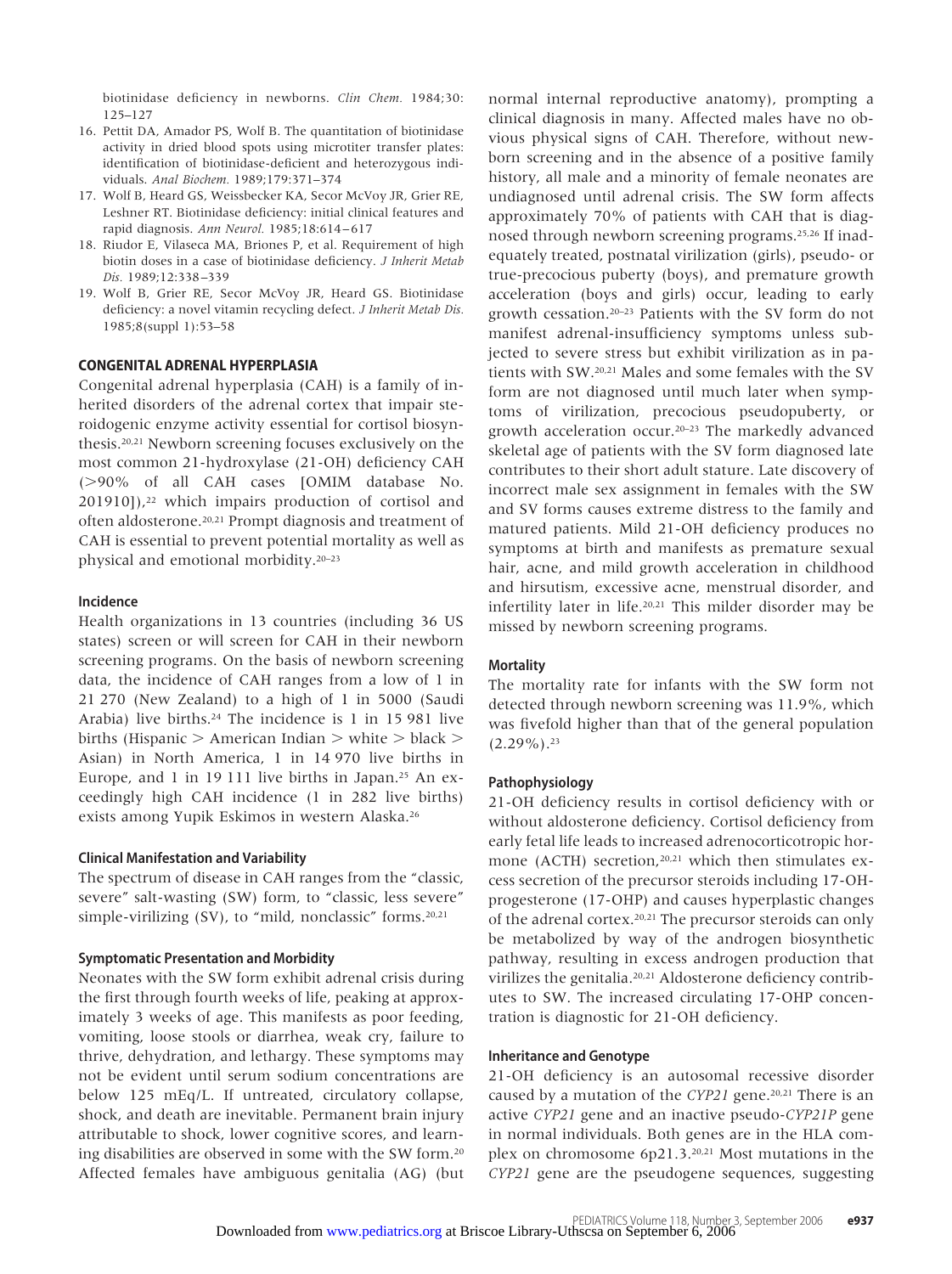biotinidase deficiency in newborns. *Clin Chem.* 1984;30: 125–127

- 16. Pettit DA, Amador PS, Wolf B. The quantitation of biotinidase activity in dried blood spots using microtiter transfer plates: identification of biotinidase-deficient and heterozygous individuals. *Anal Biochem.* 1989;179:371–374
- 17. Wolf B, Heard GS, Weissbecker KA, Secor McVoy JR, Grier RE, Leshner RT. Biotinidase deficiency: initial clinical features and rapid diagnosis. *Ann Neurol.* 1985;18:614 – 617
- 18. Riudor E, Vilaseca MA, Briones P, et al. Requirement of high biotin doses in a case of biotinidase deficiency. *J Inherit Metab Dis.* 1989;12:338 –339
- 19. Wolf B, Grier RE, Secor McVoy JR, Heard GS. Biotinidase deficiency: a novel vitamin recycling defect. *J Inherit Metab Dis.* 1985;8(suppl 1):53–58

#### **CONGENITAL ADRENAL HYPERPLASIA**

Congenital adrenal hyperplasia (CAH) is a family of inherited disorders of the adrenal cortex that impair steroidogenic enzyme activity essential for cortisol biosynthesis.20,21 Newborn screening focuses exclusively on the most common 21-hydroxylase (21-OH) deficiency CAH (90% of all CAH cases [OMIM database No.  $201910$ ]),<sup>22</sup> which impairs production of cortisol and often aldosterone.20,21 Prompt diagnosis and treatment of CAH is essential to prevent potential mortality as well as physical and emotional morbidity.20–23

#### **Incidence**

Health organizations in 13 countries (including 36 US states) screen or will screen for CAH in their newborn screening programs. On the basis of newborn screening data, the incidence of CAH ranges from a low of 1 in 21 270 (New Zealand) to a high of 1 in 5000 (Saudi Arabia) live births.24 The incidence is 1 in 15 981 live births (Hispanic  $>$  American Indian  $>$  white  $>$  black  $>$ Asian) in North America, 1 in 14 970 live births in Europe, and 1 in 19 111 live births in Japan.<sup>25</sup> An exceedingly high CAH incidence (1 in 282 live births) exists among Yupik Eskimos in western Alaska.26

#### **Clinical Manifestation and Variability**

The spectrum of disease in CAH ranges from the "classic, severe" salt-wasting (SW) form, to "classic, less severe" simple-virilizing  $(SV)$ , to "mild, nonclassic" forms.<sup>20,21</sup>

#### **Symptomatic Presentation and Morbidity**

Neonates with the SW form exhibit adrenal crisis during the first through fourth weeks of life, peaking at approximately 3 weeks of age. This manifests as poor feeding, vomiting, loose stools or diarrhea, weak cry, failure to thrive, dehydration, and lethargy. These symptoms may not be evident until serum sodium concentrations are below 125 mEq/L. If untreated, circulatory collapse, shock, and death are inevitable. Permanent brain injury attributable to shock, lower cognitive scores, and learning disabilities are observed in some with the SW form.20 Affected females have ambiguous genitalia (AG) (but

normal internal reproductive anatomy), prompting a clinical diagnosis in many. Affected males have no obvious physical signs of CAH. Therefore, without newborn screening and in the absence of a positive family history, all male and a minority of female neonates are undiagnosed until adrenal crisis. The SW form affects approximately 70% of patients with CAH that is diagnosed through newborn screening programs.25,26 If inadequately treated, postnatal virilization (girls), pseudo- or true-precocious puberty (boys), and premature growth acceleration (boys and girls) occur, leading to early growth cessation.20–23 Patients with the SV form do not manifest adrenal-insufficiency symptoms unless subjected to severe stress but exhibit virilization as in patients with SW.20,21 Males and some females with the SV form are not diagnosed until much later when symptoms of virilization, precocious pseudopuberty, or growth acceleration occur.20–23 The markedly advanced skeletal age of patients with the SV form diagnosed late contributes to their short adult stature. Late discovery of incorrect male sex assignment in females with the SW and SV forms causes extreme distress to the family and matured patients. Mild 21-OH deficiency produces no symptoms at birth and manifests as premature sexual hair, acne, and mild growth acceleration in childhood and hirsutism, excessive acne, menstrual disorder, and infertility later in life.20,21 This milder disorder may be missed by newborn screening programs.

#### **Mortality**

The mortality rate for infants with the SW form not detected through newborn screening was 11.9%, which was fivefold higher than that of the general population  $(2.29\%)$ .<sup>23</sup>

#### **Pathophysiology**

21-OH deficiency results in cortisol deficiency with or without aldosterone deficiency. Cortisol deficiency from early fetal life leads to increased adrenocorticotropic hormone (ACTH) secretion, 20,21 which then stimulates excess secretion of the precursor steroids including 17-OHprogesterone (17-OHP) and causes hyperplastic changes of the adrenal cortex.20,21 The precursor steroids can only be metabolized by way of the androgen biosynthetic pathway, resulting in excess androgen production that virilizes the genitalia.20,21 Aldosterone deficiency contributes to SW. The increased circulating 17-OHP concentration is diagnostic for 21-OH deficiency.

#### **Inheritance and Genotype**

21-OH deficiency is an autosomal recessive disorder caused by a mutation of the *CYP21* gene.<sup>20,21</sup> There is an active *CYP21* gene and an inactive pseudo-*CYP21P* gene in normal individuals. Both genes are in the HLA complex on chromosome 6p21.3.20,21 Most mutations in the *CYP21* gene are the pseudogene sequences, suggesting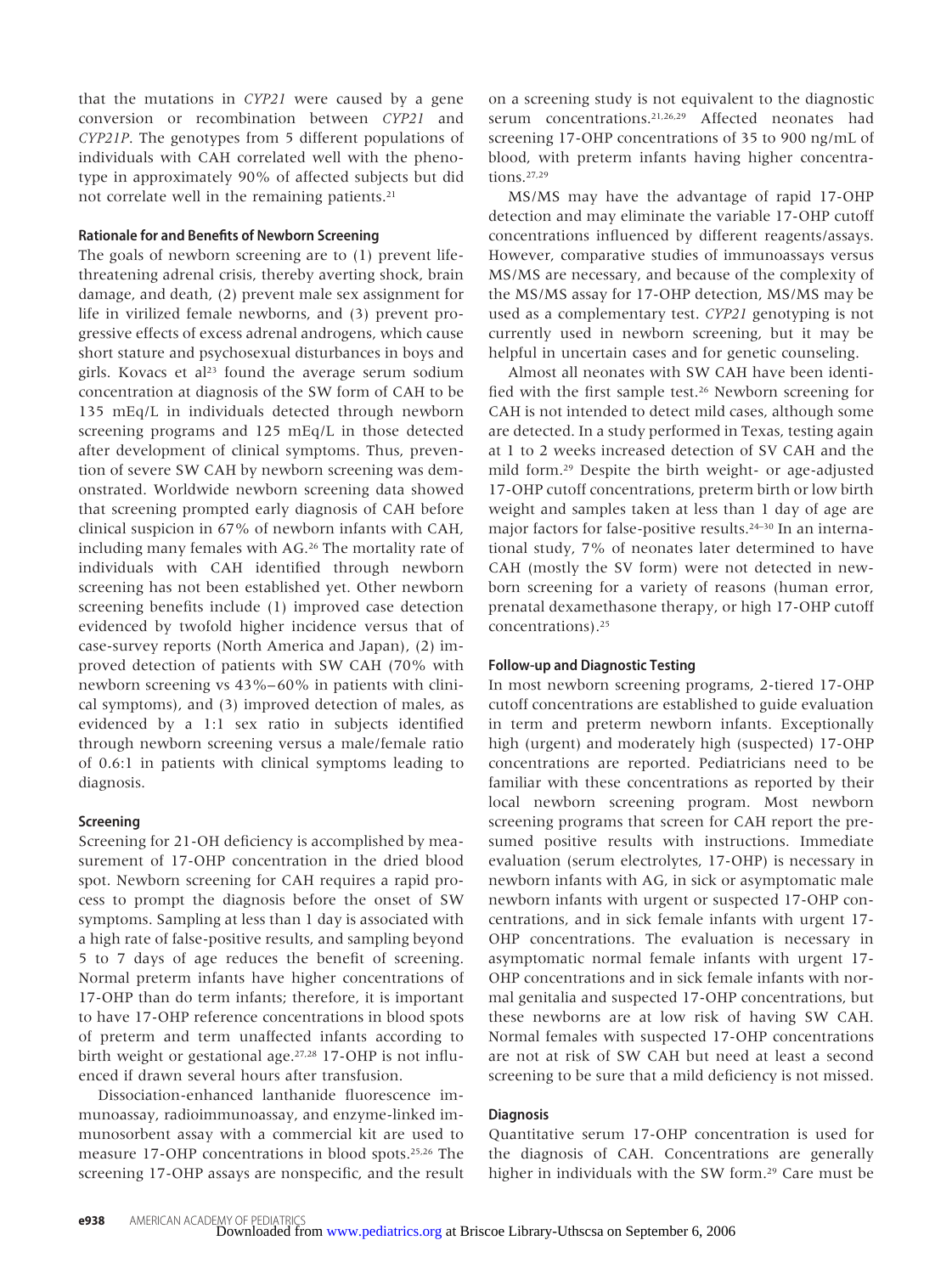that the mutations in *CYP21* were caused by a gene conversion or recombination between *CYP21* and *CYP21P*. The genotypes from 5 different populations of individuals with CAH correlated well with the phenotype in approximately 90% of affected subjects but did not correlate well in the remaining patients.21

#### **Rationale for and Benefits of Newborn Screening**

The goals of newborn screening are to (1) prevent lifethreatening adrenal crisis, thereby averting shock, brain damage, and death, (2) prevent male sex assignment for life in virilized female newborns, and (3) prevent progressive effects of excess adrenal androgens, which cause short stature and psychosexual disturbances in boys and girls. Kovacs et al<sup>23</sup> found the average serum sodium concentration at diagnosis of the SW form of CAH to be 135 mEq/L in individuals detected through newborn screening programs and 125 mEq/L in those detected after development of clinical symptoms. Thus, prevention of severe SW CAH by newborn screening was demonstrated. Worldwide newborn screening data showed that screening prompted early diagnosis of CAH before clinical suspicion in 67% of newborn infants with CAH, including many females with AG.26 The mortality rate of individuals with CAH identified through newborn screening has not been established yet. Other newborn screening benefits include (1) improved case detection evidenced by twofold higher incidence versus that of case-survey reports (North America and Japan), (2) improved detection of patients with SW CAH (70% with newborn screening vs 43%– 60% in patients with clinical symptoms), and (3) improved detection of males, as evidenced by a 1:1 sex ratio in subjects identified through newborn screening versus a male/female ratio of 0.6:1 in patients with clinical symptoms leading to diagnosis.

#### **Screening**

Screening for 21-OH deficiency is accomplished by measurement of 17-OHP concentration in the dried blood spot. Newborn screening for CAH requires a rapid process to prompt the diagnosis before the onset of SW symptoms. Sampling at less than 1 day is associated with a high rate of false-positive results, and sampling beyond 5 to 7 days of age reduces the benefit of screening. Normal preterm infants have higher concentrations of 17-OHP than do term infants; therefore, it is important to have 17-OHP reference concentrations in blood spots of preterm and term unaffected infants according to birth weight or gestational age.27,28 17-OHP is not influenced if drawn several hours after transfusion.

Dissociation-enhanced lanthanide fluorescence immunoassay, radioimmunoassay, and enzyme-linked immunosorbent assay with a commercial kit are used to measure 17-OHP concentrations in blood spots.25,26 The screening 17-OHP assays are nonspecific, and the result

on a screening study is not equivalent to the diagnostic serum concentrations.21,26,29 Affected neonates had screening 17-OHP concentrations of 35 to 900 ng/mL of blood, with preterm infants having higher concentrations.27,29

MS/MS may have the advantage of rapid 17-OHP detection and may eliminate the variable 17-OHP cutoff concentrations influenced by different reagents/assays. However, comparative studies of immunoassays versus MS/MS are necessary, and because of the complexity of the MS/MS assay for 17-OHP detection, MS/MS may be used as a complementary test. *CYP21* genotyping is not currently used in newborn screening, but it may be helpful in uncertain cases and for genetic counseling.

Almost all neonates with SW CAH have been identified with the first sample test.26 Newborn screening for CAH is not intended to detect mild cases, although some are detected. In a study performed in Texas, testing again at 1 to 2 weeks increased detection of SV CAH and the mild form.29 Despite the birth weight- or age-adjusted 17-OHP cutoff concentrations, preterm birth or low birth weight and samples taken at less than 1 day of age are major factors for false-positive results.<sup>24-30</sup> In an international study, 7% of neonates later determined to have CAH (mostly the SV form) were not detected in newborn screening for a variety of reasons (human error, prenatal dexamethasone therapy, or high 17-OHP cutoff concentrations).25

#### **Follow-up and Diagnostic Testing**

In most newborn screening programs, 2-tiered 17-OHP cutoff concentrations are established to guide evaluation in term and preterm newborn infants. Exceptionally high (urgent) and moderately high (suspected) 17-OHP concentrations are reported. Pediatricians need to be familiar with these concentrations as reported by their local newborn screening program. Most newborn screening programs that screen for CAH report the presumed positive results with instructions. Immediate evaluation (serum electrolytes, 17-OHP) is necessary in newborn infants with AG, in sick or asymptomatic male newborn infants with urgent or suspected 17-OHP concentrations, and in sick female infants with urgent 17- OHP concentrations. The evaluation is necessary in asymptomatic normal female infants with urgent 17- OHP concentrations and in sick female infants with normal genitalia and suspected 17-OHP concentrations, but these newborns are at low risk of having SW CAH. Normal females with suspected 17-OHP concentrations are not at risk of SW CAH but need at least a second screening to be sure that a mild deficiency is not missed.

#### **Diagnosis**

Quantitative serum 17-OHP concentration is used for the diagnosis of CAH. Concentrations are generally higher in individuals with the SW form.<sup>29</sup> Care must be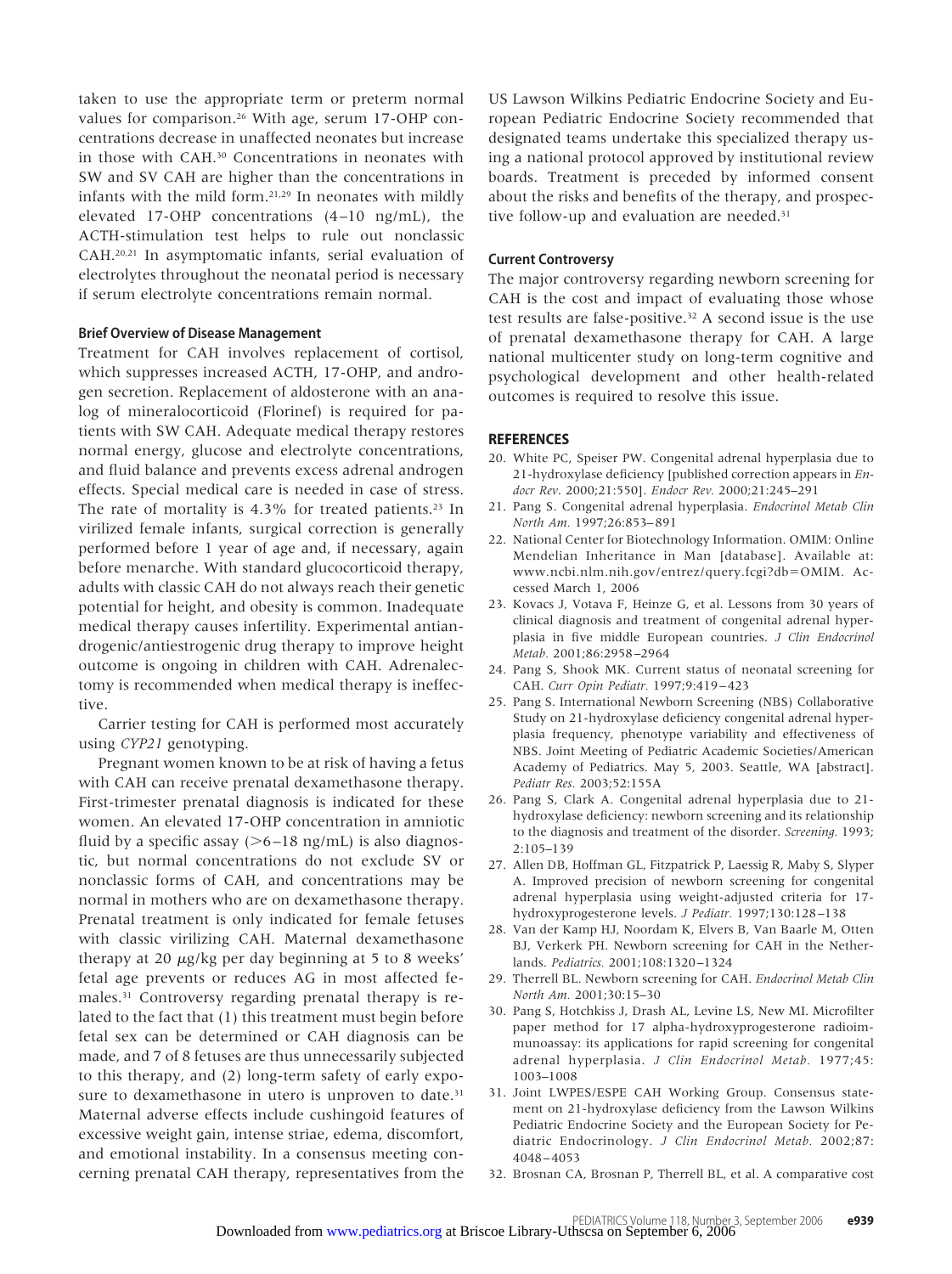taken to use the appropriate term or preterm normal values for comparison.26 With age, serum 17-OHP concentrations decrease in unaffected neonates but increase in those with CAH.30 Concentrations in neonates with SW and SV CAH are higher than the concentrations in infants with the mild form.21,29 In neonates with mildly elevated 17-OHP concentrations (4 –10 ng/mL), the ACTH-stimulation test helps to rule out nonclassic CAH.20,21 In asymptomatic infants, serial evaluation of electrolytes throughout the neonatal period is necessary if serum electrolyte concentrations remain normal.

#### **Brief Overview of Disease Management**

Treatment for CAH involves replacement of cortisol, which suppresses increased ACTH, 17-OHP, and androgen secretion. Replacement of aldosterone with an analog of mineralocorticoid (Florinef) is required for patients with SW CAH. Adequate medical therapy restores normal energy, glucose and electrolyte concentrations, and fluid balance and prevents excess adrenal androgen effects. Special medical care is needed in case of stress. The rate of mortality is  $4.3\%$  for treated patients.<sup>23</sup> In virilized female infants, surgical correction is generally performed before 1 year of age and, if necessary, again before menarche. With standard glucocorticoid therapy, adults with classic CAH do not always reach their genetic potential for height, and obesity is common. Inadequate medical therapy causes infertility. Experimental antiandrogenic/antiestrogenic drug therapy to improve height outcome is ongoing in children with CAH. Adrenalectomy is recommended when medical therapy is ineffective.

Carrier testing for CAH is performed most accurately using *CYP21* genotyping.

Pregnant women known to be at risk of having a fetus with CAH can receive prenatal dexamethasone therapy. First-trimester prenatal diagnosis is indicated for these women. An elevated 17-OHP concentration in amniotic fluid by a specific assay  $(>=6 - 18 \text{ ng/mL})$  is also diagnostic, but normal concentrations do not exclude SV or nonclassic forms of CAH, and concentrations may be normal in mothers who are on dexamethasone therapy. Prenatal treatment is only indicated for female fetuses with classic virilizing CAH. Maternal dexamethasone therapy at 20  $\mu$ g/kg per day beginning at 5 to 8 weeks' fetal age prevents or reduces AG in most affected females.31 Controversy regarding prenatal therapy is related to the fact that (1) this treatment must begin before fetal sex can be determined or CAH diagnosis can be made, and 7 of 8 fetuses are thus unnecessarily subjected to this therapy, and (2) long-term safety of early exposure to dexamethasone in utero is unproven to date.<sup>31</sup> Maternal adverse effects include cushingoid features of excessive weight gain, intense striae, edema, discomfort, and emotional instability. In a consensus meeting concerning prenatal CAH therapy, representatives from the US Lawson Wilkins Pediatric Endocrine Society and European Pediatric Endocrine Society recommended that designated teams undertake this specialized therapy using a national protocol approved by institutional review boards. Treatment is preceded by informed consent about the risks and benefits of the therapy, and prospective follow-up and evaluation are needed.<sup>31</sup>

#### **Current Controversy**

The major controversy regarding newborn screening for CAH is the cost and impact of evaluating those whose test results are false-positive.32 A second issue is the use of prenatal dexamethasone therapy for CAH. A large national multicenter study on long-term cognitive and psychological development and other health-related outcomes is required to resolve this issue.

#### **REFERENCES**

- 20. White PC, Speiser PW. Congenital adrenal hyperplasia due to 21-hydroxylase deficiency [published correction appears in *Endocr Rev*. 2000;21:550]. *Endocr Rev.* 2000;21:245–291
- 21. Pang S. Congenital adrenal hyperplasia. *Endocrinol Metab Clin North Am.* 1997;26:853– 891
- 22. National Center for Biotechnology Information. OMIM: Online Mendelian Inheritance in Man [database]. Available at: www.ncbi.nlm.nih.gov/entrez/query.fcgi?db=OMIM. Accessed March 1, 2006
- 23. Kovacs J, Votava F, Heinze G, et al. Lessons from 30 years of clinical diagnosis and treatment of congenital adrenal hyperplasia in five middle European countries. *J Clin Endocrinol Metab.* 2001;86:2958 –2964
- 24. Pang S, Shook MK. Current status of neonatal screening for CAH. *Curr Opin Pediatr.* 1997;9:419 – 423
- 25. Pang S. International Newborn Screening (NBS) Collaborative Study on 21-hydroxylase deficiency congenital adrenal hyperplasia frequency, phenotype variability and effectiveness of NBS. Joint Meeting of Pediatric Academic Societies/American Academy of Pediatrics. May 5, 2003. Seattle, WA [abstract]. *Pediatr Res.* 2003;52:155A
- 26. Pang S, Clark A. Congenital adrenal hyperplasia due to 21 hydroxylase deficiency: newborn screening and its relationship to the diagnosis and treatment of the disorder. *Screening.* 1993; 2:105–139
- 27. Allen DB, Hoffman GL, Fitzpatrick P, Laessig R, Maby S, Slyper A. Improved precision of newborn screening for congenital adrenal hyperplasia using weight-adjusted criteria for 17 hydroxyprogesterone levels. *J Pediatr.* 1997;130:128 –138
- 28. Van der Kamp HJ, Noordam K, Elvers B, Van Baarle M, Otten BJ, Verkerk PH. Newborn screening for CAH in the Netherlands. *Pediatrics.* 2001;108:1320 –1324
- 29. Therrell BL. Newborn screening for CAH. *Endocrinol Metab Clin North Am.* 2001;30:15–30
- 30. Pang S, Hotchkiss J, Drash AL, Levine LS, New MI. Microfilter paper method for 17 alpha-hydroxyprogesterone radioimmunoassay: its applications for rapid screening for congenital adrenal hyperplasia. *J Clin Endocrinol Metab.* 1977;45: 1003–1008
- 31. Joint LWPES/ESPE CAH Working Group. Consensus statement on 21-hydroxylase deficiency from the Lawson Wilkins Pediatric Endocrine Society and the European Society for Pediatric Endocrinology. *J Clin Endocrinol Metab.* 2002;87: 4048 – 4053
- 32. Brosnan CA, Brosnan P, Therrell BL, et al. A comparative cost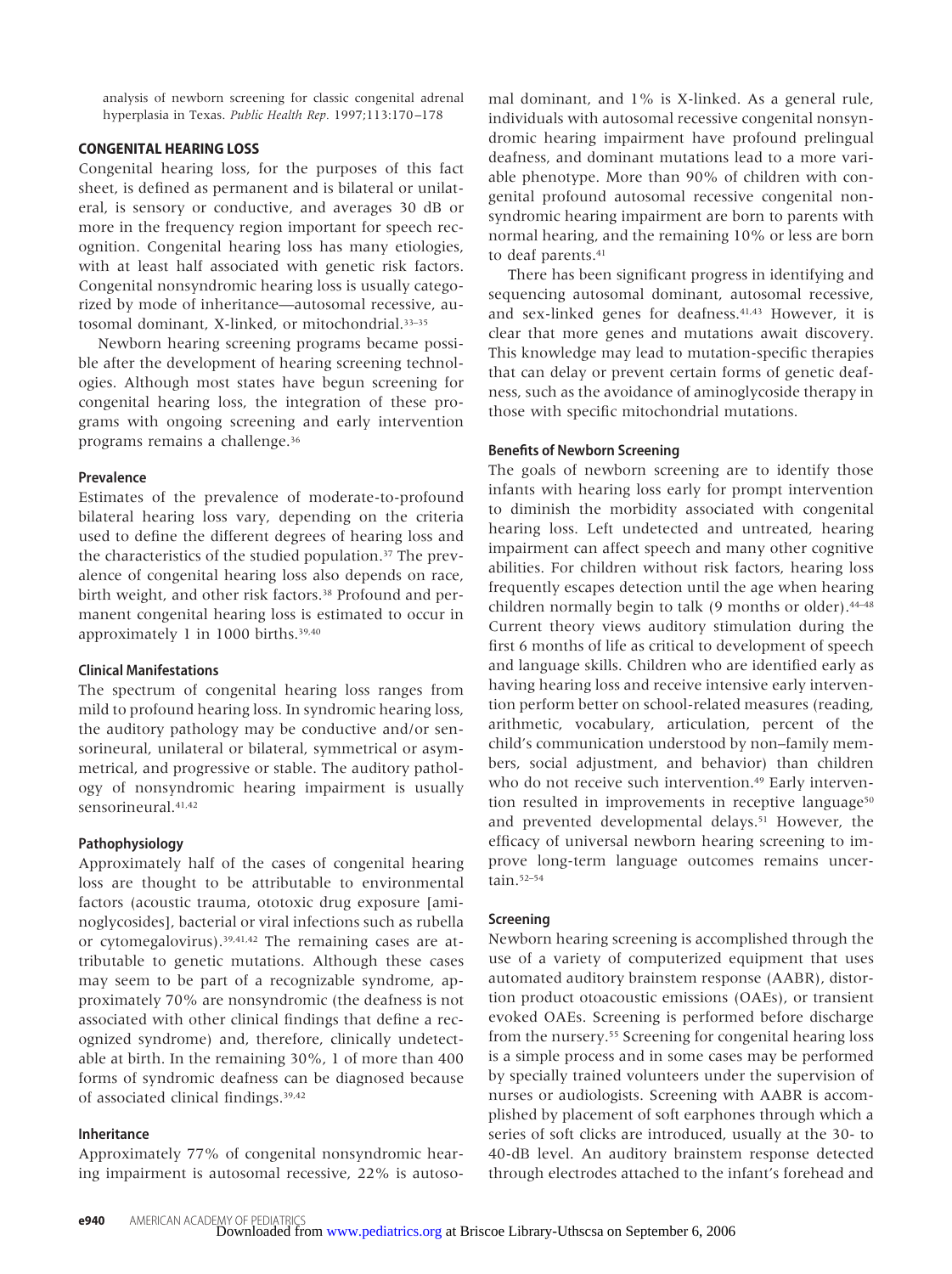analysis of newborn screening for classic congenital adrenal hyperplasia in Texas. *Public Health Rep.* 1997;113:170 –178

#### **CONGENITAL HEARING LOSS**

Congenital hearing loss, for the purposes of this fact sheet, is defined as permanent and is bilateral or unilateral, is sensory or conductive, and averages 30 dB or more in the frequency region important for speech recognition. Congenital hearing loss has many etiologies, with at least half associated with genetic risk factors. Congenital nonsyndromic hearing loss is usually categorized by mode of inheritance—autosomal recessive, autosomal dominant, X-linked, or mitochondrial.33–35

Newborn hearing screening programs became possible after the development of hearing screening technologies. Although most states have begun screening for congenital hearing loss, the integration of these programs with ongoing screening and early intervention programs remains a challenge.36

#### **Prevalence**

Estimates of the prevalence of moderate-to-profound bilateral hearing loss vary, depending on the criteria used to define the different degrees of hearing loss and the characteristics of the studied population.37 The prevalence of congenital hearing loss also depends on race, birth weight, and other risk factors.<sup>38</sup> Profound and permanent congenital hearing loss is estimated to occur in approximately 1 in 1000 births.39,40

#### **Clinical Manifestations**

The spectrum of congenital hearing loss ranges from mild to profound hearing loss. In syndromic hearing loss, the auditory pathology may be conductive and/or sensorineural, unilateral or bilateral, symmetrical or asymmetrical, and progressive or stable. The auditory pathology of nonsyndromic hearing impairment is usually sensorineural.41,42

#### **Pathophysiology**

Approximately half of the cases of congenital hearing loss are thought to be attributable to environmental factors (acoustic trauma, ototoxic drug exposure [aminoglycosides], bacterial or viral infections such as rubella or cytomegalovirus).39,41,42 The remaining cases are attributable to genetic mutations. Although these cases may seem to be part of a recognizable syndrome, approximately 70% are nonsyndromic (the deafness is not associated with other clinical findings that define a recognized syndrome) and, therefore, clinically undetectable at birth. In the remaining 30%, 1 of more than 400 forms of syndromic deafness can be diagnosed because of associated clinical findings.39,42

#### **Inheritance**

Approximately 77% of congenital nonsyndromic hearing impairment is autosomal recessive, 22% is autosomal dominant, and 1% is X-linked. As a general rule, individuals with autosomal recessive congenital nonsyndromic hearing impairment have profound prelingual deafness, and dominant mutations lead to a more variable phenotype. More than 90% of children with congenital profound autosomal recessive congenital nonsyndromic hearing impairment are born to parents with normal hearing, and the remaining 10% or less are born to deaf parents.<sup>41</sup>

There has been significant progress in identifying and sequencing autosomal dominant, autosomal recessive, and sex-linked genes for deafness.41,43 However, it is clear that more genes and mutations await discovery. This knowledge may lead to mutation-specific therapies that can delay or prevent certain forms of genetic deafness, such as the avoidance of aminoglycoside therapy in those with specific mitochondrial mutations.

#### **Benefits of Newborn Screening**

The goals of newborn screening are to identify those infants with hearing loss early for prompt intervention to diminish the morbidity associated with congenital hearing loss. Left undetected and untreated, hearing impairment can affect speech and many other cognitive abilities. For children without risk factors, hearing loss frequently escapes detection until the age when hearing children normally begin to talk (9 months or older).44–48 Current theory views auditory stimulation during the first 6 months of life as critical to development of speech and language skills. Children who are identified early as having hearing loss and receive intensive early intervention perform better on school-related measures (reading, arithmetic, vocabulary, articulation, percent of the child's communication understood by non–family members, social adjustment, and behavior) than children who do not receive such intervention.<sup>49</sup> Early intervention resulted in improvements in receptive language<sup>50</sup> and prevented developmental delays.<sup>51</sup> However, the efficacy of universal newborn hearing screening to improve long-term language outcomes remains uncertain.52–54

#### **Screening**

Newborn hearing screening is accomplished through the use of a variety of computerized equipment that uses automated auditory brainstem response (AABR), distortion product otoacoustic emissions (OAEs), or transient evoked OAEs. Screening is performed before discharge from the nursery.55 Screening for congenital hearing loss is a simple process and in some cases may be performed by specially trained volunteers under the supervision of nurses or audiologists. Screening with AABR is accomplished by placement of soft earphones through which a series of soft clicks are introduced, usually at the 30- to 40-dB level. An auditory brainstem response detected through electrodes attached to the infant's forehead and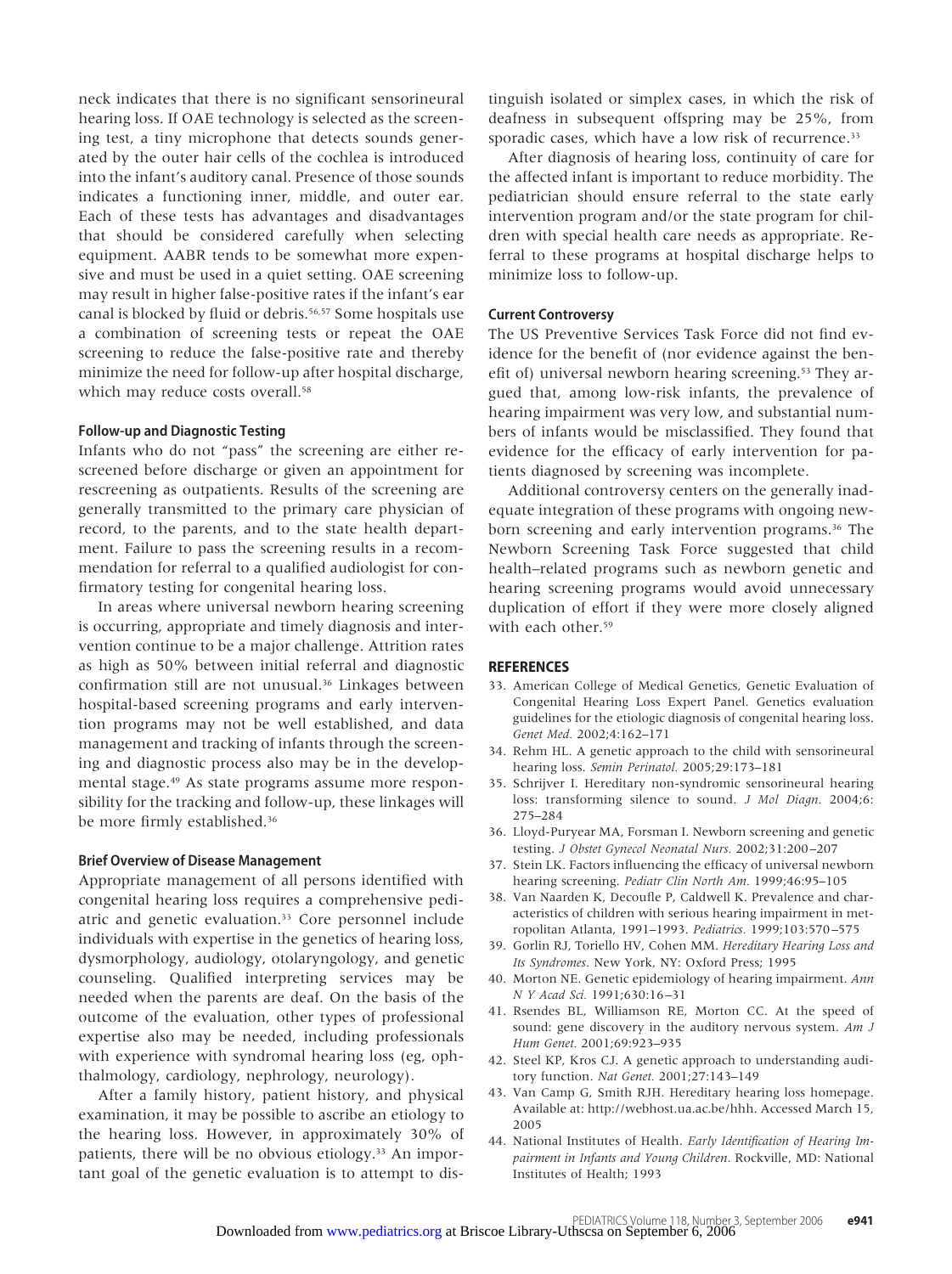neck indicates that there is no significant sensorineural hearing loss. If OAE technology is selected as the screening test, a tiny microphone that detects sounds generated by the outer hair cells of the cochlea is introduced into the infant's auditory canal. Presence of those sounds indicates a functioning inner, middle, and outer ear. Each of these tests has advantages and disadvantages that should be considered carefully when selecting equipment. AABR tends to be somewhat more expensive and must be used in a quiet setting. OAE screening may result in higher false-positive rates if the infant's ear canal is blocked by fluid or debris.56,57 Some hospitals use a combination of screening tests or repeat the OAE screening to reduce the false-positive rate and thereby minimize the need for follow-up after hospital discharge, which may reduce costs overall.<sup>58</sup>

#### **Follow-up and Diagnostic Testing**

Infants who do not "pass" the screening are either rescreened before discharge or given an appointment for rescreening as outpatients. Results of the screening are generally transmitted to the primary care physician of record, to the parents, and to the state health department. Failure to pass the screening results in a recommendation for referral to a qualified audiologist for confirmatory testing for congenital hearing loss.

In areas where universal newborn hearing screening is occurring, appropriate and timely diagnosis and intervention continue to be a major challenge. Attrition rates as high as 50% between initial referral and diagnostic confirmation still are not unusual.<sup>36</sup> Linkages between hospital-based screening programs and early intervention programs may not be well established, and data management and tracking of infants through the screening and diagnostic process also may be in the developmental stage.49 As state programs assume more responsibility for the tracking and follow-up, these linkages will be more firmly established.<sup>36</sup>

#### **Brief Overview of Disease Management**

Appropriate management of all persons identified with congenital hearing loss requires a comprehensive pediatric and genetic evaluation.33 Core personnel include individuals with expertise in the genetics of hearing loss, dysmorphology, audiology, otolaryngology, and genetic counseling. Qualified interpreting services may be needed when the parents are deaf. On the basis of the outcome of the evaluation, other types of professional expertise also may be needed, including professionals with experience with syndromal hearing loss (eg, ophthalmology, cardiology, nephrology, neurology).

After a family history, patient history, and physical examination, it may be possible to ascribe an etiology to the hearing loss. However, in approximately 30% of patients, there will be no obvious etiology.33 An important goal of the genetic evaluation is to attempt to distinguish isolated or simplex cases, in which the risk of deafness in subsequent offspring may be 25%, from sporadic cases, which have a low risk of recurrence.<sup>33</sup>

After diagnosis of hearing loss, continuity of care for the affected infant is important to reduce morbidity. The pediatrician should ensure referral to the state early intervention program and/or the state program for children with special health care needs as appropriate. Referral to these programs at hospital discharge helps to minimize loss to follow-up.

#### **Current Controversy**

The US Preventive Services Task Force did not find evidence for the benefit of (nor evidence against the benefit of) universal newborn hearing screening.<sup>53</sup> They argued that, among low-risk infants, the prevalence of hearing impairment was very low, and substantial numbers of infants would be misclassified. They found that evidence for the efficacy of early intervention for patients diagnosed by screening was incomplete.

Additional controversy centers on the generally inadequate integration of these programs with ongoing newborn screening and early intervention programs.<sup>36</sup> The Newborn Screening Task Force suggested that child health–related programs such as newborn genetic and hearing screening programs would avoid unnecessary duplication of effort if they were more closely aligned with each other.<sup>59</sup>

#### **REFERENCES**

- 33. American College of Medical Genetics, Genetic Evaluation of Congenital Hearing Loss Expert Panel. Genetics evaluation guidelines for the etiologic diagnosis of congenital hearing loss. *Genet Med.* 2002;4:162–171
- 34. Rehm HL. A genetic approach to the child with sensorineural hearing loss. *Semin Perinatol.* 2005;29:173–181
- 35. Schrijver I. Hereditary non-syndromic sensorineural hearing loss: transforming silence to sound. *J Mol Diagn.* 2004;6: 275–284
- 36. Lloyd-Puryear MA, Forsman I. Newborn screening and genetic testing. *J Obstet Gynecol Neonatal Nurs.* 2002;31:200 –207
- 37. Stein LK. Factors influencing the efficacy of universal newborn hearing screening. *Pediatr Clin North Am.* 1999;46:95–105
- 38. Van Naarden K, Decoufle P, Caldwell K. Prevalence and characteristics of children with serious hearing impairment in metropolitan Atlanta, 1991–1993. *Pediatrics.* 1999;103:570 –575
- 39. Gorlin RJ, Toriello HV, Cohen MM. *Hereditary Hearing Loss and Its Syndromes*. New York, NY: Oxford Press; 1995
- 40. Morton NE. Genetic epidemiology of hearing impairment. *Ann N Y Acad Sci.* 1991;630:16 –31
- 41. Rsendes BL, Williamson RE, Morton CC. At the speed of sound: gene discovery in the auditory nervous system. *Am J Hum Genet.* 2001;69:923–935
- 42. Steel KP, Kros CJ. A genetic approach to understanding auditory function. *Nat Genet.* 2001;27:143–149
- 43. Van Camp G, Smith RJH. Hereditary hearing loss homepage. Available at: http://webhost.ua.ac.be/hhh. Accessed March 15, 2005
- 44. National Institutes of Health. *Early Identification of Hearing Impairment in Infants and Young Children*. Rockville, MD: National Institutes of Health; 1993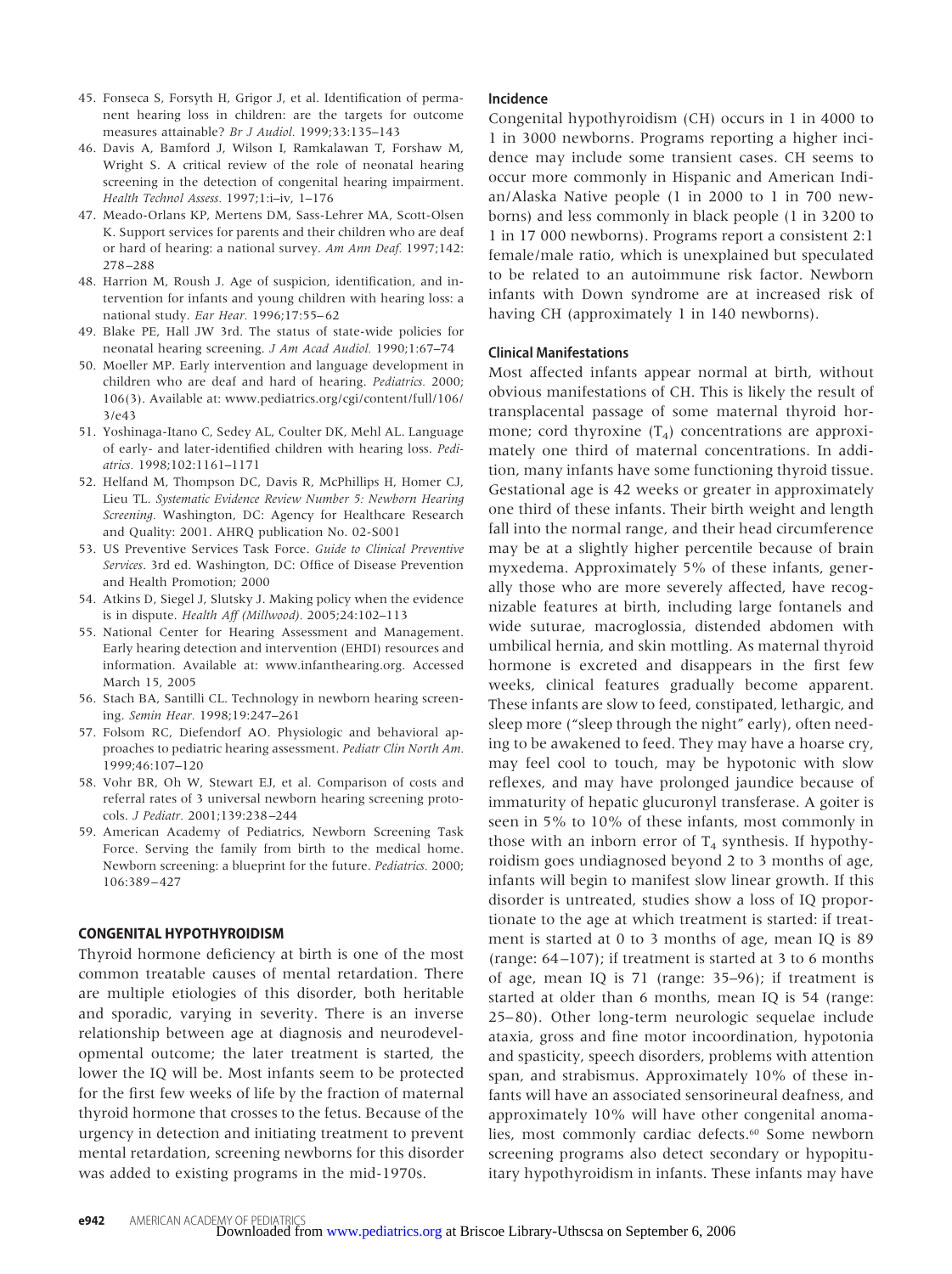- 45. Fonseca S, Forsyth H, Grigor J, et al. Identification of permanent hearing loss in children: are the targets for outcome measures attainable? *Br J Audiol.* 1999;33:135–143
- 46. Davis A, Bamford J, Wilson I, Ramkalawan T, Forshaw M, Wright S. A critical review of the role of neonatal hearing screening in the detection of congenital hearing impairment. *Health Technol Assess.* 1997;1:i–iv, 1–176
- 47. Meado-Orlans KP, Mertens DM, Sass-Lehrer MA, Scott-Olsen K. Support services for parents and their children who are deaf or hard of hearing: a national survey. *Am Ann Deaf.* 1997;142: 278 –288
- 48. Harrion M, Roush J. Age of suspicion, identification, and intervention for infants and young children with hearing loss: a national study. *Ear Hear.* 1996;17:55– 62
- 49. Blake PE, Hall JW 3rd. The status of state-wide policies for neonatal hearing screening. *J Am Acad Audiol.* 1990;1:67–74
- 50. Moeller MP. Early intervention and language development in children who are deaf and hard of hearing. *Pediatrics.* 2000; 106(3). Available at: www.pediatrics.org/cgi/content/full/106/ 3/e43
- 51. Yoshinaga-Itano C, Sedey AL, Coulter DK, Mehl AL. Language of early- and later-identified children with hearing loss. *Pediatrics.* 1998;102:1161–1171
- 52. Helfand M, Thompson DC, Davis R, McPhillips H, Homer CJ, Lieu TL. *Systematic Evidence Review Number 5: Newborn Hearing Screening.* Washington, DC: Agency for Healthcare Research and Quality: 2001. AHRQ publication No. 02-S001
- 53. US Preventive Services Task Force. *Guide to Clinical Preventive Services*. 3rd ed. Washington, DC: Office of Disease Prevention and Health Promotion; 2000
- 54. Atkins D, Siegel J, Slutsky J. Making policy when the evidence is in dispute. *Health Aff (Millwood).* 2005;24:102–113
- 55. National Center for Hearing Assessment and Management. Early hearing detection and intervention (EHDI) resources and information. Available at: www.infanthearing.org. Accessed March 15, 2005
- 56. Stach BA, Santilli CL. Technology in newborn hearing screening. *Semin Hear.* 1998;19:247–261
- 57. Folsom RC, Diefendorf AO. Physiologic and behavioral approaches to pediatric hearing assessment. *Pediatr Clin North Am.* 1999;46:107–120
- 58. Vohr BR, Oh W, Stewart EJ, et al. Comparison of costs and referral rates of 3 universal newborn hearing screening protocols. *J Pediatr.* 2001;139:238 –244
- 59. American Academy of Pediatrics, Newborn Screening Task Force. Serving the family from birth to the medical home. Newborn screening: a blueprint for the future. *Pediatrics.* 2000; 106:389 – 427

#### **CONGENITAL HYPOTHYROIDISM**

Thyroid hormone deficiency at birth is one of the most common treatable causes of mental retardation. There are multiple etiologies of this disorder, both heritable and sporadic, varying in severity. There is an inverse relationship between age at diagnosis and neurodevelopmental outcome; the later treatment is started, the lower the IQ will be. Most infants seem to be protected for the first few weeks of life by the fraction of maternal thyroid hormone that crosses to the fetus. Because of the urgency in detection and initiating treatment to prevent mental retardation, screening newborns for this disorder was added to existing programs in the mid-1970s.

#### **Incidence**

Congenital hypothyroidism (CH) occurs in 1 in 4000 to 1 in 3000 newborns. Programs reporting a higher incidence may include some transient cases. CH seems to occur more commonly in Hispanic and American Indian/Alaska Native people (1 in 2000 to 1 in 700 newborns) and less commonly in black people (1 in 3200 to 1 in 17 000 newborns). Programs report a consistent 2:1 female/male ratio, which is unexplained but speculated to be related to an autoimmune risk factor. Newborn infants with Down syndrome are at increased risk of having CH (approximately 1 in 140 newborns).

#### **Clinical Manifestations**

Most affected infants appear normal at birth, without obvious manifestations of CH. This is likely the result of transplacental passage of some maternal thyroid hormone; cord thyroxine  $(T_4)$  concentrations are approximately one third of maternal concentrations. In addition, many infants have some functioning thyroid tissue. Gestational age is 42 weeks or greater in approximately one third of these infants. Their birth weight and length fall into the normal range, and their head circumference may be at a slightly higher percentile because of brain myxedema. Approximately 5% of these infants, generally those who are more severely affected, have recognizable features at birth, including large fontanels and wide suturae, macroglossia, distended abdomen with umbilical hernia, and skin mottling. As maternal thyroid hormone is excreted and disappears in the first few weeks, clinical features gradually become apparent. These infants are slow to feed, constipated, lethargic, and sleep more ("sleep through the night" early), often needing to be awakened to feed. They may have a hoarse cry, may feel cool to touch, may be hypotonic with slow reflexes, and may have prolonged jaundice because of immaturity of hepatic glucuronyl transferase. A goiter is seen in 5% to 10% of these infants, most commonly in those with an inborn error of  $T_4$  synthesis. If hypothyroidism goes undiagnosed beyond 2 to 3 months of age, infants will begin to manifest slow linear growth. If this disorder is untreated, studies show a loss of IQ proportionate to the age at which treatment is started: if treatment is started at 0 to 3 months of age, mean IQ is 89 (range: 64 –107); if treatment is started at 3 to 6 months of age, mean IQ is 71 (range: 35–96); if treatment is started at older than 6 months, mean IQ is 54 (range: 25– 80). Other long-term neurologic sequelae include ataxia, gross and fine motor incoordination, hypotonia and spasticity, speech disorders, problems with attention span, and strabismus. Approximately 10% of these infants will have an associated sensorineural deafness, and approximately 10% will have other congenital anomalies, most commonly cardiac defects.<sup>60</sup> Some newborn screening programs also detect secondary or hypopituitary hypothyroidism in infants. These infants may have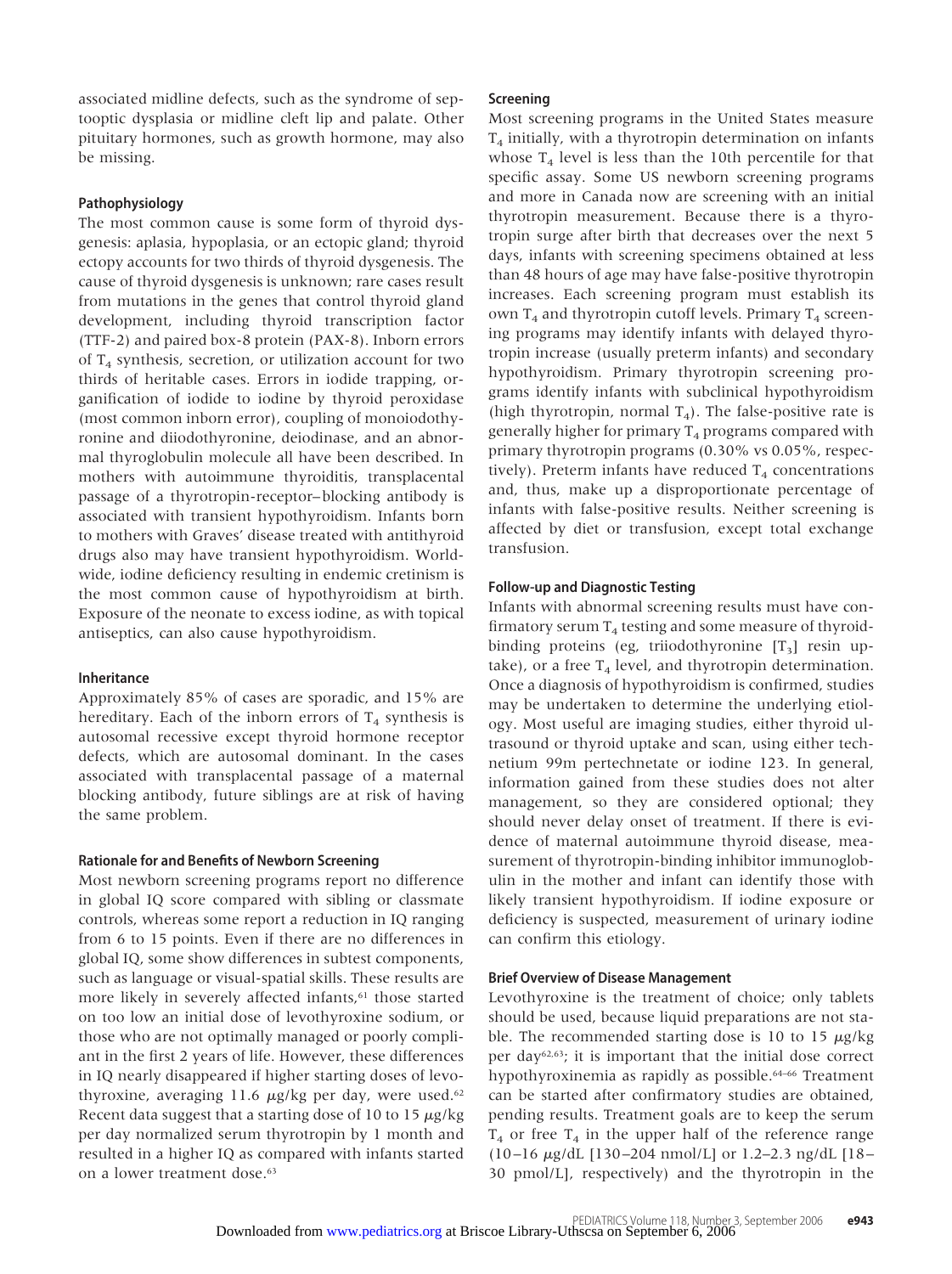associated midline defects, such as the syndrome of septooptic dysplasia or midline cleft lip and palate. Other pituitary hormones, such as growth hormone, may also be missing.

#### **Pathophysiology**

The most common cause is some form of thyroid dysgenesis: aplasia, hypoplasia, or an ectopic gland; thyroid ectopy accounts for two thirds of thyroid dysgenesis. The cause of thyroid dysgenesis is unknown; rare cases result from mutations in the genes that control thyroid gland development, including thyroid transcription factor (TTF-2) and paired box-8 protein (PAX-8). Inborn errors of  $T_4$  synthesis, secretion, or utilization account for two thirds of heritable cases. Errors in iodide trapping, organification of iodide to iodine by thyroid peroxidase (most common inborn error), coupling of monoiodothyronine and diiodothyronine, deiodinase, and an abnormal thyroglobulin molecule all have been described. In mothers with autoimmune thyroiditis, transplacental passage of a thyrotropin-receptor– blocking antibody is associated with transient hypothyroidism. Infants born to mothers with Graves' disease treated with antithyroid drugs also may have transient hypothyroidism. Worldwide, iodine deficiency resulting in endemic cretinism is the most common cause of hypothyroidism at birth. Exposure of the neonate to excess iodine, as with topical antiseptics, can also cause hypothyroidism.

#### **Inheritance**

Approximately 85% of cases are sporadic, and 15% are hereditary. Each of the inborn errors of  $T_4$  synthesis is autosomal recessive except thyroid hormone receptor defects, which are autosomal dominant. In the cases associated with transplacental passage of a maternal blocking antibody, future siblings are at risk of having the same problem.

#### **Rationale for and Benefits of Newborn Screening**

Most newborn screening programs report no difference in global IQ score compared with sibling or classmate controls, whereas some report a reduction in IQ ranging from 6 to 15 points. Even if there are no differences in global IQ, some show differences in subtest components, such as language or visual-spatial skills. These results are more likely in severely affected infants,<sup>61</sup> those started on too low an initial dose of levothyroxine sodium, or those who are not optimally managed or poorly compliant in the first 2 years of life. However, these differences in IQ nearly disappeared if higher starting doses of levothyroxine, averaging 11.6  $\mu$ g/kg per day, were used.<sup>62</sup> Recent data suggest that a starting dose of 10 to 15  $\mu$ g/kg per day normalized serum thyrotropin by 1 month and resulted in a higher IQ as compared with infants started on a lower treatment dose.<sup>63</sup>

#### **Screening**

Most screening programs in the United States measure  $T<sub>4</sub>$  initially, with a thyrotropin determination on infants whose  $T_4$  level is less than the 10th percentile for that specific assay. Some US newborn screening programs and more in Canada now are screening with an initial thyrotropin measurement. Because there is a thyrotropin surge after birth that decreases over the next 5 days, infants with screening specimens obtained at less than 48 hours of age may have false-positive thyrotropin increases. Each screening program must establish its own  $T_4$  and thyrotropin cutoff levels. Primary  $T_4$  screening programs may identify infants with delayed thyrotropin increase (usually preterm infants) and secondary hypothyroidism. Primary thyrotropin screening programs identify infants with subclinical hypothyroidism (high thyrotropin, normal  $T_4$ ). The false-positive rate is generally higher for primary  $T_4$  programs compared with primary thyrotropin programs (0.30% vs 0.05%, respectively). Preterm infants have reduced  $T_4$  concentrations and, thus, make up a disproportionate percentage of infants with false-positive results. Neither screening is affected by diet or transfusion, except total exchange transfusion.

#### **Follow-up and Diagnostic Testing**

Infants with abnormal screening results must have confirmatory serum  $T_4$  testing and some measure of thyroidbinding proteins (eg, triiodothyronine  $[T<sub>3</sub>]$  resin uptake), or a free  $T_4$  level, and thyrotropin determination. Once a diagnosis of hypothyroidism is confirmed, studies may be undertaken to determine the underlying etiology. Most useful are imaging studies, either thyroid ultrasound or thyroid uptake and scan, using either technetium 99m pertechnetate or iodine 123. In general, information gained from these studies does not alter management, so they are considered optional; they should never delay onset of treatment. If there is evidence of maternal autoimmune thyroid disease, measurement of thyrotropin-binding inhibitor immunoglobulin in the mother and infant can identify those with likely transient hypothyroidism. If iodine exposure or deficiency is suspected, measurement of urinary iodine can confirm this etiology.

#### **Brief Overview of Disease Management**

Levothyroxine is the treatment of choice; only tablets should be used, because liquid preparations are not stable. The recommended starting dose is 10 to 15  $\mu$ g/kg per day62,63; it is important that the initial dose correct hypothyroxinemia as rapidly as possible.<sup>64-66</sup> Treatment can be started after confirmatory studies are obtained, pending results. Treatment goals are to keep the serum  $T_4$  or free  $T_4$  in the upper half of the reference range  $(10 - 16 \mu g/dL [130 - 204 \text{ nmol/L}] \text{ or } 1.2 - 2.3 \text{ ng/dL} [18 -$ 30 pmol/L], respectively) and the thyrotropin in the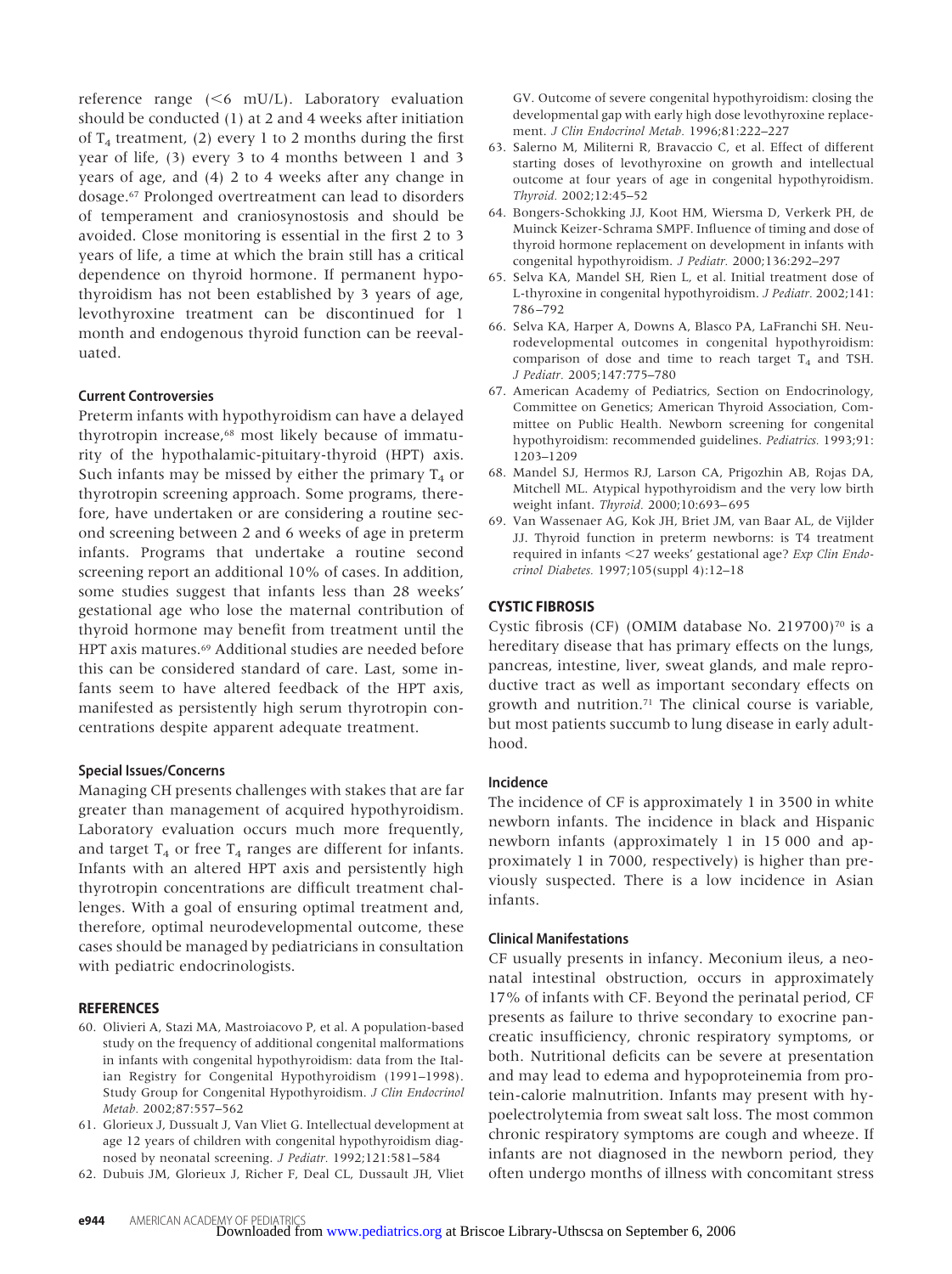reference range (<6 mU/L). Laboratory evaluation should be conducted (1) at 2 and 4 weeks after initiation of  $T_4$  treatment, (2) every 1 to 2 months during the first year of life, (3) every 3 to 4 months between 1 and 3 years of age, and (4) 2 to 4 weeks after any change in dosage.67 Prolonged overtreatment can lead to disorders of temperament and craniosynostosis and should be avoided. Close monitoring is essential in the first 2 to 3 years of life, a time at which the brain still has a critical dependence on thyroid hormone. If permanent hypothyroidism has not been established by 3 years of age, levothyroxine treatment can be discontinued for 1 month and endogenous thyroid function can be reevaluated.

#### **Current Controversies**

Preterm infants with hypothyroidism can have a delayed thyrotropin increase,<sup>68</sup> most likely because of immaturity of the hypothalamic-pituitary-thyroid (HPT) axis. Such infants may be missed by either the primary  $T_4$  or thyrotropin screening approach. Some programs, therefore, have undertaken or are considering a routine second screening between 2 and 6 weeks of age in preterm infants. Programs that undertake a routine second screening report an additional 10% of cases. In addition, some studies suggest that infants less than 28 weeks' gestational age who lose the maternal contribution of thyroid hormone may benefit from treatment until the HPT axis matures.69 Additional studies are needed before this can be considered standard of care. Last, some infants seem to have altered feedback of the HPT axis, manifested as persistently high serum thyrotropin concentrations despite apparent adequate treatment.

#### **Special Issues/Concerns**

Managing CH presents challenges with stakes that are far greater than management of acquired hypothyroidism. Laboratory evaluation occurs much more frequently, and target  $T_4$  or free  $T_4$  ranges are different for infants. Infants with an altered HPT axis and persistently high thyrotropin concentrations are difficult treatment challenges. With a goal of ensuring optimal treatment and, therefore, optimal neurodevelopmental outcome, these cases should be managed by pediatricians in consultation with pediatric endocrinologists.

#### **REFERENCES**

- 60. Olivieri A, Stazi MA, Mastroiacovo P, et al. A population-based study on the frequency of additional congenital malformations in infants with congenital hypothyroidism: data from the Italian Registry for Congenital Hypothyroidism (1991–1998). Study Group for Congenital Hypothyroidism. *J Clin Endocrinol Metab.* 2002;87:557–562
- 61. Glorieux J, Dussualt J, Van Vliet G. Intellectual development at age 12 years of children with congenital hypothyroidism diagnosed by neonatal screening. *J Pediatr.* 1992;121:581–584
- 62. Dubuis JM, Glorieux J, Richer F, Deal CL, Dussault JH, Vliet

GV. Outcome of severe congenital hypothyroidism: closing the developmental gap with early high dose levothyroxine replacement. *J Clin Endocrinol Metab.* 1996;81:222–227

- 63. Salerno M, Militerni R, Bravaccio C, et al. Effect of different starting doses of levothyroxine on growth and intellectual outcome at four years of age in congenital hypothyroidism. *Thyroid.* 2002;12:45–52
- 64. Bongers-Schokking JJ, Koot HM, Wiersma D, Verkerk PH, de Muinck Keizer-Schrama SMPF. Influence of timing and dose of thyroid hormone replacement on development in infants with congenital hypothyroidism. *J Pediatr.* 2000;136:292–297
- 65. Selva KA, Mandel SH, Rien L, et al. Initial treatment dose of L-thyroxine in congenital hypothyroidism. *J Pediatr.* 2002;141: 786 –792
- 66. Selva KA, Harper A, Downs A, Blasco PA, LaFranchi SH. Neurodevelopmental outcomes in congenital hypothyroidism: comparison of dose and time to reach target  $T_4$  and TSH. *J Pediatr.* 2005;147:775–780
- 67. American Academy of Pediatrics, Section on Endocrinology, Committee on Genetics; American Thyroid Association, Committee on Public Health. Newborn screening for congenital hypothyroidism: recommended guidelines. *Pediatrics.* 1993;91: 1203–1209
- 68. Mandel SJ, Hermos RJ, Larson CA, Prigozhin AB, Rojas DA, Mitchell ML. Atypical hypothyroidism and the very low birth weight infant. *Thyroid.* 2000;10:693– 695
- 69. Van Wassenaer AG, Kok JH, Briet JM, van Baar AL, de Vijlder JJ. Thyroid function in preterm newborns: is T4 treatment required in infants -27 weeks' gestational age? *Exp Clin Endocrinol Diabetes.* 1997;105(suppl 4):12–18

#### **CYSTIC FIBROSIS**

Cystic fibrosis (CF) (OMIM database No. 219700)<sup>70</sup> is a hereditary disease that has primary effects on the lungs, pancreas, intestine, liver, sweat glands, and male reproductive tract as well as important secondary effects on growth and nutrition.71 The clinical course is variable, but most patients succumb to lung disease in early adulthood.

#### **Incidence**

The incidence of CF is approximately 1 in 3500 in white newborn infants. The incidence in black and Hispanic newborn infants (approximately 1 in 15 000 and approximately 1 in 7000, respectively) is higher than previously suspected. There is a low incidence in Asian infants.

#### **Clinical Manifestations**

CF usually presents in infancy. Meconium ileus, a neonatal intestinal obstruction, occurs in approximately 17% of infants with CF. Beyond the perinatal period, CF presents as failure to thrive secondary to exocrine pancreatic insufficiency, chronic respiratory symptoms, or both. Nutritional deficits can be severe at presentation and may lead to edema and hypoproteinemia from protein-calorie malnutrition. Infants may present with hypoelectrolytemia from sweat salt loss. The most common chronic respiratory symptoms are cough and wheeze. If infants are not diagnosed in the newborn period, they often undergo months of illness with concomitant stress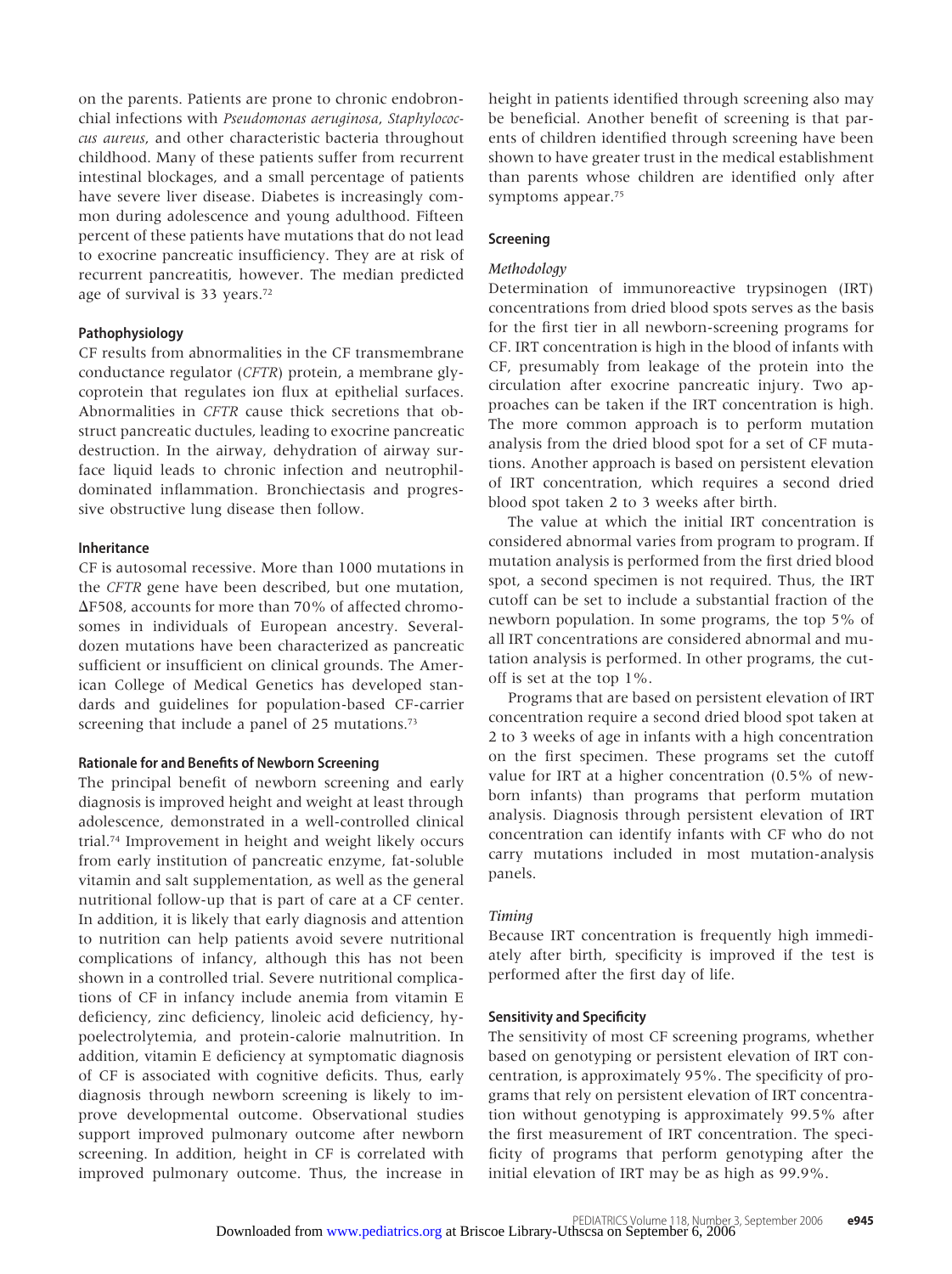on the parents. Patients are prone to chronic endobronchial infections with *Pseudomonas aeruginosa*, *Staphylococcus aureus*, and other characteristic bacteria throughout childhood. Many of these patients suffer from recurrent intestinal blockages, and a small percentage of patients have severe liver disease. Diabetes is increasingly common during adolescence and young adulthood. Fifteen percent of these patients have mutations that do not lead to exocrine pancreatic insufficiency. They are at risk of recurrent pancreatitis, however. The median predicted age of survival is 33 years.72

#### **Pathophysiology**

CF results from abnormalities in the CF transmembrane conductance regulator (*CFTR*) protein, a membrane glycoprotein that regulates ion flux at epithelial surfaces. Abnormalities in *CFTR* cause thick secretions that obstruct pancreatic ductules, leading to exocrine pancreatic destruction. In the airway, dehydration of airway surface liquid leads to chronic infection and neutrophildominated inflammation. Bronchiectasis and progressive obstructive lung disease then follow.

#### **Inheritance**

CF is autosomal recessive. More than 1000 mutations in the *CFTR* gene have been described, but one mutation, F508, accounts for more than 70% of affected chromosomes in individuals of European ancestry. Severaldozen mutations have been characterized as pancreatic sufficient or insufficient on clinical grounds. The American College of Medical Genetics has developed standards and guidelines for population-based CF-carrier screening that include a panel of 25 mutations.<sup>73</sup>

#### **Rationale for and Benefits of Newborn Screening**

The principal benefit of newborn screening and early diagnosis is improved height and weight at least through adolescence, demonstrated in a well-controlled clinical trial.74 Improvement in height and weight likely occurs from early institution of pancreatic enzyme, fat-soluble vitamin and salt supplementation, as well as the general nutritional follow-up that is part of care at a CF center. In addition, it is likely that early diagnosis and attention to nutrition can help patients avoid severe nutritional complications of infancy, although this has not been shown in a controlled trial. Severe nutritional complications of CF in infancy include anemia from vitamin E deficiency, zinc deficiency, linoleic acid deficiency, hypoelectrolytemia, and protein-calorie malnutrition. In addition, vitamin E deficiency at symptomatic diagnosis of CF is associated with cognitive deficits. Thus, early diagnosis through newborn screening is likely to improve developmental outcome. Observational studies support improved pulmonary outcome after newborn screening. In addition, height in CF is correlated with improved pulmonary outcome. Thus, the increase in

height in patients identified through screening also may be beneficial. Another benefit of screening is that parents of children identified through screening have been shown to have greater trust in the medical establishment than parents whose children are identified only after symptoms appear.<sup>75</sup>

#### **Screening**

#### *Methodology*

Determination of immunoreactive trypsinogen (IRT) concentrations from dried blood spots serves as the basis for the first tier in all newborn-screening programs for CF. IRT concentration is high in the blood of infants with CF, presumably from leakage of the protein into the circulation after exocrine pancreatic injury. Two approaches can be taken if the IRT concentration is high. The more common approach is to perform mutation analysis from the dried blood spot for a set of CF mutations. Another approach is based on persistent elevation of IRT concentration, which requires a second dried blood spot taken 2 to 3 weeks after birth.

The value at which the initial IRT concentration is considered abnormal varies from program to program. If mutation analysis is performed from the first dried blood spot, a second specimen is not required. Thus, the IRT cutoff can be set to include a substantial fraction of the newborn population. In some programs, the top 5% of all IRT concentrations are considered abnormal and mutation analysis is performed. In other programs, the cutoff is set at the top 1%.

Programs that are based on persistent elevation of IRT concentration require a second dried blood spot taken at 2 to 3 weeks of age in infants with a high concentration on the first specimen. These programs set the cutoff value for IRT at a higher concentration (0.5% of newborn infants) than programs that perform mutation analysis. Diagnosis through persistent elevation of IRT concentration can identify infants with CF who do not carry mutations included in most mutation-analysis panels.

#### *Timing*

Because IRT concentration is frequently high immediately after birth, specificity is improved if the test is performed after the first day of life.

#### **Sensitivity and Specificity**

The sensitivity of most CF screening programs, whether based on genotyping or persistent elevation of IRT concentration, is approximately 95%. The specificity of programs that rely on persistent elevation of IRT concentration without genotyping is approximately 99.5% after the first measurement of IRT concentration. The specificity of programs that perform genotyping after the initial elevation of IRT may be as high as 99.9%.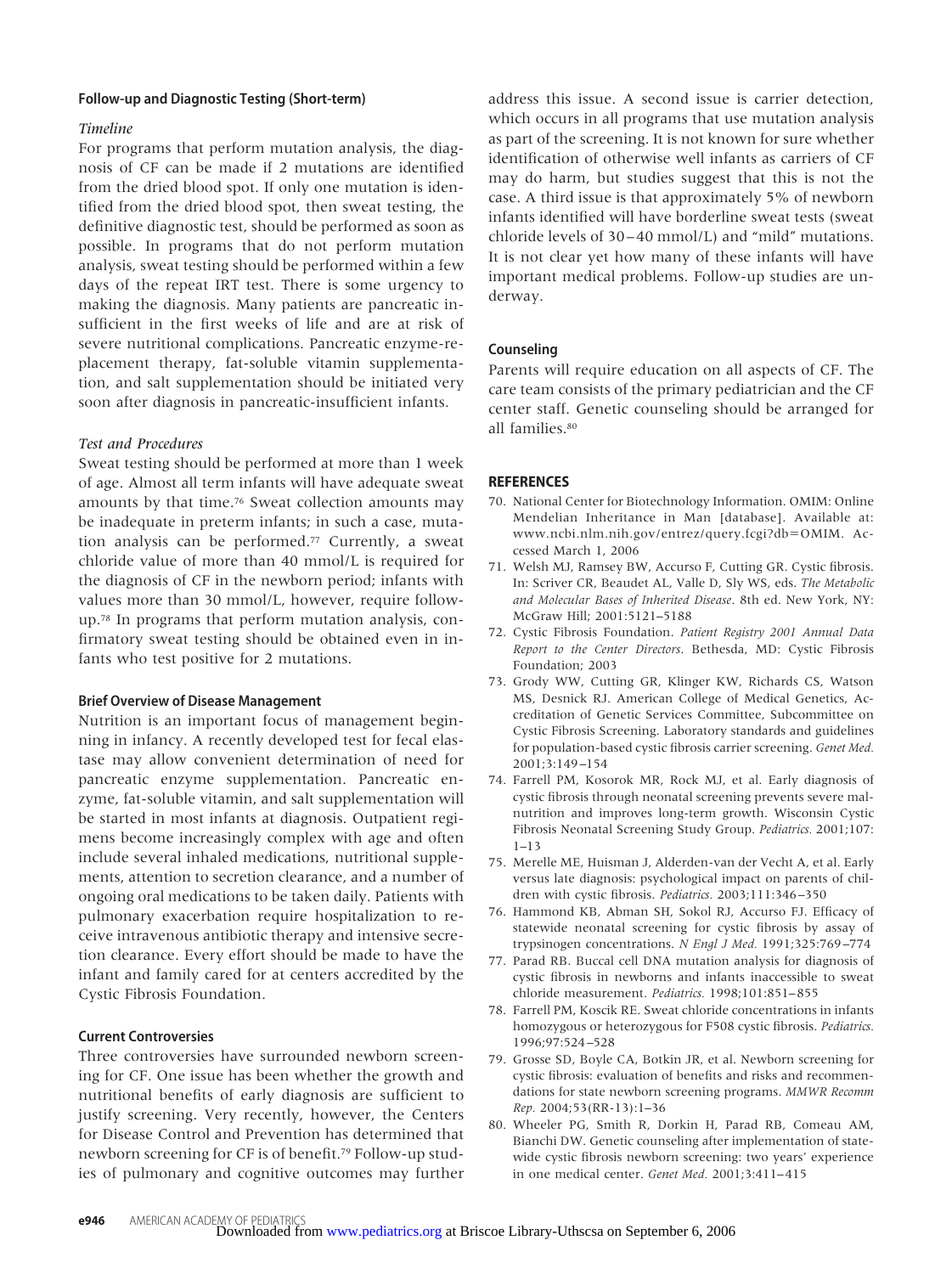#### **Follow-up and Diagnostic Testing (Short-term)**

#### *Timeline*

For programs that perform mutation analysis, the diagnosis of CF can be made if 2 mutations are identified from the dried blood spot. If only one mutation is identified from the dried blood spot, then sweat testing, the definitive diagnostic test, should be performed as soon as possible. In programs that do not perform mutation analysis, sweat testing should be performed within a few days of the repeat IRT test. There is some urgency to making the diagnosis. Many patients are pancreatic insufficient in the first weeks of life and are at risk of severe nutritional complications. Pancreatic enzyme-replacement therapy, fat-soluble vitamin supplementation, and salt supplementation should be initiated very soon after diagnosis in pancreatic-insufficient infants.

#### *Test and Procedures*

Sweat testing should be performed at more than 1 week of age. Almost all term infants will have adequate sweat amounts by that time.76 Sweat collection amounts may be inadequate in preterm infants; in such a case, mutation analysis can be performed.77 Currently, a sweat chloride value of more than 40 mmol/L is required for the diagnosis of CF in the newborn period; infants with values more than 30 mmol/L, however, require followup.78 In programs that perform mutation analysis, confirmatory sweat testing should be obtained even in infants who test positive for 2 mutations.

#### **Brief Overview of Disease Management**

Nutrition is an important focus of management beginning in infancy. A recently developed test for fecal elastase may allow convenient determination of need for pancreatic enzyme supplementation. Pancreatic enzyme, fat-soluble vitamin, and salt supplementation will be started in most infants at diagnosis. Outpatient regimens become increasingly complex with age and often include several inhaled medications, nutritional supplements, attention to secretion clearance, and a number of ongoing oral medications to be taken daily. Patients with pulmonary exacerbation require hospitalization to receive intravenous antibiotic therapy and intensive secretion clearance. Every effort should be made to have the infant and family cared for at centers accredited by the Cystic Fibrosis Foundation.

#### **Current Controversies**

Three controversies have surrounded newborn screening for CF. One issue has been whether the growth and nutritional benefits of early diagnosis are sufficient to justify screening. Very recently, however, the Centers for Disease Control and Prevention has determined that newborn screening for CF is of benefit.79 Follow-up studies of pulmonary and cognitive outcomes may further address this issue. A second issue is carrier detection, which occurs in all programs that use mutation analysis as part of the screening. It is not known for sure whether identification of otherwise well infants as carriers of CF may do harm, but studies suggest that this is not the case. A third issue is that approximately 5% of newborn infants identified will have borderline sweat tests (sweat chloride levels of 30 – 40 mmol/L) and "mild" mutations. It is not clear yet how many of these infants will have important medical problems. Follow-up studies are underway.

#### **Counseling**

Parents will require education on all aspects of CF. The care team consists of the primary pediatrician and the CF center staff. Genetic counseling should be arranged for all families.80

#### **REFERENCES**

- 70. National Center for Biotechnology Information. OMIM: Online Mendelian Inheritance in Man [database]. Available at: www.ncbi.nlm.nih.gov/entrez/query.fcgi?db=OMIM. Accessed March 1, 2006
- 71. Welsh MJ, Ramsey BW, Accurso F, Cutting GR. Cystic fibrosis. In: Scriver CR, Beaudet AL, Valle D, Sly WS, eds. *The Metabolic and Molecular Bases of Inherited Disease*. 8th ed. New York, NY: McGraw Hill; 2001:5121–5188
- 72. Cystic Fibrosis Foundation. *Patient Registry 2001 Annual Data Report to the Center Directors*. Bethesda, MD: Cystic Fibrosis Foundation; 2003
- 73. Grody WW, Cutting GR, Klinger KW, Richards CS, Watson MS, Desnick RJ. American College of Medical Genetics, Accreditation of Genetic Services Committee, Subcommittee on Cystic Fibrosis Screening. Laboratory standards and guidelines for population-based cystic fibrosis carrier screening. *Genet Med.* 2001;3:149 –154
- 74. Farrell PM, Kosorok MR, Rock MJ, et al. Early diagnosis of cystic fibrosis through neonatal screening prevents severe malnutrition and improves long-term growth. Wisconsin Cystic Fibrosis Neonatal Screening Study Group. *Pediatrics.* 2001;107:  $1 - 13$
- 75. Merelle ME, Huisman J, Alderden-van der Vecht A, et al. Early versus late diagnosis: psychological impact on parents of children with cystic fibrosis. *Pediatrics.* 2003;111:346 –350
- 76. Hammond KB, Abman SH, Sokol RJ, Accurso FJ. Efficacy of statewide neonatal screening for cystic fibrosis by assay of trypsinogen concentrations. *N Engl J Med.* 1991;325:769 –774
- 77. Parad RB. Buccal cell DNA mutation analysis for diagnosis of cystic fibrosis in newborns and infants inaccessible to sweat chloride measurement. *Pediatrics.* 1998;101:851– 855
- 78. Farrell PM, Koscik RE. Sweat chloride concentrations in infants homozygous or heterozygous for F508 cystic fibrosis. *Pediatrics.* 1996;97:524 –528
- 79. Grosse SD, Boyle CA, Botkin JR, et al. Newborn screening for cystic fibrosis: evaluation of benefits and risks and recommendations for state newborn screening programs. *MMWR Recomm Rep.* 2004;53(RR-13):1–36
- 80. Wheeler PG, Smith R, Dorkin H, Parad RB, Comeau AM, Bianchi DW. Genetic counseling after implementation of statewide cystic fibrosis newborn screening: two years' experience in one medical center. *Genet Med.* 2001;3:411– 415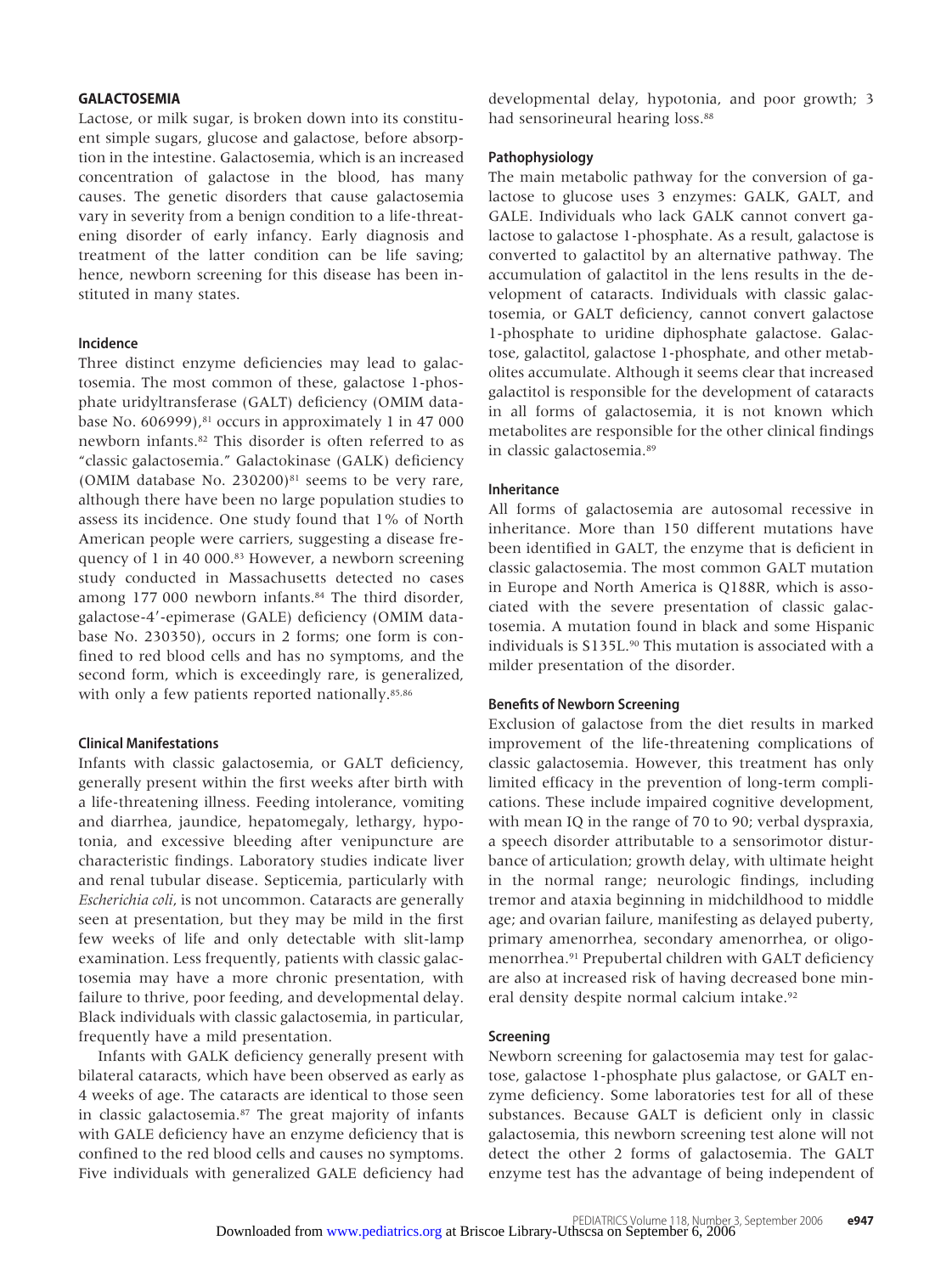#### **GALACTOSEMIA**

Lactose, or milk sugar, is broken down into its constituent simple sugars, glucose and galactose, before absorption in the intestine. Galactosemia, which is an increased concentration of galactose in the blood, has many causes. The genetic disorders that cause galactosemia vary in severity from a benign condition to a life-threatening disorder of early infancy. Early diagnosis and treatment of the latter condition can be life saving; hence, newborn screening for this disease has been instituted in many states.

#### **Incidence**

Three distinct enzyme deficiencies may lead to galactosemia. The most common of these, galactose 1-phosphate uridyltransferase (GALT) deficiency (OMIM database No. 606999), $81$  occurs in approximately 1 in 47 000 newborn infants.82 This disorder is often referred to as "classic galactosemia." Galactokinase (GALK) deficiency (OMIM database No. 230200) $81$  seems to be very rare, although there have been no large population studies to assess its incidence. One study found that 1% of North American people were carriers, suggesting a disease frequency of 1 in 40 000.83 However, a newborn screening study conducted in Massachusetts detected no cases among 177 000 newborn infants.<sup>84</sup> The third disorder, galactose-4-epimerase (GALE) deficiency (OMIM database No. 230350), occurs in 2 forms; one form is confined to red blood cells and has no symptoms, and the second form, which is exceedingly rare, is generalized, with only a few patients reported nationally.<sup>85,86</sup>

#### **Clinical Manifestations**

Infants with classic galactosemia, or GALT deficiency, generally present within the first weeks after birth with a life-threatening illness. Feeding intolerance, vomiting and diarrhea, jaundice, hepatomegaly, lethargy, hypotonia, and excessive bleeding after venipuncture are characteristic findings. Laboratory studies indicate liver and renal tubular disease. Septicemia, particularly with *Escherichia coli*, is not uncommon. Cataracts are generally seen at presentation, but they may be mild in the first few weeks of life and only detectable with slit-lamp examination. Less frequently, patients with classic galactosemia may have a more chronic presentation, with failure to thrive, poor feeding, and developmental delay. Black individuals with classic galactosemia, in particular, frequently have a mild presentation.

Infants with GALK deficiency generally present with bilateral cataracts, which have been observed as early as 4 weeks of age. The cataracts are identical to those seen in classic galactosemia.87 The great majority of infants with GALE deficiency have an enzyme deficiency that is confined to the red blood cells and causes no symptoms. Five individuals with generalized GALE deficiency had

developmental delay, hypotonia, and poor growth; 3 had sensorineural hearing loss.<sup>88</sup>

#### **Pathophysiology**

The main metabolic pathway for the conversion of galactose to glucose uses 3 enzymes: GALK, GALT, and GALE. Individuals who lack GALK cannot convert galactose to galactose 1-phosphate. As a result, galactose is converted to galactitol by an alternative pathway. The accumulation of galactitol in the lens results in the development of cataracts. Individuals with classic galactosemia, or GALT deficiency, cannot convert galactose 1-phosphate to uridine diphosphate galactose. Galactose, galactitol, galactose 1-phosphate, and other metabolites accumulate. Although it seems clear that increased galactitol is responsible for the development of cataracts in all forms of galactosemia, it is not known which metabolites are responsible for the other clinical findings in classic galactosemia.89

#### **Inheritance**

All forms of galactosemia are autosomal recessive in inheritance. More than 150 different mutations have been identified in GALT, the enzyme that is deficient in classic galactosemia. The most common GALT mutation in Europe and North America is Q188R, which is associated with the severe presentation of classic galactosemia. A mutation found in black and some Hispanic individuals is S135L.90 This mutation is associated with a milder presentation of the disorder.

#### **Benefits of Newborn Screening**

Exclusion of galactose from the diet results in marked improvement of the life-threatening complications of classic galactosemia. However, this treatment has only limited efficacy in the prevention of long-term complications. These include impaired cognitive development, with mean IQ in the range of 70 to 90; verbal dyspraxia, a speech disorder attributable to a sensorimotor disturbance of articulation; growth delay, with ultimate height in the normal range; neurologic findings, including tremor and ataxia beginning in midchildhood to middle age; and ovarian failure, manifesting as delayed puberty, primary amenorrhea, secondary amenorrhea, or oligomenorrhea.91 Prepubertal children with GALT deficiency are also at increased risk of having decreased bone mineral density despite normal calcium intake.<sup>92</sup>

#### **Screening**

Newborn screening for galactosemia may test for galactose, galactose 1-phosphate plus galactose, or GALT enzyme deficiency. Some laboratories test for all of these substances. Because GALT is deficient only in classic galactosemia, this newborn screening test alone will not detect the other 2 forms of galactosemia. The GALT enzyme test has the advantage of being independent of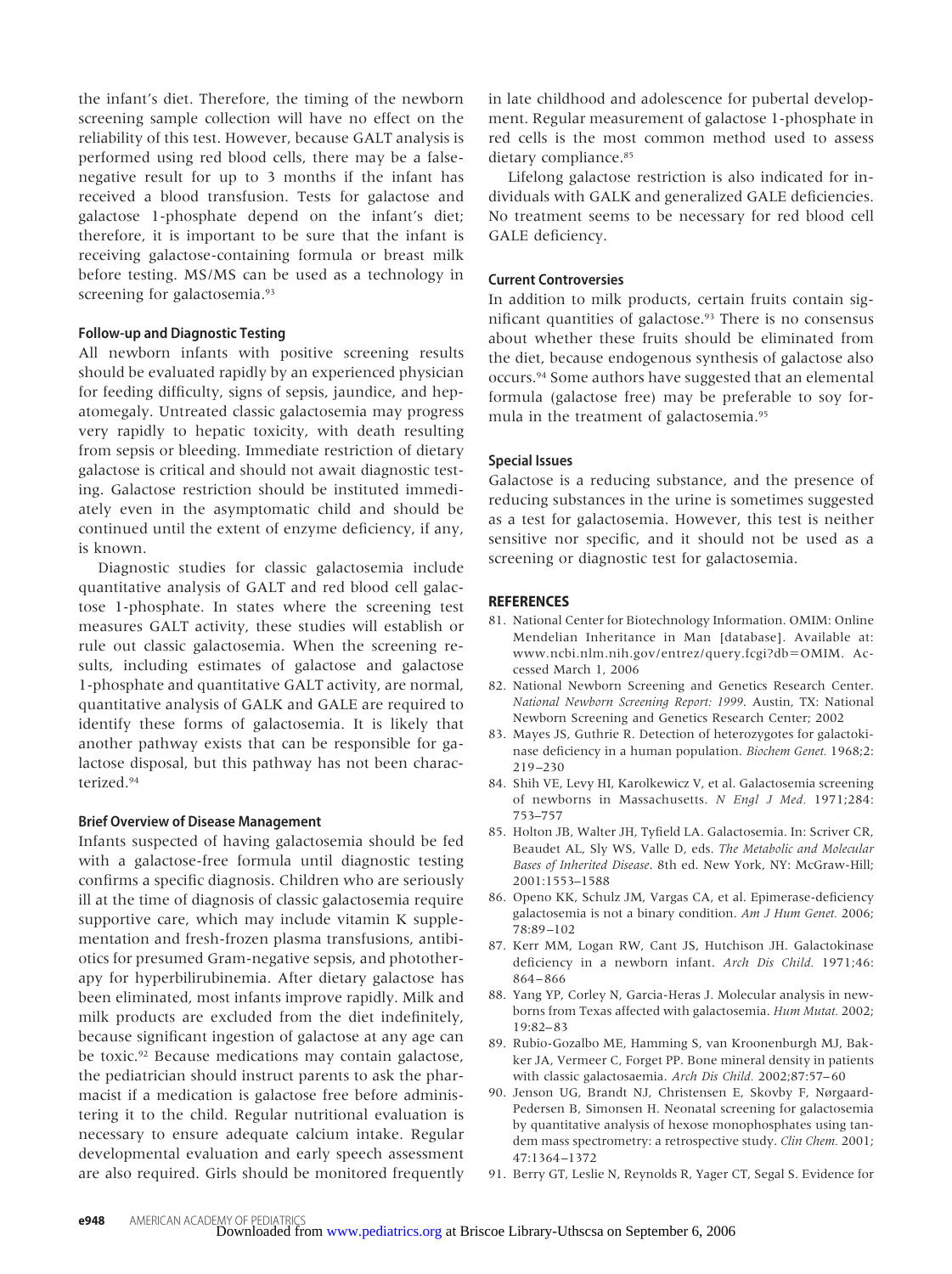the infant's diet. Therefore, the timing of the newborn screening sample collection will have no effect on the reliability of this test. However, because GALT analysis is performed using red blood cells, there may be a falsenegative result for up to 3 months if the infant has received a blood transfusion. Tests for galactose and galactose 1-phosphate depend on the infant's diet; therefore, it is important to be sure that the infant is receiving galactose-containing formula or breast milk before testing. MS/MS can be used as a technology in screening for galactosemia.<sup>93</sup>

#### **Follow-up and Diagnostic Testing**

All newborn infants with positive screening results should be evaluated rapidly by an experienced physician for feeding difficulty, signs of sepsis, jaundice, and hepatomegaly. Untreated classic galactosemia may progress very rapidly to hepatic toxicity, with death resulting from sepsis or bleeding. Immediate restriction of dietary galactose is critical and should not await diagnostic testing. Galactose restriction should be instituted immediately even in the asymptomatic child and should be continued until the extent of enzyme deficiency, if any, is known.

Diagnostic studies for classic galactosemia include quantitative analysis of GALT and red blood cell galactose 1-phosphate. In states where the screening test measures GALT activity, these studies will establish or rule out classic galactosemia. When the screening results, including estimates of galactose and galactose 1-phosphate and quantitative GALT activity, are normal, quantitative analysis of GALK and GALE are required to identify these forms of galactosemia. It is likely that another pathway exists that can be responsible for galactose disposal, but this pathway has not been characterized.94

#### **Brief Overview of Disease Management**

Infants suspected of having galactosemia should be fed with a galactose-free formula until diagnostic testing confirms a specific diagnosis. Children who are seriously ill at the time of diagnosis of classic galactosemia require supportive care, which may include vitamin K supplementation and fresh-frozen plasma transfusions, antibiotics for presumed Gram-negative sepsis, and phototherapy for hyperbilirubinemia. After dietary galactose has been eliminated, most infants improve rapidly. Milk and milk products are excluded from the diet indefinitely, because significant ingestion of galactose at any age can be toxic.<sup>92</sup> Because medications may contain galactose, the pediatrician should instruct parents to ask the pharmacist if a medication is galactose free before administering it to the child. Regular nutritional evaluation is necessary to ensure adequate calcium intake. Regular developmental evaluation and early speech assessment are also required. Girls should be monitored frequently in late childhood and adolescence for pubertal development. Regular measurement of galactose 1-phosphate in red cells is the most common method used to assess dietary compliance.85

Lifelong galactose restriction is also indicated for individuals with GALK and generalized GALE deficiencies. No treatment seems to be necessary for red blood cell GALE deficiency.

#### **Current Controversies**

In addition to milk products, certain fruits contain significant quantities of galactose.<sup>93</sup> There is no consensus about whether these fruits should be eliminated from the diet, because endogenous synthesis of galactose also occurs.94 Some authors have suggested that an elemental formula (galactose free) may be preferable to soy formula in the treatment of galactosemia.<sup>95</sup>

#### **Special Issues**

Galactose is a reducing substance, and the presence of reducing substances in the urine is sometimes suggested as a test for galactosemia. However, this test is neither sensitive nor specific, and it should not be used as a screening or diagnostic test for galactosemia.

#### **REFERENCES**

- 81. National Center for Biotechnology Information. OMIM: Online Mendelian Inheritance in Man [database]. Available at: www.ncbi.nlm.nih.gov/entrez/query.fcgi?db=OMIM. Accessed March 1, 2006
- 82. National Newborn Screening and Genetics Research Center. *National Newborn Screening Report: 1999*. Austin, TX: National Newborn Screening and Genetics Research Center; 2002
- 83. Mayes JS, Guthrie R. Detection of heterozygotes for galactokinase deficiency in a human population. *Biochem Genet.* 1968;2: 219 –230
- 84. Shih VE, Levy HI, Karolkewicz V, et al. Galactosemia screening of newborns in Massachusetts. *N Engl J Med.* 1971;284: 753–757
- 85. Holton JB, Walter JH, Tyfield LA. Galactosemia. In: Scriver CR, Beaudet AL, Sly WS, Valle D, eds. *The Metabolic and Molecular Bases of Inherited Disease*. 8th ed. New York, NY: McGraw-Hill; 2001:1553–1588
- 86. Openo KK, Schulz JM, Vargas CA, et al. Epimerase-deficiency galactosemia is not a binary condition. *Am J Hum Genet.* 2006; 78:89 –102
- 87. Kerr MM, Logan RW, Cant JS, Hutchison JH. Galactokinase deficiency in a newborn infant. *Arch Dis Child.* 1971;46: 864 – 866
- 88. Yang YP, Corley N, Garcia-Heras J. Molecular analysis in newborns from Texas affected with galactosemia. *Hum Mutat.* 2002; 19:82– 83
- 89. Rubio-Gozalbo ME, Hamming S, van Kroonenburgh MJ, Bakker JA, Vermeer C, Forget PP. Bone mineral density in patients with classic galactosaemia. *Arch Dis Child.* 2002;87:57– 60
- 90. Jenson UG, Brandt NJ, Christensen E, Skovby F, Nørgaard-Pedersen B, Simonsen H. Neonatal screening for galactosemia by quantitative analysis of hexose monophosphates using tandem mass spectrometry: a retrospective study. *Clin Chem.* 2001; 47:1364 –1372
- 91. Berry GT, Leslie N, Reynolds R, Yager CT, Segal S. Evidence for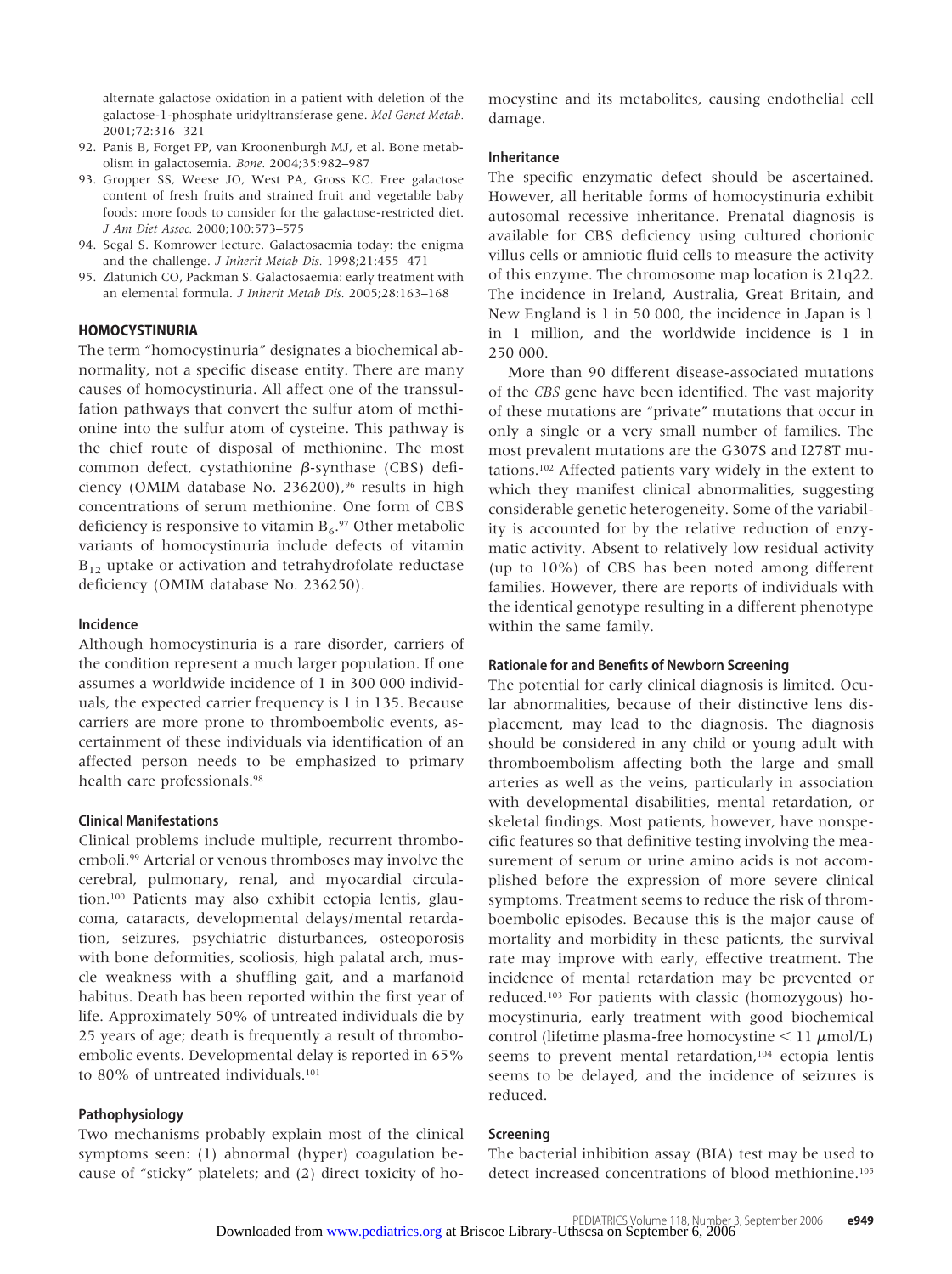alternate galactose oxidation in a patient with deletion of the galactose-1-phosphate uridyltransferase gene. *Mol Genet Metab.* 2001;72:316 –321

- 92. Panis B, Forget PP, van Kroonenburgh MJ, et al. Bone metabolism in galactosemia. *Bone.* 2004;35:982–987
- 93. Gropper SS, Weese JO, West PA, Gross KC. Free galactose content of fresh fruits and strained fruit and vegetable baby foods: more foods to consider for the galactose-restricted diet. *J Am Diet Assoc.* 2000;100:573–575
- 94. Segal S. Komrower lecture. Galactosaemia today: the enigma and the challenge. *J Inherit Metab Dis.* 1998;21:455– 471
- 95. Zlatunich CO, Packman S. Galactosaemia: early treatment with an elemental formula. *J Inherit Metab Dis.* 2005;28:163–168

#### **HOMOCYSTINURIA**

The term "homocystinuria" designates a biochemical abnormality, not a specific disease entity. There are many causes of homocystinuria. All affect one of the transsulfation pathways that convert the sulfur atom of methionine into the sulfur atom of cysteine. This pathway is the chief route of disposal of methionine. The most common defect, cystathionine  $\beta$ -synthase (CBS) deficiency (OMIM database No. 236200),<sup>96</sup> results in high concentrations of serum methionine. One form of CBS deficiency is responsive to vitamin  $B_6$ .<sup>97</sup> Other metabolic variants of homocystinuria include defects of vitamin  $B_{12}$  uptake or activation and tetrahydrofolate reductase deficiency (OMIM database No. 236250).

#### **Incidence**

Although homocystinuria is a rare disorder, carriers of the condition represent a much larger population. If one assumes a worldwide incidence of 1 in 300 000 individuals, the expected carrier frequency is 1 in 135. Because carriers are more prone to thromboembolic events, ascertainment of these individuals via identification of an affected person needs to be emphasized to primary health care professionals.<sup>98</sup>

#### **Clinical Manifestations**

Clinical problems include multiple, recurrent thromboemboli.99 Arterial or venous thromboses may involve the cerebral, pulmonary, renal, and myocardial circulation.100 Patients may also exhibit ectopia lentis, glaucoma, cataracts, developmental delays/mental retardation, seizures, psychiatric disturbances, osteoporosis with bone deformities, scoliosis, high palatal arch, muscle weakness with a shuffling gait, and a marfanoid habitus. Death has been reported within the first year of life. Approximately 50% of untreated individuals die by 25 years of age; death is frequently a result of thromboembolic events. Developmental delay is reported in 65% to 80% of untreated individuals.101

#### **Pathophysiology**

Two mechanisms probably explain most of the clinical symptoms seen: (1) abnormal (hyper) coagulation because of "sticky" platelets; and (2) direct toxicity of homocystine and its metabolites, causing endothelial cell damage.

#### **Inheritance**

The specific enzymatic defect should be ascertained. However, all heritable forms of homocystinuria exhibit autosomal recessive inheritance. Prenatal diagnosis is available for CBS deficiency using cultured chorionic villus cells or amniotic fluid cells to measure the activity of this enzyme. The chromosome map location is 21q22. The incidence in Ireland, Australia, Great Britain, and New England is 1 in 50 000, the incidence in Japan is 1 in 1 million, and the worldwide incidence is 1 in 250 000.

More than 90 different disease-associated mutations of the *CBS* gene have been identified. The vast majority of these mutations are "private" mutations that occur in only a single or a very small number of families. The most prevalent mutations are the G307S and I278T mutations.102 Affected patients vary widely in the extent to which they manifest clinical abnormalities, suggesting considerable genetic heterogeneity. Some of the variability is accounted for by the relative reduction of enzymatic activity. Absent to relatively low residual activity (up to 10%) of CBS has been noted among different families. However, there are reports of individuals with the identical genotype resulting in a different phenotype within the same family.

#### **Rationale for and Benefits of Newborn Screening**

The potential for early clinical diagnosis is limited. Ocular abnormalities, because of their distinctive lens displacement, may lead to the diagnosis. The diagnosis should be considered in any child or young adult with thromboembolism affecting both the large and small arteries as well as the veins, particularly in association with developmental disabilities, mental retardation, or skeletal findings. Most patients, however, have nonspecific features so that definitive testing involving the measurement of serum or urine amino acids is not accomplished before the expression of more severe clinical symptoms. Treatment seems to reduce the risk of thromboembolic episodes. Because this is the major cause of mortality and morbidity in these patients, the survival rate may improve with early, effective treatment. The incidence of mental retardation may be prevented or reduced.103 For patients with classic (homozygous) homocystinuria, early treatment with good biochemical control (lifetime plasma-free homocystine  $\leq 11 \ \mu$ mol/L) seems to prevent mental retardation,<sup>104</sup> ectopia lentis seems to be delayed, and the incidence of seizures is reduced.

#### **Screening**

The bacterial inhibition assay (BIA) test may be used to detect increased concentrations of blood methionine.<sup>105</sup>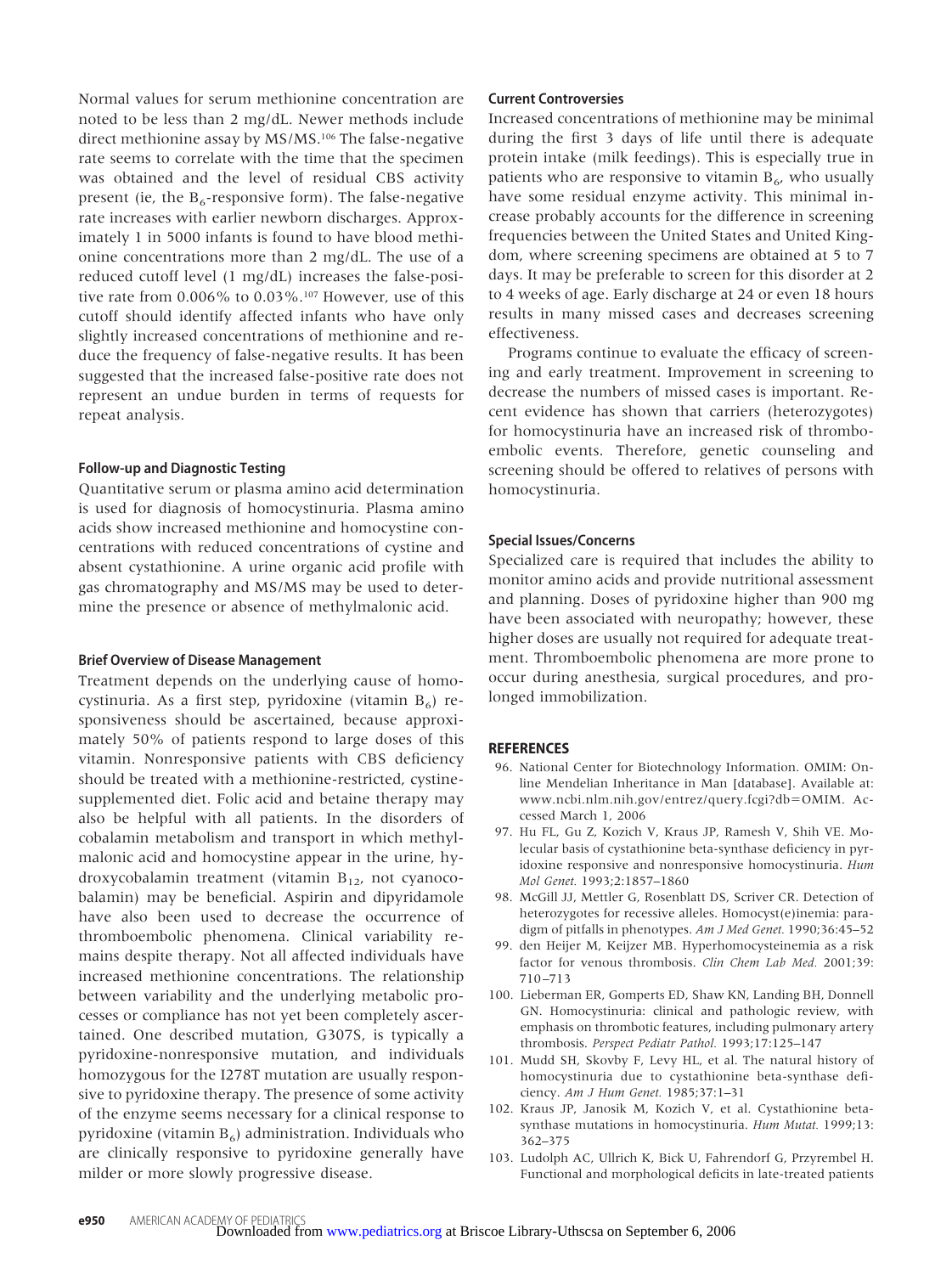Normal values for serum methionine concentration are noted to be less than 2 mg/dL. Newer methods include direct methionine assay by MS/MS.<sup>106</sup> The false-negative rate seems to correlate with the time that the specimen was obtained and the level of residual CBS activity present (ie, the  $B_6$ -responsive form). The false-negative rate increases with earlier newborn discharges. Approximately 1 in 5000 infants is found to have blood methionine concentrations more than 2 mg/dL. The use of a reduced cutoff level (1 mg/dL) increases the false-positive rate from 0.006% to 0.03%.107 However, use of this cutoff should identify affected infants who have only slightly increased concentrations of methionine and reduce the frequency of false-negative results. It has been suggested that the increased false-positive rate does not represent an undue burden in terms of requests for repeat analysis.

#### **Follow-up and Diagnostic Testing**

Quantitative serum or plasma amino acid determination is used for diagnosis of homocystinuria. Plasma amino acids show increased methionine and homocystine concentrations with reduced concentrations of cystine and absent cystathionine. A urine organic acid profile with gas chromatography and MS/MS may be used to determine the presence or absence of methylmalonic acid.

#### **Brief Overview of Disease Management**

Treatment depends on the underlying cause of homocystinuria. As a first step, pyridoxine (vitamin  $B_6$ ) responsiveness should be ascertained, because approximately 50% of patients respond to large doses of this vitamin. Nonresponsive patients with CBS deficiency should be treated with a methionine-restricted, cystinesupplemented diet. Folic acid and betaine therapy may also be helpful with all patients. In the disorders of cobalamin metabolism and transport in which methylmalonic acid and homocystine appear in the urine, hydroxycobalamin treatment (vitamin  $B_{12}$ , not cyanocobalamin) may be beneficial. Aspirin and dipyridamole have also been used to decrease the occurrence of thromboembolic phenomena. Clinical variability remains despite therapy. Not all affected individuals have increased methionine concentrations. The relationship between variability and the underlying metabolic processes or compliance has not yet been completely ascertained. One described mutation, G307S, is typically a pyridoxine-nonresponsive mutation, and individuals homozygous for the I278T mutation are usually responsive to pyridoxine therapy. The presence of some activity of the enzyme seems necessary for a clinical response to pyridoxine (vitamin  $B_6$ ) administration. Individuals who are clinically responsive to pyridoxine generally have milder or more slowly progressive disease.

#### **Current Controversies**

Increased concentrations of methionine may be minimal during the first 3 days of life until there is adequate protein intake (milk feedings). This is especially true in patients who are responsive to vitamin  $B_{6}$ , who usually have some residual enzyme activity. This minimal increase probably accounts for the difference in screening frequencies between the United States and United Kingdom, where screening specimens are obtained at 5 to 7 days. It may be preferable to screen for this disorder at 2 to 4 weeks of age. Early discharge at 24 or even 18 hours results in many missed cases and decreases screening effectiveness.

Programs continue to evaluate the efficacy of screening and early treatment. Improvement in screening to decrease the numbers of missed cases is important. Recent evidence has shown that carriers (heterozygotes) for homocystinuria have an increased risk of thromboembolic events. Therefore, genetic counseling and screening should be offered to relatives of persons with homocystinuria.

#### **Special Issues/Concerns**

Specialized care is required that includes the ability to monitor amino acids and provide nutritional assessment and planning. Doses of pyridoxine higher than 900 mg have been associated with neuropathy; however, these higher doses are usually not required for adequate treatment. Thromboembolic phenomena are more prone to occur during anesthesia, surgical procedures, and prolonged immobilization.

#### **REFERENCES**

- 96. National Center for Biotechnology Information. OMIM: Online Mendelian Inheritance in Man [database]. Available at: www.ncbi.nlm.nih.gov/entrez/query.fcgi?db=OMIM. Accessed March 1, 2006
- 97. Hu FL, Gu Z, Kozich V, Kraus JP, Ramesh V, Shih VE. Molecular basis of cystathionine beta-synthase deficiency in pyridoxine responsive and nonresponsive homocystinuria. *Hum Mol Genet.* 1993;2:1857–1860
- 98. McGill JJ, Mettler G, Rosenblatt DS, Scriver CR. Detection of heterozygotes for recessive alleles. Homocyst(e)inemia: paradigm of pitfalls in phenotypes. *Am J Med Genet.* 1990;36:45–52
- 99. den Heijer M, Keijzer MB. Hyperhomocysteinemia as a risk factor for venous thrombosis. *Clin Chem Lab Med.* 2001;39: 710 –713
- 100. Lieberman ER, Gomperts ED, Shaw KN, Landing BH, Donnell GN. Homocystinuria: clinical and pathologic review, with emphasis on thrombotic features, including pulmonary artery thrombosis. *Perspect Pediatr Pathol.* 1993;17:125–147
- 101. Mudd SH, Skovby F, Levy HL, et al. The natural history of homocystinuria due to cystathionine beta-synthase deficiency. *Am J Hum Genet.* 1985;37:1–31
- 102. Kraus JP, Janosik M, Kozich V, et al. Cystathionine betasynthase mutations in homocystinuria. *Hum Mutat.* 1999;13: 362–375
- 103. Ludolph AC, Ullrich K, Bick U, Fahrendorf G, Przyrembel H. Functional and morphological deficits in late-treated patients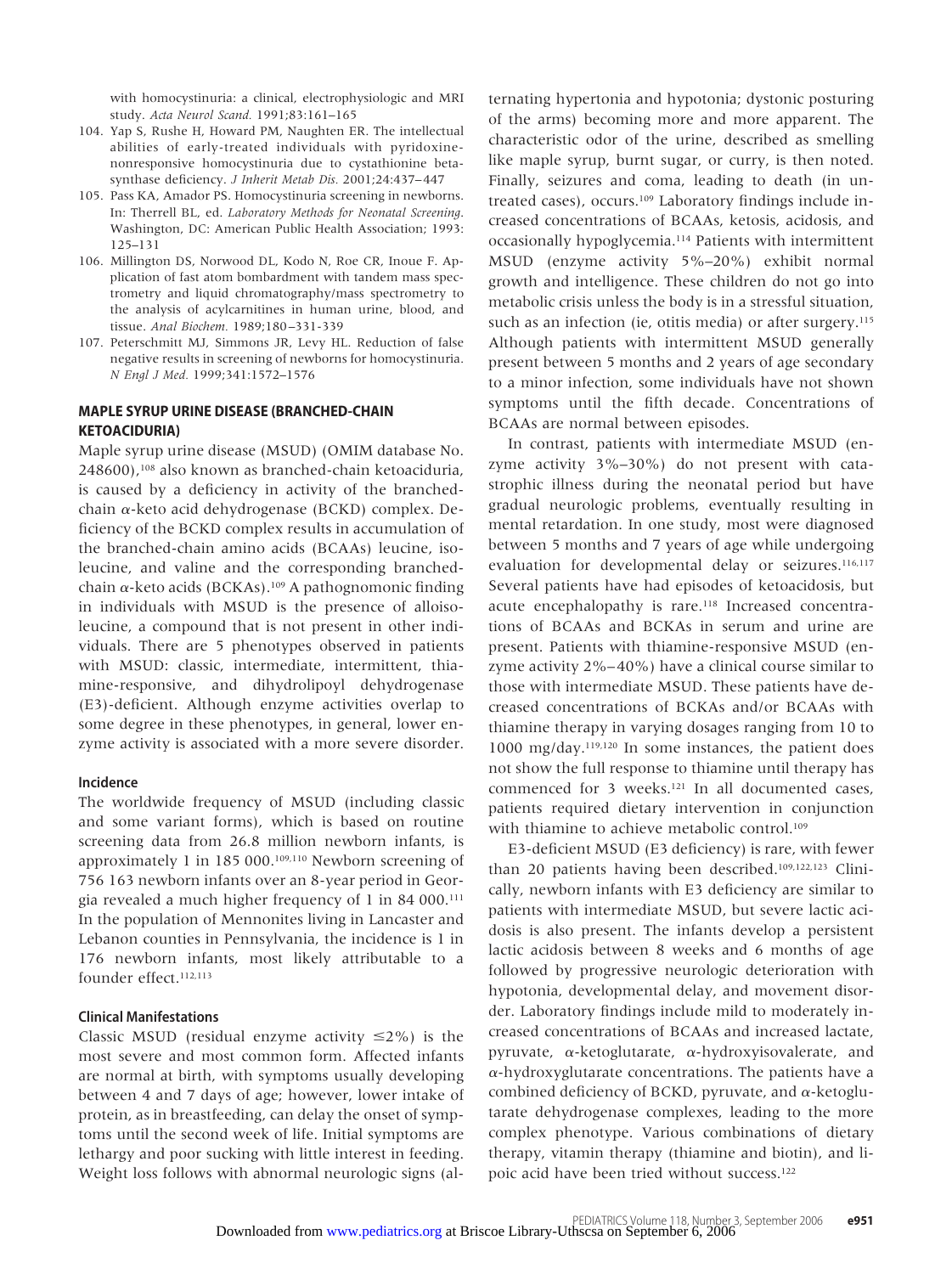with homocystinuria: a clinical, electrophysiologic and MRI study. *Acta Neurol Scand.* 1991;83:161–165

- 104. Yap S, Rushe H, Howard PM, Naughten ER. The intellectual abilities of early-treated individuals with pyridoxinenonresponsive homocystinuria due to cystathionine betasynthase deficiency. *J Inherit Metab Dis.* 2001;24:437– 447
- 105. Pass KA, Amador PS. Homocystinuria screening in newborns. In: Therrell BL, ed. *Laboratory Methods for Neonatal Screening*. Washington, DC: American Public Health Association; 1993: 125–131
- 106. Millington DS, Norwood DL, Kodo N, Roe CR, Inoue F. Application of fast atom bombardment with tandem mass spectrometry and liquid chromatography/mass spectrometry to the analysis of acylcarnitines in human urine, blood, and tissue. *Anal Biochem.* 1989;180 –331-339
- 107. Peterschmitt MJ, Simmons JR, Levy HL. Reduction of false negative results in screening of newborns for homocystinuria. *N Engl J Med.* 1999;341:1572–1576

#### **MAPLE SYRUP URINE DISEASE (BRANCHED-CHAIN KETOACIDURIA)**

Maple syrup urine disease (MSUD) (OMIM database No. 248600),108 also known as branched-chain ketoaciduria, is caused by a deficiency in activity of the branchedchain α-keto acid dehydrogenase (BCKD) complex. Deficiency of the BCKD complex results in accumulation of the branched-chain amino acids (BCAAs) leucine, isoleucine, and valine and the corresponding branchedchain  $\alpha$ -keto acids (BCKAs).<sup>109</sup> A pathognomonic finding in individuals with MSUD is the presence of alloisoleucine, a compound that is not present in other individuals. There are 5 phenotypes observed in patients with MSUD: classic, intermediate, intermittent, thiamine-responsive, and dihydrolipoyl dehydrogenase (E3)-deficient. Although enzyme activities overlap to some degree in these phenotypes, in general, lower enzyme activity is associated with a more severe disorder.

#### **Incidence**

The worldwide frequency of MSUD (including classic and some variant forms), which is based on routine screening data from 26.8 million newborn infants, is approximately 1 in 185 000.109,110 Newborn screening of 756 163 newborn infants over an 8-year period in Georgia revealed a much higher frequency of 1 in 84 000.111 In the population of Mennonites living in Lancaster and Lebanon counties in Pennsylvania, the incidence is 1 in 176 newborn infants, most likely attributable to a founder effect.112,113

#### **Clinical Manifestations**

Classic MSUD (residual enzyme activity  $\leq 2\%$ ) is the most severe and most common form. Affected infants are normal at birth, with symptoms usually developing between 4 and 7 days of age; however, lower intake of protein, as in breastfeeding, can delay the onset of symptoms until the second week of life. Initial symptoms are lethargy and poor sucking with little interest in feeding. Weight loss follows with abnormal neurologic signs (alternating hypertonia and hypotonia; dystonic posturing of the arms) becoming more and more apparent. The characteristic odor of the urine, described as smelling like maple syrup, burnt sugar, or curry, is then noted. Finally, seizures and coma, leading to death (in untreated cases), occurs.<sup>109</sup> Laboratory findings include increased concentrations of BCAAs, ketosis, acidosis, and occasionally hypoglycemia.114 Patients with intermittent MSUD (enzyme activity 5%–20%) exhibit normal growth and intelligence. These children do not go into metabolic crisis unless the body is in a stressful situation, such as an infection (ie, otitis media) or after surgery.<sup>115</sup> Although patients with intermittent MSUD generally present between 5 months and 2 years of age secondary to a minor infection, some individuals have not shown symptoms until the fifth decade. Concentrations of BCAAs are normal between episodes.

In contrast, patients with intermediate MSUD (enzyme activity 3%–30%) do not present with catastrophic illness during the neonatal period but have gradual neurologic problems, eventually resulting in mental retardation. In one study, most were diagnosed between 5 months and 7 years of age while undergoing evaluation for developmental delay or seizures.116,117 Several patients have had episodes of ketoacidosis, but acute encephalopathy is rare.<sup>118</sup> Increased concentrations of BCAAs and BCKAs in serum and urine are present. Patients with thiamine-responsive MSUD (enzyme activity 2%– 40%) have a clinical course similar to those with intermediate MSUD. These patients have decreased concentrations of BCKAs and/or BCAAs with thiamine therapy in varying dosages ranging from 10 to 1000 mg/day.119,120 In some instances, the patient does not show the full response to thiamine until therapy has commenced for 3 weeks.<sup>121</sup> In all documented cases, patients required dietary intervention in conjunction with thiamine to achieve metabolic control.<sup>109</sup>

E3-deficient MSUD (E3 deficiency) is rare, with fewer than 20 patients having been described.109,122,123 Clinically, newborn infants with E3 deficiency are similar to patients with intermediate MSUD, but severe lactic acidosis is also present. The infants develop a persistent lactic acidosis between 8 weeks and 6 months of age followed by progressive neurologic deterioration with hypotonia, developmental delay, and movement disorder. Laboratory findings include mild to moderately increased concentrations of BCAAs and increased lactate, pyruvate, α-ketoglutarate, α-hydroxyisovalerate, and --hydroxyglutarate concentrations. The patients have a combined deficiency of BCKD, pyruvate, and  $\alpha$ -ketoglutarate dehydrogenase complexes, leading to the more complex phenotype. Various combinations of dietary therapy, vitamin therapy (thiamine and biotin), and lipoic acid have been tried without success.122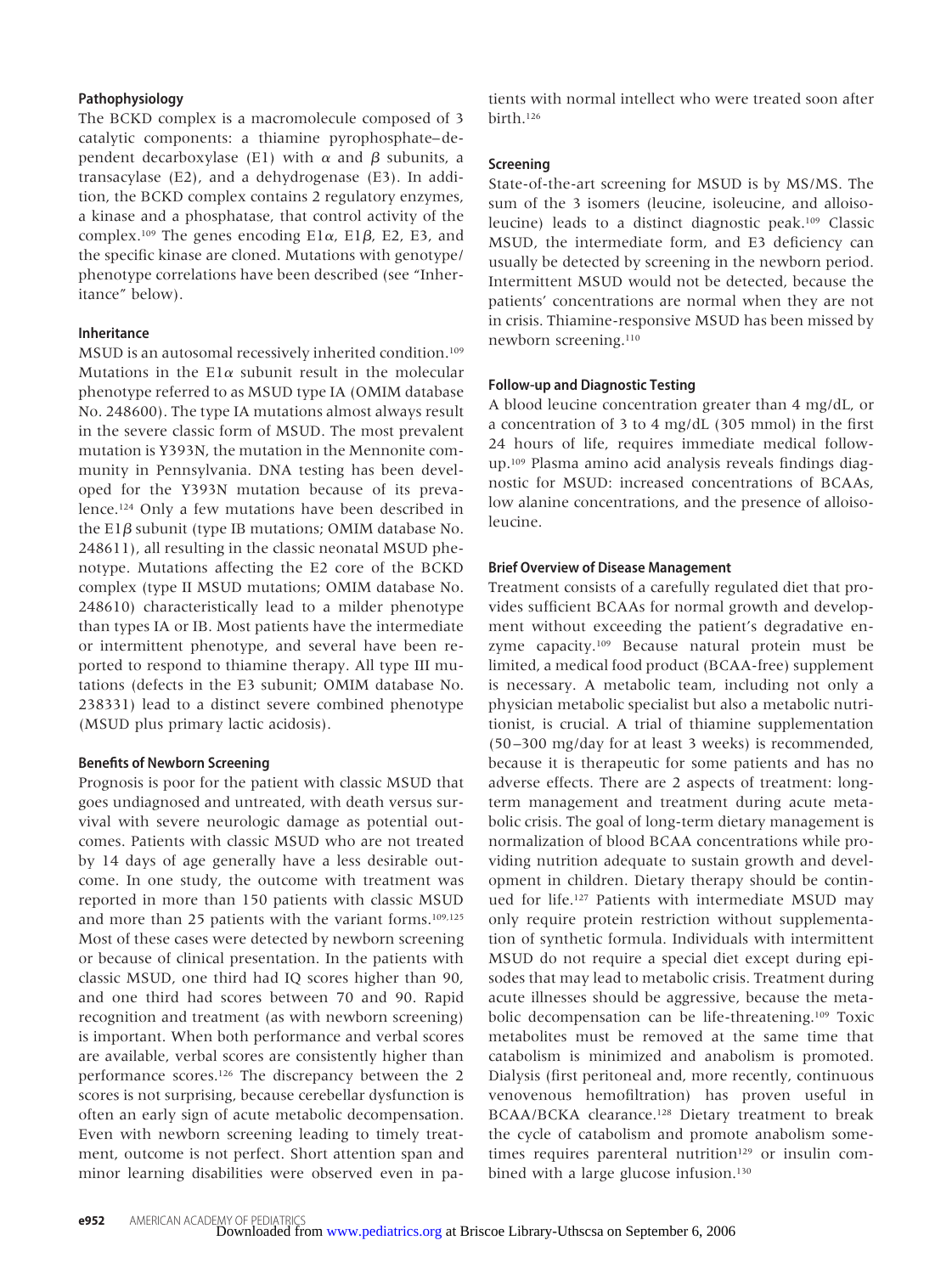#### **Pathophysiology**

The BCKD complex is a macromolecule composed of 3 catalytic components: a thiamine pyrophosphate– dependent decarboxylase (E1) with  $\alpha$  and  $\beta$  subunits, a transacylase (E2), and a dehydrogenase (E3). In addition, the BCKD complex contains 2 regulatory enzymes, a kinase and a phosphatase, that control activity of the complex.<sup>109</sup> The genes encoding  $E1\alpha$ ,  $E1\beta$ , E2, E3, and the specific kinase are cloned. Mutations with genotype/ phenotype correlations have been described (see "Inheritance" below).

#### **Inheritance**

MSUD is an autosomal recessively inherited condition.109 Mutations in the  $E1\alpha$  subunit result in the molecular phenotype referred to as MSUD type IA (OMIM database No. 248600). The type IA mutations almost always result in the severe classic form of MSUD. The most prevalent mutation is Y393N, the mutation in the Mennonite community in Pennsylvania. DNA testing has been developed for the Y393N mutation because of its prevalence.124 Only a few mutations have been described in the E1 $\beta$  subunit (type IB mutations; OMIM database No. 248611), all resulting in the classic neonatal MSUD phenotype. Mutations affecting the E2 core of the BCKD complex (type II MSUD mutations; OMIM database No. 248610) characteristically lead to a milder phenotype than types IA or IB. Most patients have the intermediate or intermittent phenotype, and several have been reported to respond to thiamine therapy. All type III mutations (defects in the E3 subunit; OMIM database No. 238331) lead to a distinct severe combined phenotype (MSUD plus primary lactic acidosis).

#### **Benefits of Newborn Screening**

Prognosis is poor for the patient with classic MSUD that goes undiagnosed and untreated, with death versus survival with severe neurologic damage as potential outcomes. Patients with classic MSUD who are not treated by 14 days of age generally have a less desirable outcome. In one study, the outcome with treatment was reported in more than 150 patients with classic MSUD and more than 25 patients with the variant forms.<sup>109,125</sup> Most of these cases were detected by newborn screening or because of clinical presentation. In the patients with classic MSUD, one third had IQ scores higher than 90, and one third had scores between 70 and 90. Rapid recognition and treatment (as with newborn screening) is important. When both performance and verbal scores are available, verbal scores are consistently higher than performance scores.126 The discrepancy between the 2 scores is not surprising, because cerebellar dysfunction is often an early sign of acute metabolic decompensation. Even with newborn screening leading to timely treatment, outcome is not perfect. Short attention span and minor learning disabilities were observed even in pa-

tients with normal intellect who were treated soon after birth.126

#### **Screening**

State-of-the-art screening for MSUD is by MS/MS. The sum of the 3 isomers (leucine, isoleucine, and alloisoleucine) leads to a distinct diagnostic peak.109 Classic MSUD, the intermediate form, and E3 deficiency can usually be detected by screening in the newborn period. Intermittent MSUD would not be detected, because the patients' concentrations are normal when they are not in crisis. Thiamine-responsive MSUD has been missed by newborn screening.110

#### **Follow-up and Diagnostic Testing**

A blood leucine concentration greater than 4 mg/dL, or a concentration of 3 to 4 mg/dL (305 mmol) in the first 24 hours of life, requires immediate medical followup.109 Plasma amino acid analysis reveals findings diagnostic for MSUD: increased concentrations of BCAAs, low alanine concentrations, and the presence of alloisoleucine.

#### **Brief Overview of Disease Management**

Treatment consists of a carefully regulated diet that provides sufficient BCAAs for normal growth and development without exceeding the patient's degradative enzyme capacity.109 Because natural protein must be limited, a medical food product (BCAA-free) supplement is necessary. A metabolic team, including not only a physician metabolic specialist but also a metabolic nutritionist, is crucial. A trial of thiamine supplementation (50 –300 mg/day for at least 3 weeks) is recommended, because it is therapeutic for some patients and has no adverse effects. There are 2 aspects of treatment: longterm management and treatment during acute metabolic crisis. The goal of long-term dietary management is normalization of blood BCAA concentrations while providing nutrition adequate to sustain growth and development in children. Dietary therapy should be continued for life.127 Patients with intermediate MSUD may only require protein restriction without supplementation of synthetic formula. Individuals with intermittent MSUD do not require a special diet except during episodes that may lead to metabolic crisis. Treatment during acute illnesses should be aggressive, because the metabolic decompensation can be life-threatening.109 Toxic metabolites must be removed at the same time that catabolism is minimized and anabolism is promoted. Dialysis (first peritoneal and, more recently, continuous venovenous hemofiltration) has proven useful in BCAA/BCKA clearance.128 Dietary treatment to break the cycle of catabolism and promote anabolism sometimes requires parenteral nutrition<sup>129</sup> or insulin combined with a large glucose infusion.<sup>130</sup>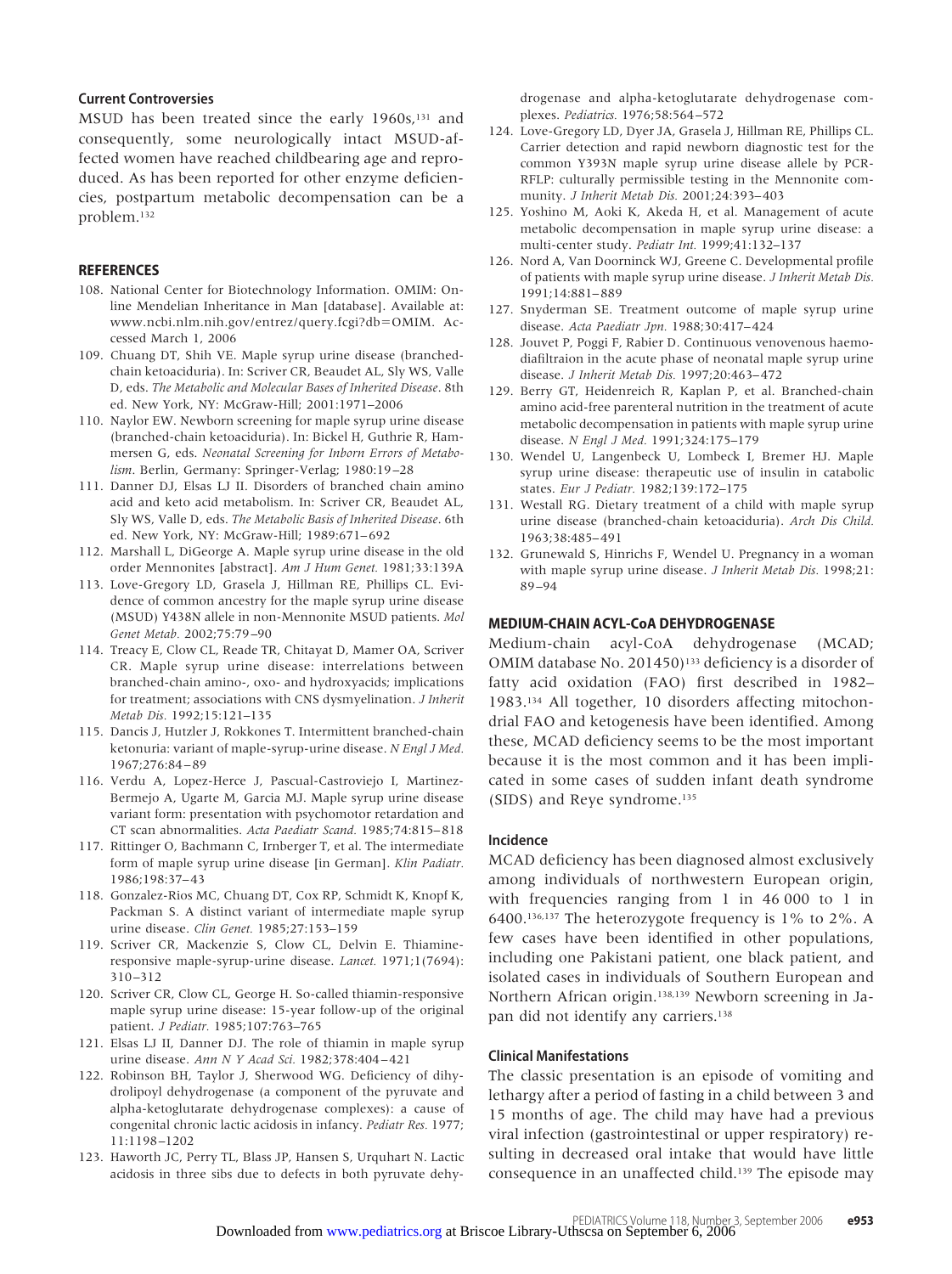#### **Current Controversies**

MSUD has been treated since the early 1960s,<sup>131</sup> and consequently, some neurologically intact MSUD-affected women have reached childbearing age and reproduced. As has been reported for other enzyme deficiencies, postpartum metabolic decompensation can be a problem.132

#### **REFERENCES**

- 108. National Center for Biotechnology Information. OMIM: Online Mendelian Inheritance in Man [database]. Available at: www.ncbi.nlm.nih.gov/entrez/query.fcgi?db=OMIM. Accessed March 1, 2006
- 109. Chuang DT, Shih VE. Maple syrup urine disease (branchedchain ketoaciduria). In: Scriver CR, Beaudet AL, Sly WS, Valle D, eds. *The Metabolic and Molecular Bases of Inherited Disease*. 8th ed. New York, NY: McGraw-Hill; 2001:1971–2006
- 110. Naylor EW. Newborn screening for maple syrup urine disease (branched-chain ketoaciduria). In: Bickel H, Guthrie R, Hammersen G, eds. *Neonatal Screening for Inborn Errors of Metabolism*. Berlin, Germany: Springer-Verlag; 1980:19 –28
- 111. Danner DJ, Elsas LJ II. Disorders of branched chain amino acid and keto acid metabolism. In: Scriver CR, Beaudet AL, Sly WS, Valle D, eds. *The Metabolic Basis of Inherited Disease*. 6th ed. New York, NY: McGraw-Hill; 1989:671-692
- 112. Marshall L, DiGeorge A. Maple syrup urine disease in the old order Mennonites [abstract]. *Am J Hum Genet.* 1981;33:139A
- 113. Love-Gregory LD, Grasela J, Hillman RE, Phillips CL. Evidence of common ancestry for the maple syrup urine disease (MSUD) Y438N allele in non-Mennonite MSUD patients. *Mol Genet Metab.* 2002;75:79 –90
- 114. Treacy E, Clow CL, Reade TR, Chitayat D, Mamer OA, Scriver CR. Maple syrup urine disease: interrelations between branched-chain amino-, oxo- and hydroxyacids; implications for treatment; associations with CNS dysmyelination. *J Inherit Metab Dis.* 1992;15:121–135
- 115. Dancis J, Hutzler J, Rokkones T. Intermittent branched-chain ketonuria: variant of maple-syrup-urine disease. *N Engl J Med.* 1967;276:84 – 89
- 116. Verdu A, Lopez-Herce J, Pascual-Castroviejo I, Martinez-Bermejo A, Ugarte M, Garcia MJ. Maple syrup urine disease variant form: presentation with psychomotor retardation and CT scan abnormalities. *Acta Paediatr Scand.* 1985;74:815– 818
- 117. Rittinger O, Bachmann C, Irnberger T, et al. The intermediate form of maple syrup urine disease [in German]. *Klin Padiatr.* 1986;198:37– 43
- 118. Gonzalez-Rios MC, Chuang DT, Cox RP, Schmidt K, Knopf K, Packman S. A distinct variant of intermediate maple syrup urine disease. *Clin Genet.* 1985;27:153–159
- 119. Scriver CR, Mackenzie S, Clow CL, Delvin E. Thiamineresponsive maple-syrup-urine disease. *Lancet.* 1971;1(7694): 310 –312
- 120. Scriver CR, Clow CL, George H. So-called thiamin-responsive maple syrup urine disease: 15-year follow-up of the original patient. *J Pediatr.* 1985;107:763–765
- 121. Elsas LJ II, Danner DJ. The role of thiamin in maple syrup urine disease. Ann N Y Acad Sci. 1982;378:404-421
- 122. Robinson BH, Taylor J, Sherwood WG. Deficiency of dihydrolipoyl dehydrogenase (a component of the pyruvate and alpha-ketoglutarate dehydrogenase complexes): a cause of congenital chronic lactic acidosis in infancy. *Pediatr Res.* 1977; 11:1198 –1202
- 123. Haworth JC, Perry TL, Blass JP, Hansen S, Urquhart N. Lactic acidosis in three sibs due to defects in both pyruvate dehy-

drogenase and alpha-ketoglutarate dehydrogenase complexes. *Pediatrics.* 1976;58:564 –572

- 124. Love-Gregory LD, Dyer JA, Grasela J, Hillman RE, Phillips CL. Carrier detection and rapid newborn diagnostic test for the common Y393N maple syrup urine disease allele by PCR-RFLP: culturally permissible testing in the Mennonite community. *J Inherit Metab Dis.* 2001;24:393– 403
- 125. Yoshino M, Aoki K, Akeda H, et al. Management of acute metabolic decompensation in maple syrup urine disease: a multi-center study. *Pediatr Int.* 1999;41:132–137
- 126. Nord A, Van Doorninck WJ, Greene C. Developmental profile of patients with maple syrup urine disease. *J Inherit Metab Dis.* 1991;14:881– 889
- 127. Snyderman SE. Treatment outcome of maple syrup urine disease. *Acta Paediatr Jpn.* 1988;30:417– 424
- 128. Jouvet P, Poggi F, Rabier D. Continuous venovenous haemodiafiltraion in the acute phase of neonatal maple syrup urine disease. *J Inherit Metab Dis.* 1997;20:463– 472
- 129. Berry GT, Heidenreich R, Kaplan P, et al. Branched-chain amino acid-free parenteral nutrition in the treatment of acute metabolic decompensation in patients with maple syrup urine disease. *N Engl J Med.* 1991;324:175–179
- 130. Wendel U, Langenbeck U, Lombeck I, Bremer HJ. Maple syrup urine disease: therapeutic use of insulin in catabolic states. *Eur J Pediatr.* 1982;139:172–175
- 131. Westall RG. Dietary treatment of a child with maple syrup urine disease (branched-chain ketoaciduria). *Arch Dis Child.* 1963;38:485– 491
- 132. Grunewald S, Hinrichs F, Wendel U. Pregnancy in a woman with maple syrup urine disease. *J Inherit Metab Dis.* 1998;21: 89 –94

#### **MEDIUM-CHAIN ACYL-CoA DEHYDROGENASE**

Medium-chain acyl-CoA dehydrogenase (MCAD; OMIM database No. 201450)<sup>133</sup> deficiency is a disorder of fatty acid oxidation (FAO) first described in 1982– 1983.134 All together, 10 disorders affecting mitochondrial FAO and ketogenesis have been identified. Among these, MCAD deficiency seems to be the most important because it is the most common and it has been implicated in some cases of sudden infant death syndrome (SIDS) and Reye syndrome.135

#### **Incidence**

MCAD deficiency has been diagnosed almost exclusively among individuals of northwestern European origin, with frequencies ranging from 1 in 46 000 to 1 in 6400.136,137 The heterozygote frequency is 1% to 2%. A few cases have been identified in other populations, including one Pakistani patient, one black patient, and isolated cases in individuals of Southern European and Northern African origin.138,139 Newborn screening in Japan did not identify any carriers.<sup>138</sup>

#### **Clinical Manifestations**

The classic presentation is an episode of vomiting and lethargy after a period of fasting in a child between 3 and 15 months of age. The child may have had a previous viral infection (gastrointestinal or upper respiratory) resulting in decreased oral intake that would have little consequence in an unaffected child.139 The episode may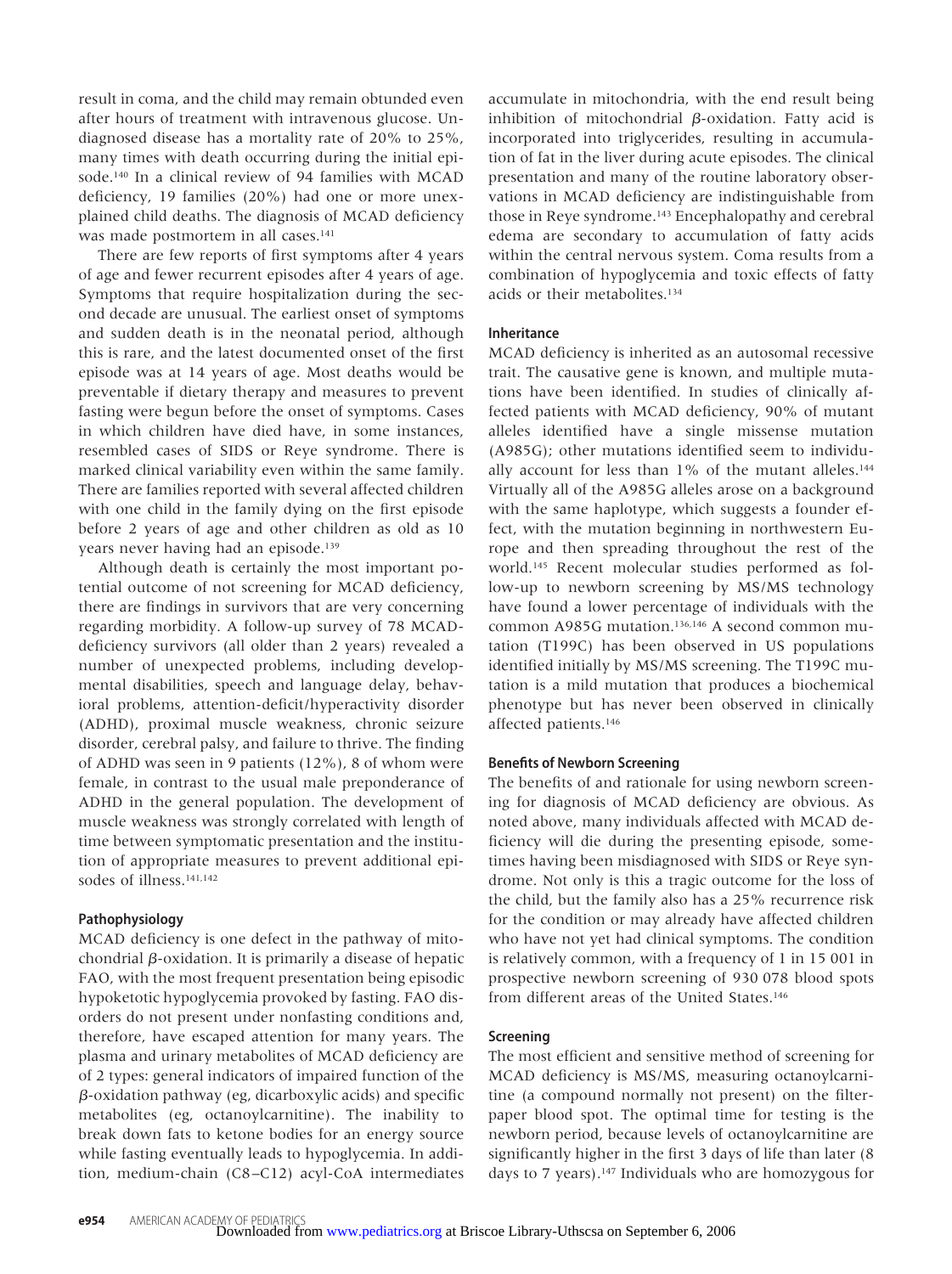result in coma, and the child may remain obtunded even after hours of treatment with intravenous glucose. Undiagnosed disease has a mortality rate of 20% to 25%, many times with death occurring during the initial episode.140 In a clinical review of 94 families with MCAD deficiency, 19 families (20%) had one or more unexplained child deaths. The diagnosis of MCAD deficiency was made postmortem in all cases.<sup>141</sup>

There are few reports of first symptoms after 4 years of age and fewer recurrent episodes after 4 years of age. Symptoms that require hospitalization during the second decade are unusual. The earliest onset of symptoms and sudden death is in the neonatal period, although this is rare, and the latest documented onset of the first episode was at 14 years of age. Most deaths would be preventable if dietary therapy and measures to prevent fasting were begun before the onset of symptoms. Cases in which children have died have, in some instances, resembled cases of SIDS or Reye syndrome. There is marked clinical variability even within the same family. There are families reported with several affected children with one child in the family dying on the first episode before 2 years of age and other children as old as 10 years never having had an episode.139

Although death is certainly the most important potential outcome of not screening for MCAD deficiency, there are findings in survivors that are very concerning regarding morbidity. A follow-up survey of 78 MCADdeficiency survivors (all older than 2 years) revealed a number of unexpected problems, including developmental disabilities, speech and language delay, behavioral problems, attention-deficit/hyperactivity disorder (ADHD), proximal muscle weakness, chronic seizure disorder, cerebral palsy, and failure to thrive. The finding of ADHD was seen in 9 patients (12%), 8 of whom were female, in contrast to the usual male preponderance of ADHD in the general population. The development of muscle weakness was strongly correlated with length of time between symptomatic presentation and the institution of appropriate measures to prevent additional episodes of illness.141,142

#### **Pathophysiology**

MCAD deficiency is one defect in the pathway of mitochondrial  $\beta$ -oxidation. It is primarily a disease of hepatic FAO, with the most frequent presentation being episodic hypoketotic hypoglycemia provoked by fasting. FAO disorders do not present under nonfasting conditions and, therefore, have escaped attention for many years. The plasma and urinary metabolites of MCAD deficiency are of 2 types: general indicators of impaired function of the  $\beta$ -oxidation pathway (eg, dicarboxylic acids) and specific metabolites (eg, octanoylcarnitine). The inability to break down fats to ketone bodies for an energy source while fasting eventually leads to hypoglycemia. In addition, medium-chain (C8 –C12) acyl-CoA intermediates accumulate in mitochondria, with the end result being inhibition of mitochondrial  $\beta$ -oxidation. Fatty acid is incorporated into triglycerides, resulting in accumulation of fat in the liver during acute episodes. The clinical presentation and many of the routine laboratory observations in MCAD deficiency are indistinguishable from those in Reye syndrome.143 Encephalopathy and cerebral edema are secondary to accumulation of fatty acids within the central nervous system. Coma results from a combination of hypoglycemia and toxic effects of fatty acids or their metabolites.134

#### **Inheritance**

MCAD deficiency is inherited as an autosomal recessive trait. The causative gene is known, and multiple mutations have been identified. In studies of clinically affected patients with MCAD deficiency, 90% of mutant alleles identified have a single missense mutation (A985G); other mutations identified seem to individually account for less than 1% of the mutant alleles.<sup>144</sup> Virtually all of the A985G alleles arose on a background with the same haplotype, which suggests a founder effect, with the mutation beginning in northwestern Europe and then spreading throughout the rest of the world.145 Recent molecular studies performed as follow-up to newborn screening by MS/MS technology have found a lower percentage of individuals with the common A985G mutation.136,146 A second common mutation (T199C) has been observed in US populations identified initially by MS/MS screening. The T199C mutation is a mild mutation that produces a biochemical phenotype but has never been observed in clinically affected patients.146

#### **Benefits of Newborn Screening**

The benefits of and rationale for using newborn screening for diagnosis of MCAD deficiency are obvious. As noted above, many individuals affected with MCAD deficiency will die during the presenting episode, sometimes having been misdiagnosed with SIDS or Reye syndrome. Not only is this a tragic outcome for the loss of the child, but the family also has a 25% recurrence risk for the condition or may already have affected children who have not yet had clinical symptoms. The condition is relatively common, with a frequency of 1 in 15 001 in prospective newborn screening of 930 078 blood spots from different areas of the United States.<sup>146</sup>

#### **Screening**

The most efficient and sensitive method of screening for MCAD deficiency is MS/MS, measuring octanoylcarnitine (a compound normally not present) on the filterpaper blood spot. The optimal time for testing is the newborn period, because levels of octanoylcarnitine are significantly higher in the first 3 days of life than later (8 days to 7 years).147 Individuals who are homozygous for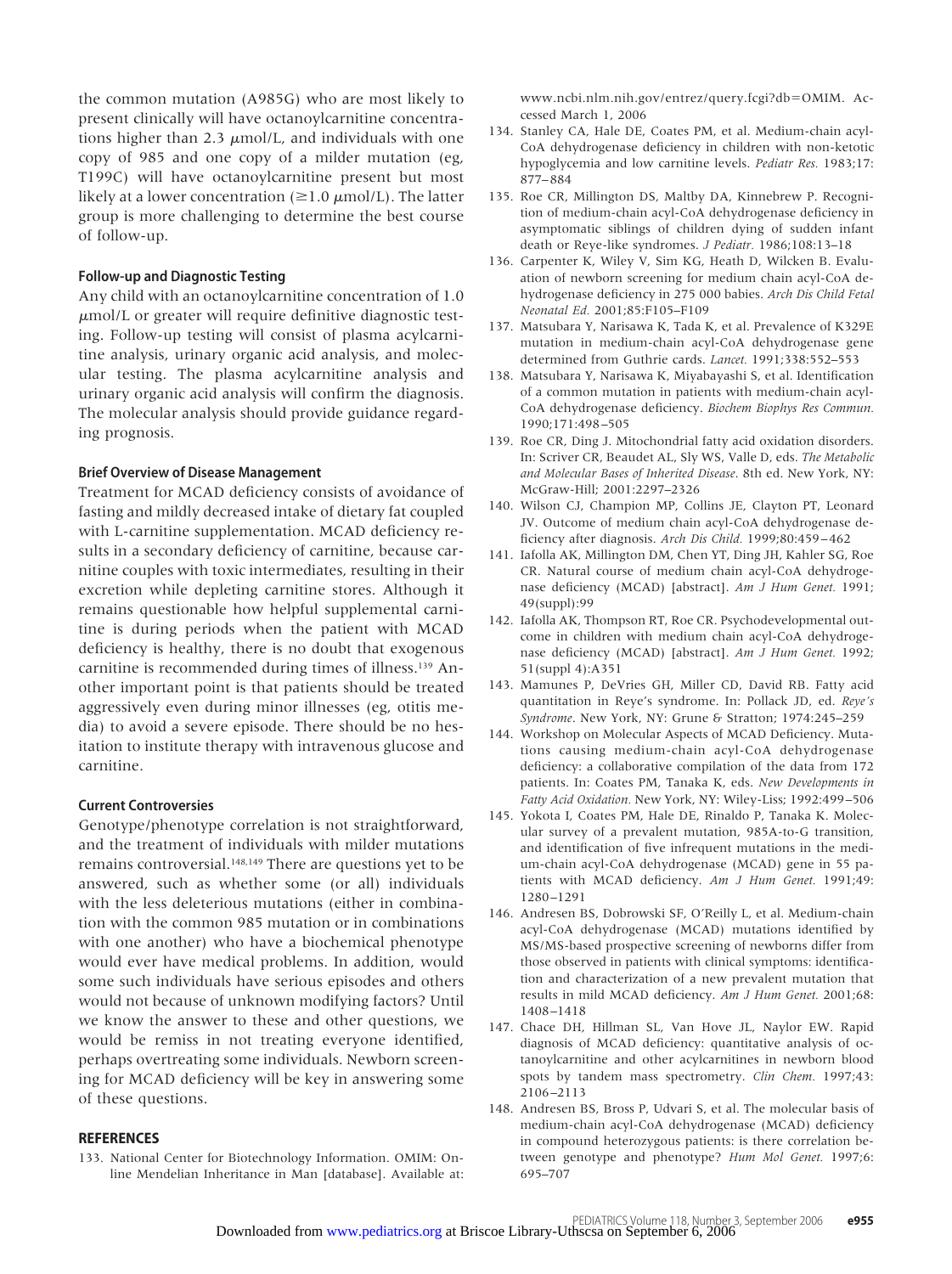the common mutation (A985G) who are most likely to present clinically will have octanoylcarnitine concentrations higher than 2.3  $\mu$ mol/L, and individuals with one copy of 985 and one copy of a milder mutation (eg, T199C) will have octanoylcarnitine present but most likely at a lower concentration ( $\geq$ 1.0  $\mu$ mol/L). The latter group is more challenging to determine the best course of follow-up.

#### **Follow-up and Diagnostic Testing**

Any child with an octanoylcarnitine concentration of 1.0  $\mu$ mol/L or greater will require definitive diagnostic testing. Follow-up testing will consist of plasma acylcarnitine analysis, urinary organic acid analysis, and molecular testing. The plasma acylcarnitine analysis and urinary organic acid analysis will confirm the diagnosis. The molecular analysis should provide guidance regarding prognosis.

#### **Brief Overview of Disease Management**

Treatment for MCAD deficiency consists of avoidance of fasting and mildly decreased intake of dietary fat coupled with L-carnitine supplementation. MCAD deficiency results in a secondary deficiency of carnitine, because carnitine couples with toxic intermediates, resulting in their excretion while depleting carnitine stores. Although it remains questionable how helpful supplemental carnitine is during periods when the patient with MCAD deficiency is healthy, there is no doubt that exogenous carnitine is recommended during times of illness.139 Another important point is that patients should be treated aggressively even during minor illnesses (eg, otitis media) to avoid a severe episode. There should be no hesitation to institute therapy with intravenous glucose and carnitine.

#### **Current Controversies**

Genotype/phenotype correlation is not straightforward, and the treatment of individuals with milder mutations remains controversial.148,149 There are questions yet to be answered, such as whether some (or all) individuals with the less deleterious mutations (either in combination with the common 985 mutation or in combinations with one another) who have a biochemical phenotype would ever have medical problems. In addition, would some such individuals have serious episodes and others would not because of unknown modifying factors? Until we know the answer to these and other questions, we would be remiss in not treating everyone identified, perhaps overtreating some individuals. Newborn screening for MCAD deficiency will be key in answering some of these questions.

#### **REFERENCES**

133. National Center for Biotechnology Information. OMIM: Online Mendelian Inheritance in Man [database]. Available at:

www.ncbi.nlm.nih.gov/entrez/query.fcgi?db=OMIM. Accessed March 1, 2006

- 134. Stanley CA, Hale DE, Coates PM, et al. Medium-chain acyl-CoA dehydrogenase deficiency in children with non-ketotic hypoglycemia and low carnitine levels. *Pediatr Res.* 1983;17: 877– 884
- 135. Roe CR, Millington DS, Maltby DA, Kinnebrew P. Recognition of medium-chain acyl-CoA dehydrogenase deficiency in asymptomatic siblings of children dying of sudden infant death or Reye-like syndromes. *J Pediatr.* 1986;108:13–18
- 136. Carpenter K, Wiley V, Sim KG, Heath D, Wilcken B. Evaluation of newborn screening for medium chain acyl-CoA dehydrogenase deficiency in 275 000 babies. *Arch Dis Child Fetal Neonatal Ed.* 2001;85:F105–F109
- 137. Matsubara Y, Narisawa K, Tada K, et al. Prevalence of K329E mutation in medium-chain acyl-CoA dehydrogenase gene determined from Guthrie cards. *Lancet.* 1991;338:552–553
- 138. Matsubara Y, Narisawa K, Miyabayashi S, et al. Identification of a common mutation in patients with medium-chain acyl-CoA dehydrogenase deficiency. *Biochem Biophys Res Commun.* 1990;171:498 –505
- 139. Roe CR, Ding J. Mitochondrial fatty acid oxidation disorders. In: Scriver CR, Beaudet AL, Sly WS, Valle D, eds. *The Metabolic and Molecular Bases of Inherited Disease*. 8th ed. New York, NY: McGraw-Hill; 2001:2297–2326
- 140. Wilson CJ, Champion MP, Collins JE, Clayton PT, Leonard JV. Outcome of medium chain acyl-CoA dehydrogenase deficiency after diagnosis. *Arch Dis Child.* 1999;80:459 – 462
- 141. Iafolla AK, Millington DM, Chen YT, Ding JH, Kahler SG, Roe CR. Natural course of medium chain acyl-CoA dehydrogenase deficiency (MCAD) [abstract]. *Am J Hum Genet.* 1991; 49(suppl):99
- 142. Iafolla AK, Thompson RT, Roe CR. Psychodevelopmental outcome in children with medium chain acyl-CoA dehydrogenase deficiency (MCAD) [abstract]. *Am J Hum Genet.* 1992; 51(suppl 4):A351
- 143. Mamunes P, DeVries GH, Miller CD, David RB. Fatty acid quantitation in Reye's syndrome. In: Pollack JD, ed. *Reye's Syndrome*. New York, NY: Grune & Stratton; 1974:245–259
- 144. Workshop on Molecular Aspects of MCAD Deficiency. Mutations causing medium-chain acyl-CoA dehydrogenase deficiency: a collaborative compilation of the data from 172 patients. In: Coates PM, Tanaka K, eds. *New Developments in Fatty Acid Oxidation.* New York, NY: Wiley-Liss; 1992:499 –506
- 145. Yokota I, Coates PM, Hale DE, Rinaldo P, Tanaka K. Molecular survey of a prevalent mutation, 985A-to-G transition, and identification of five infrequent mutations in the medium-chain acyl-CoA dehydrogenase (MCAD) gene in 55 patients with MCAD deficiency. *Am J Hum Genet.* 1991;49: 1280 –1291
- 146. Andresen BS, Dobrowski SF, O'Reilly L, et al. Medium-chain acyl-CoA dehydrogenase (MCAD) mutations identified by MS/MS-based prospective screening of newborns differ from those observed in patients with clinical symptoms: identification and characterization of a new prevalent mutation that results in mild MCAD deficiency. *Am J Hum Genet.* 2001;68: 1408 –1418
- 147. Chace DH, Hillman SL, Van Hove JL, Naylor EW. Rapid diagnosis of MCAD deficiency: quantitative analysis of octanoylcarnitine and other acylcarnitines in newborn blood spots by tandem mass spectrometry. *Clin Chem.* 1997;43: 2106 –2113
- 148. Andresen BS, Bross P, Udvari S, et al. The molecular basis of medium-chain acyl-CoA dehydrogenase (MCAD) deficiency in compound heterozygous patients: is there correlation between genotype and phenotype? *Hum Mol Genet.* 1997;6: 695–707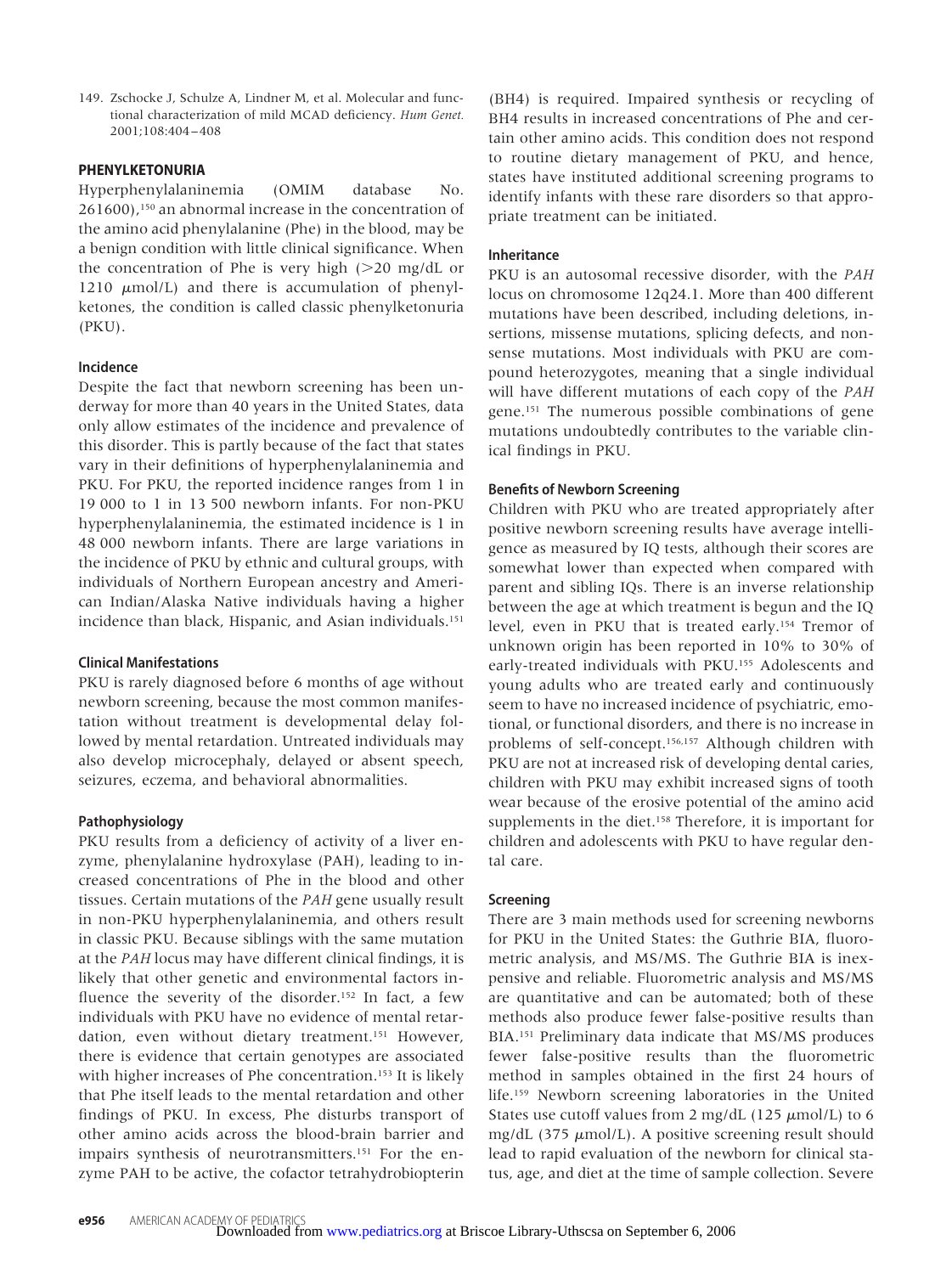149. Zschocke J, Schulze A, Lindner M, et al. Molecular and functional characterization of mild MCAD deficiency. *Hum Genet.* 2001;108:404 – 408

#### **PHENYLKETONURIA**

Hyperphenylalaninemia (OMIM database No. 261600),150 an abnormal increase in the concentration of the amino acid phenylalanine (Phe) in the blood, may be a benign condition with little clinical significance. When the concentration of Phe is very high  $(>20 \text{ mg/dL or})$ 1210  $\mu$ mol/L) and there is accumulation of phenylketones, the condition is called classic phenylketonuria (PKU).

#### **Incidence**

Despite the fact that newborn screening has been underway for more than 40 years in the United States, data only allow estimates of the incidence and prevalence of this disorder. This is partly because of the fact that states vary in their definitions of hyperphenylalaninemia and PKU. For PKU, the reported incidence ranges from 1 in 19 000 to 1 in 13 500 newborn infants. For non-PKU hyperphenylalaninemia, the estimated incidence is 1 in 48 000 newborn infants. There are large variations in the incidence of PKU by ethnic and cultural groups, with individuals of Northern European ancestry and American Indian/Alaska Native individuals having a higher incidence than black, Hispanic, and Asian individuals.151

#### **Clinical Manifestations**

PKU is rarely diagnosed before 6 months of age without newborn screening, because the most common manifestation without treatment is developmental delay followed by mental retardation. Untreated individuals may also develop microcephaly, delayed or absent speech, seizures, eczema, and behavioral abnormalities.

#### **Pathophysiology**

PKU results from a deficiency of activity of a liver enzyme, phenylalanine hydroxylase (PAH), leading to increased concentrations of Phe in the blood and other tissues. Certain mutations of the *PAH* gene usually result in non-PKU hyperphenylalaninemia, and others result in classic PKU. Because siblings with the same mutation at the *PAH* locus may have different clinical findings, it is likely that other genetic and environmental factors influence the severity of the disorder.<sup>152</sup> In fact, a few individuals with PKU have no evidence of mental retardation, even without dietary treatment.<sup>151</sup> However, there is evidence that certain genotypes are associated with higher increases of Phe concentration.<sup>153</sup> It is likely that Phe itself leads to the mental retardation and other findings of PKU. In excess, Phe disturbs transport of other amino acids across the blood-brain barrier and impairs synthesis of neurotransmitters.<sup>151</sup> For the enzyme PAH to be active, the cofactor tetrahydrobiopterin

(BH4) is required. Impaired synthesis or recycling of BH4 results in increased concentrations of Phe and certain other amino acids. This condition does not respond to routine dietary management of PKU, and hence, states have instituted additional screening programs to identify infants with these rare disorders so that appropriate treatment can be initiated.

#### **Inheritance**

PKU is an autosomal recessive disorder, with the *PAH* locus on chromosome 12q24.1. More than 400 different mutations have been described, including deletions, insertions, missense mutations, splicing defects, and nonsense mutations. Most individuals with PKU are compound heterozygotes, meaning that a single individual will have different mutations of each copy of the *PAH* gene.151 The numerous possible combinations of gene mutations undoubtedly contributes to the variable clinical findings in PKU.

#### **Benefits of Newborn Screening**

Children with PKU who are treated appropriately after positive newborn screening results have average intelligence as measured by IQ tests, although their scores are somewhat lower than expected when compared with parent and sibling IQs. There is an inverse relationship between the age at which treatment is begun and the IQ level, even in PKU that is treated early.154 Tremor of unknown origin has been reported in 10% to 30% of early-treated individuals with PKU.155 Adolescents and young adults who are treated early and continuously seem to have no increased incidence of psychiatric, emotional, or functional disorders, and there is no increase in problems of self-concept.156,157 Although children with PKU are not at increased risk of developing dental caries, children with PKU may exhibit increased signs of tooth wear because of the erosive potential of the amino acid supplements in the diet.<sup>158</sup> Therefore, it is important for children and adolescents with PKU to have regular dental care.

#### **Screening**

There are 3 main methods used for screening newborns for PKU in the United States: the Guthrie BIA, fluorometric analysis, and MS/MS. The Guthrie BIA is inexpensive and reliable. Fluorometric analysis and MS/MS are quantitative and can be automated; both of these methods also produce fewer false-positive results than BIA.151 Preliminary data indicate that MS/MS produces fewer false-positive results than the fluorometric method in samples obtained in the first 24 hours of life.159 Newborn screening laboratories in the United States use cutoff values from 2 mg/dL (125  $\mu$ mol/L) to 6 mg/dL (375  $\mu$ mol/L). A positive screening result should lead to rapid evaluation of the newborn for clinical status, age, and diet at the time of sample collection. Severe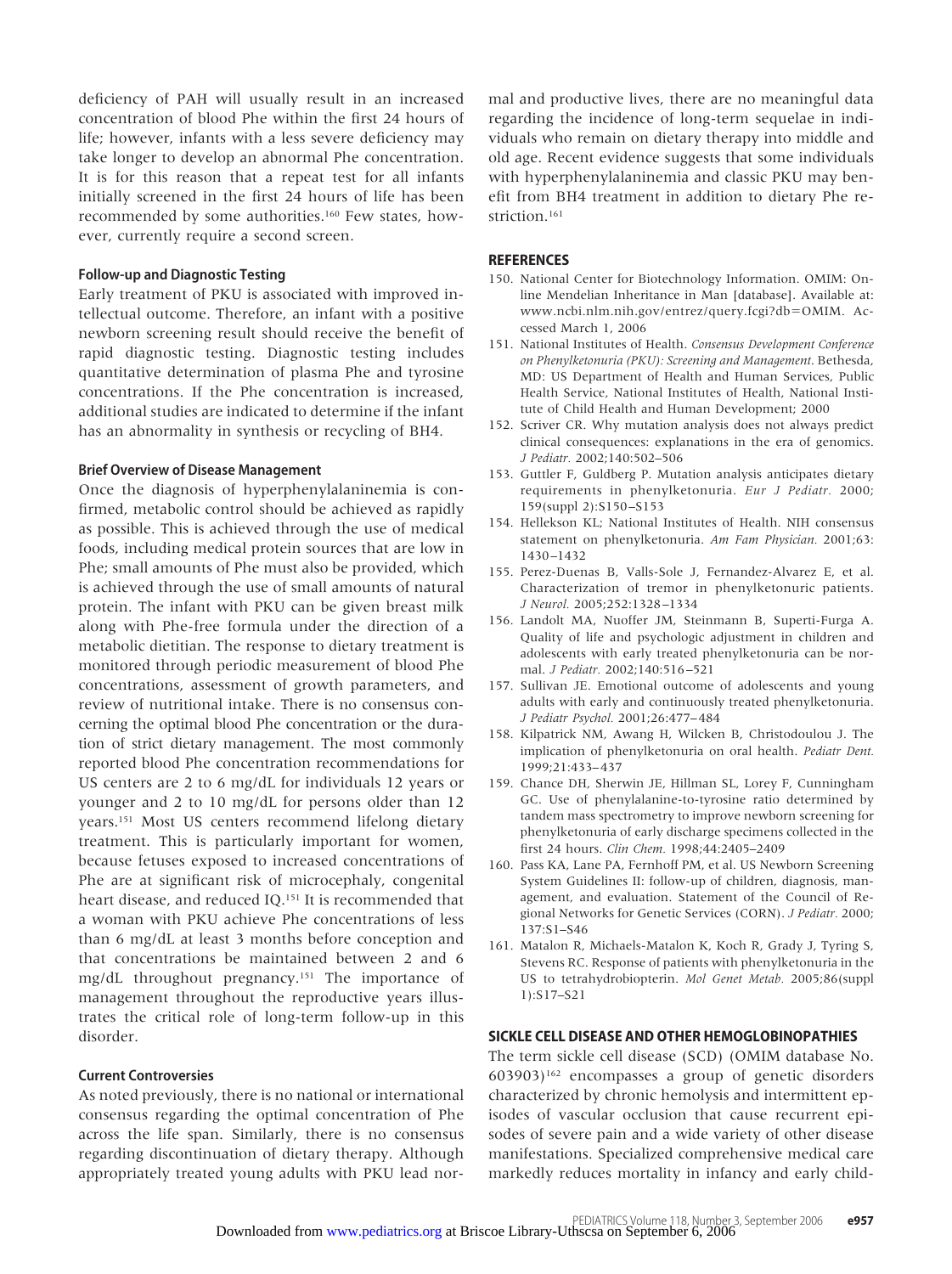deficiency of PAH will usually result in an increased concentration of blood Phe within the first 24 hours of life; however, infants with a less severe deficiency may take longer to develop an abnormal Phe concentration. It is for this reason that a repeat test for all infants initially screened in the first 24 hours of life has been recommended by some authorities.160 Few states, however, currently require a second screen.

#### **Follow-up and Diagnostic Testing**

Early treatment of PKU is associated with improved intellectual outcome. Therefore, an infant with a positive newborn screening result should receive the benefit of rapid diagnostic testing. Diagnostic testing includes quantitative determination of plasma Phe and tyrosine concentrations. If the Phe concentration is increased, additional studies are indicated to determine if the infant has an abnormality in synthesis or recycling of BH4.

#### **Brief Overview of Disease Management**

Once the diagnosis of hyperphenylalaninemia is confirmed, metabolic control should be achieved as rapidly as possible. This is achieved through the use of medical foods, including medical protein sources that are low in Phe; small amounts of Phe must also be provided, which is achieved through the use of small amounts of natural protein. The infant with PKU can be given breast milk along with Phe-free formula under the direction of a metabolic dietitian. The response to dietary treatment is monitored through periodic measurement of blood Phe concentrations, assessment of growth parameters, and review of nutritional intake. There is no consensus concerning the optimal blood Phe concentration or the duration of strict dietary management. The most commonly reported blood Phe concentration recommendations for US centers are 2 to 6 mg/dL for individuals 12 years or younger and 2 to 10 mg/dL for persons older than 12 years.151 Most US centers recommend lifelong dietary treatment. This is particularly important for women, because fetuses exposed to increased concentrations of Phe are at significant risk of microcephaly, congenital heart disease, and reduced IQ.151 It is recommended that a woman with PKU achieve Phe concentrations of less than 6 mg/dL at least 3 months before conception and that concentrations be maintained between 2 and 6 mg/dL throughout pregnancy.151 The importance of management throughout the reproductive years illustrates the critical role of long-term follow-up in this disorder.

#### **Current Controversies**

As noted previously, there is no national or international consensus regarding the optimal concentration of Phe across the life span. Similarly, there is no consensus regarding discontinuation of dietary therapy. Although appropriately treated young adults with PKU lead normal and productive lives, there are no meaningful data regarding the incidence of long-term sequelae in individuals who remain on dietary therapy into middle and old age. Recent evidence suggests that some individuals with hyperphenylalaninemia and classic PKU may benefit from BH4 treatment in addition to dietary Phe restriction.161

#### **REFERENCES**

- 150. National Center for Biotechnology Information. OMIM: Online Mendelian Inheritance in Man [database]. Available at: www.ncbi.nlm.nih.gov/entrez/query.fcgi?db=OMIM. Accessed March 1, 2006
- 151. National Institutes of Health. *Consensus Development Conference on Phenylketonuria (PKU): Screening and Management*. Bethesda, MD: US Department of Health and Human Services, Public Health Service, National Institutes of Health, National Institute of Child Health and Human Development; 2000
- 152. Scriver CR. Why mutation analysis does not always predict clinical consequences: explanations in the era of genomics. *J Pediatr.* 2002;140:502–506
- 153. Guttler F, Guldberg P. Mutation analysis anticipates dietary requirements in phenylketonuria. *Eur J Pediatr.* 2000; 159(suppl 2):S150 –S153
- 154. Hellekson KL; National Institutes of Health. NIH consensus statement on phenylketonuria. *Am Fam Physician.* 2001;63: 1430 –1432
- 155. Perez-Duenas B, Valls-Sole J, Fernandez-Alvarez E, et al. Characterization of tremor in phenylketonuric patients. *J Neurol.* 2005;252:1328 –1334
- 156. Landolt MA, Nuoffer JM, Steinmann B, Superti-Furga A. Quality of life and psychologic adjustment in children and adolescents with early treated phenylketonuria can be normal. *J Pediatr.* 2002;140:516 –521
- 157. Sullivan JE. Emotional outcome of adolescents and young adults with early and continuously treated phenylketonuria. *J Pediatr Psychol.* 2001;26:477– 484
- 158. Kilpatrick NM, Awang H, Wilcken B, Christodoulou J. The implication of phenylketonuria on oral health. *Pediatr Dent.* 1999;21:433– 437
- 159. Chance DH, Sherwin JE, Hillman SL, Lorey F, Cunningham GC. Use of phenylalanine-to-tyrosine ratio determined by tandem mass spectrometry to improve newborn screening for phenylketonuria of early discharge specimens collected in the first 24 hours. *Clin Chem.* 1998;44:2405–2409
- 160. Pass KA, Lane PA, Fernhoff PM, et al. US Newborn Screening System Guidelines II: follow-up of children, diagnosis, management, and evaluation. Statement of the Council of Regional Networks for Genetic Services (CORN). *J Pediatr.* 2000; 137:S1–S46
- 161. Matalon R, Michaels-Matalon K, Koch R, Grady J, Tyring S, Stevens RC. Response of patients with phenylketonuria in the US to tetrahydrobiopterin. *Mol Genet Metab.* 2005;86(suppl 1):S17–S21

#### **SICKLE CELL DISEASE AND OTHER HEMOGLOBINOPATHIES**

The term sickle cell disease (SCD) (OMIM database No. 603903)162 encompasses a group of genetic disorders characterized by chronic hemolysis and intermittent episodes of vascular occlusion that cause recurrent episodes of severe pain and a wide variety of other disease manifestations. Specialized comprehensive medical care markedly reduces mortality in infancy and early child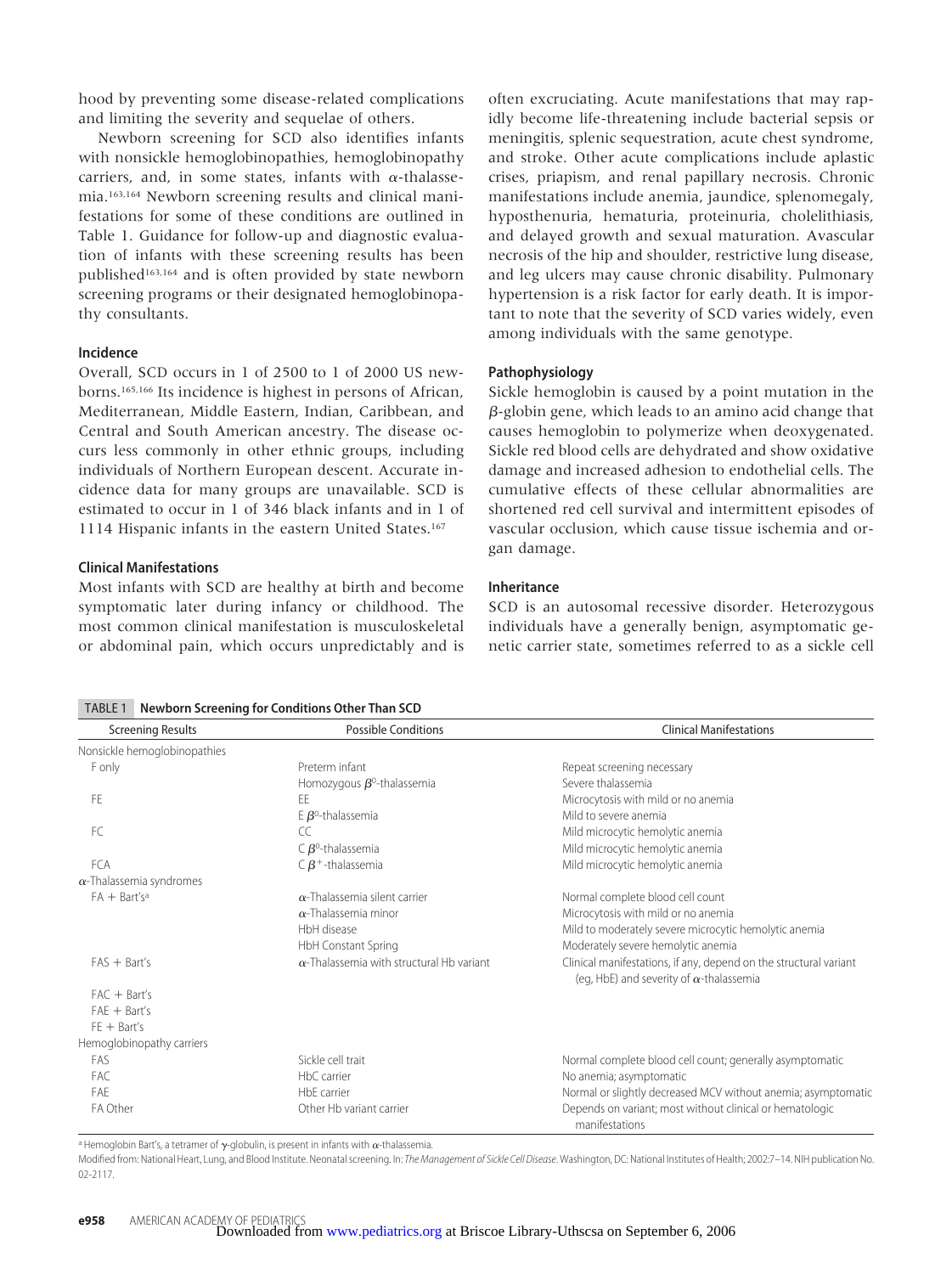hood by preventing some disease-related complications and limiting the severity and sequelae of others.

Newborn screening for SCD also identifies infants with nonsickle hemoglobinopathies, hemoglobinopathy carriers, and, in some states, infants with  $\alpha$ -thalassemia.163,164 Newborn screening results and clinical manifestations for some of these conditions are outlined in Table 1. Guidance for follow-up and diagnostic evaluation of infants with these screening results has been published163,164 and is often provided by state newborn screening programs or their designated hemoglobinopathy consultants.

#### **Incidence**

Overall, SCD occurs in 1 of 2500 to 1 of 2000 US newborns.165,166 Its incidence is highest in persons of African, Mediterranean, Middle Eastern, Indian, Caribbean, and Central and South American ancestry. The disease occurs less commonly in other ethnic groups, including individuals of Northern European descent. Accurate incidence data for many groups are unavailable. SCD is estimated to occur in 1 of 346 black infants and in 1 of 1114 Hispanic infants in the eastern United States.167

#### **Clinical Manifestations**

Most infants with SCD are healthy at birth and become symptomatic later during infancy or childhood. The most common clinical manifestation is musculoskeletal or abdominal pain, which occurs unpredictably and is often excruciating. Acute manifestations that may rapidly become life-threatening include bacterial sepsis or meningitis, splenic sequestration, acute chest syndrome, and stroke. Other acute complications include aplastic crises, priapism, and renal papillary necrosis. Chronic manifestations include anemia, jaundice, splenomegaly, hyposthenuria, hematuria, proteinuria, cholelithiasis, and delayed growth and sexual maturation. Avascular necrosis of the hip and shoulder, restrictive lung disease, and leg ulcers may cause chronic disability. Pulmonary hypertension is a risk factor for early death. It is important to note that the severity of SCD varies widely, even among individuals with the same genotype.

#### **Pathophysiology**

Sickle hemoglobin is caused by a point mutation in the  $\beta$ -globin gene, which leads to an amino acid change that causes hemoglobin to polymerize when deoxygenated. Sickle red blood cells are dehydrated and show oxidative damage and increased adhesion to endothelial cells. The cumulative effects of these cellular abnormalities are shortened red cell survival and intermittent episodes of vascular occlusion, which cause tissue ischemia and organ damage.

#### **Inheritance**

SCD is an autosomal recessive disorder. Heterozygous individuals have a generally benign, asymptomatic genetic carrier state, sometimes referred to as a sickle cell

TABLE 1 **Newborn Screening for Conditions Other Than SCD**

| <b>Screening Results</b>        | <b>Possible Conditions</b>                       | <b>Clinical Manifestations</b>                                                                                       |
|---------------------------------|--------------------------------------------------|----------------------------------------------------------------------------------------------------------------------|
| Nonsickle hemoglobinopathies    |                                                  |                                                                                                                      |
| F only                          | Preterm infant                                   | Repeat screening necessary                                                                                           |
|                                 | Homozygous $\beta$ <sup>o</sup> -thalassemia     | Severe thalassemia                                                                                                   |
| <b>FE</b>                       | FF.                                              | Microcytosis with mild or no anemia                                                                                  |
|                                 | $E$ $\beta$ <sup>o</sup> -thalassemia            | Mild to severe anemia                                                                                                |
| FC.                             | CC                                               | Mild microcytic hemolytic anemia                                                                                     |
|                                 | $\subset \beta$ <sup>o</sup> -thalassemia        | Mild microcytic hemolytic anemia                                                                                     |
| <b>FCA</b>                      | $C$ $\beta$ <sup>+</sup> -thalassemia            | Mild microcytic hemolytic anemia                                                                                     |
| $\alpha$ -Thalassemia syndromes |                                                  |                                                                                                                      |
| $FA + Bart's^a$                 | $\alpha$ -Thalassemia silent carrier             | Normal complete blood cell count                                                                                     |
|                                 | $\alpha$ -Thalassemia minor                      | Microcytosis with mild or no anemia                                                                                  |
|                                 | HbH disease                                      | Mild to moderately severe microcytic hemolytic anemia                                                                |
|                                 | <b>HbH Constant Spring</b>                       | Moderately severe hemolytic anemia                                                                                   |
| $FAS + Bart's$                  | $\alpha$ -Thalassemia with structural Hb variant | Clinical manifestations, if any, depend on the structural variant<br>(eq, HbE) and severity of $\alpha$ -thalassemia |
| $FAC + Bart's$                  |                                                  |                                                                                                                      |
| $FAF + Bart's$                  |                                                  |                                                                                                                      |
| $FF + Bart's$                   |                                                  |                                                                                                                      |
| Hemoglobinopathy carriers       |                                                  |                                                                                                                      |
| FAS                             | Sickle cell trait                                | Normal complete blood cell count; generally asymptomatic                                                             |
| FAC.                            | HbC carrier                                      | No anemia; asymptomatic                                                                                              |
| FAF                             | HbF carrier                                      | Normal or slightly decreased MCV without anemia; asymptomatic                                                        |
| FA Other                        | Other Hb variant carrier                         | Depends on variant; most without clinical or hematologic<br>manifestations                                           |

<sup>a</sup> Hemoglobin Bart's, a tetramer of  $\gamma$ -globulin, is present in infants with  $\alpha$ -thalassemia.

Modified from: National Heart, Lung, and Blood Institute. Neonatal screening. In: The Management of Sickle Cell Disease. Washington, DC: National Institutes of Health; 2002:7-14. NIH publication No. 02-2117.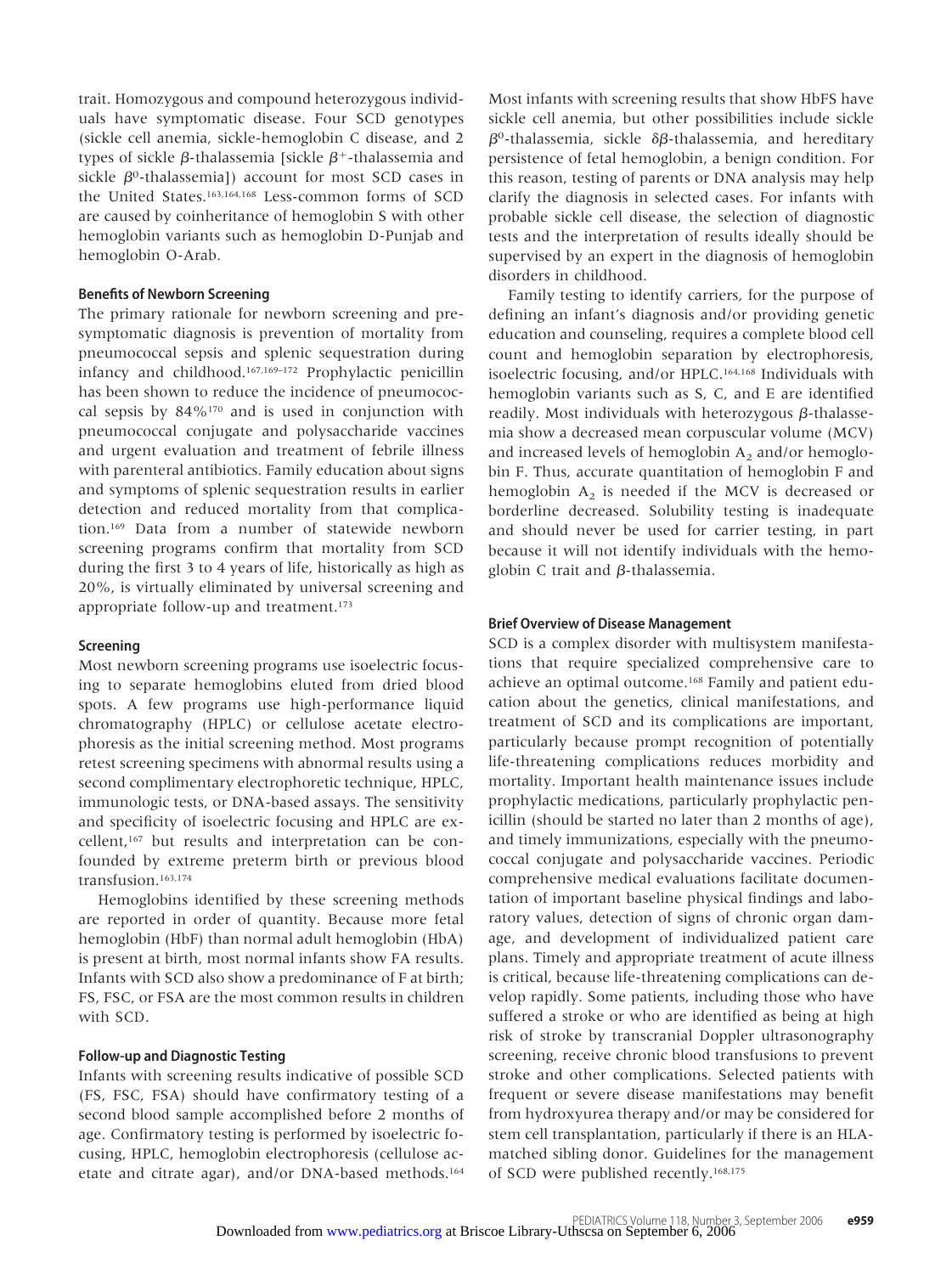trait. Homozygous and compound heterozygous individuals have symptomatic disease. Four SCD genotypes (sickle cell anemia, sickle-hemoglobin C disease, and 2 types of sickle  $\beta$ -thalassemia [sickle  $\beta$ <sup>+</sup>-thalassemia and sickle  $\beta^0$ -thalassemia]) account for most SCD cases in the United States.163,164,168 Less-common forms of SCD are caused by coinheritance of hemoglobin S with other hemoglobin variants such as hemoglobin D-Punjab and hemoglobin O-Arab.

#### **Benefits of Newborn Screening**

The primary rationale for newborn screening and presymptomatic diagnosis is prevention of mortality from pneumococcal sepsis and splenic sequestration during infancy and childhood.167,169–172 Prophylactic penicillin has been shown to reduce the incidence of pneumococcal sepsis by 84%170 and is used in conjunction with pneumococcal conjugate and polysaccharide vaccines and urgent evaluation and treatment of febrile illness with parenteral antibiotics. Family education about signs and symptoms of splenic sequestration results in earlier detection and reduced mortality from that complication.169 Data from a number of statewide newborn screening programs confirm that mortality from SCD during the first 3 to 4 years of life, historically as high as 20%, is virtually eliminated by universal screening and appropriate follow-up and treatment.173

#### **Screening**

Most newborn screening programs use isoelectric focusing to separate hemoglobins eluted from dried blood spots. A few programs use high-performance liquid chromatography (HPLC) or cellulose acetate electrophoresis as the initial screening method. Most programs retest screening specimens with abnormal results using a second complimentary electrophoretic technique, HPLC, immunologic tests, or DNA-based assays. The sensitivity and specificity of isoelectric focusing and HPLC are excellent,167 but results and interpretation can be confounded by extreme preterm birth or previous blood transfusion.163,174

Hemoglobins identified by these screening methods are reported in order of quantity. Because more fetal hemoglobin (HbF) than normal adult hemoglobin (HbA) is present at birth, most normal infants show FA results. Infants with SCD also show a predominance of F at birth; FS, FSC, or FSA are the most common results in children with SCD.

#### **Follow-up and Diagnostic Testing**

Infants with screening results indicative of possible SCD (FS, FSC, FSA) should have confirmatory testing of a second blood sample accomplished before 2 months of age. Confirmatory testing is performed by isoelectric focusing, HPLC, hemoglobin electrophoresis (cellulose acetate and citrate agar), and/or DNA-based methods.164 Most infants with screening results that show HbFS have sickle cell anemia, but other possibilities include sickle  $\beta$ <sup>o</sup>-thalassemia, sickle  $\delta\beta$ -thalassemia, and hereditary persistence of fetal hemoglobin, a benign condition. For this reason, testing of parents or DNA analysis may help clarify the diagnosis in selected cases. For infants with probable sickle cell disease, the selection of diagnostic tests and the interpretation of results ideally should be supervised by an expert in the diagnosis of hemoglobin disorders in childhood.

Family testing to identify carriers, for the purpose of defining an infant's diagnosis and/or providing genetic education and counseling, requires a complete blood cell count and hemoglobin separation by electrophoresis, isoelectric focusing, and/or HPLC.164,168 Individuals with hemoglobin variants such as S, C, and E are identified readily. Most individuals with heterozygous  $\beta$ -thalassemia show a decreased mean corpuscular volume (MCV) and increased levels of hemoglobin  $A_2$  and/or hemoglobin F. Thus, accurate quantitation of hemoglobin F and hemoglobin  $A_2$  is needed if the MCV is decreased or borderline decreased. Solubility testing is inadequate and should never be used for carrier testing, in part because it will not identify individuals with the hemoglobin C trait and  $\beta$ -thalassemia.

#### **Brief Overview of Disease Management**

SCD is a complex disorder with multisystem manifestations that require specialized comprehensive care to achieve an optimal outcome.168 Family and patient education about the genetics, clinical manifestations, and treatment of SCD and its complications are important, particularly because prompt recognition of potentially life-threatening complications reduces morbidity and mortality. Important health maintenance issues include prophylactic medications, particularly prophylactic penicillin (should be started no later than 2 months of age), and timely immunizations, especially with the pneumococcal conjugate and polysaccharide vaccines. Periodic comprehensive medical evaluations facilitate documentation of important baseline physical findings and laboratory values, detection of signs of chronic organ damage, and development of individualized patient care plans. Timely and appropriate treatment of acute illness is critical, because life-threatening complications can develop rapidly. Some patients, including those who have suffered a stroke or who are identified as being at high risk of stroke by transcranial Doppler ultrasonography screening, receive chronic blood transfusions to prevent stroke and other complications. Selected patients with frequent or severe disease manifestations may benefit from hydroxyurea therapy and/or may be considered for stem cell transplantation, particularly if there is an HLAmatched sibling donor. Guidelines for the management of SCD were published recently.168,175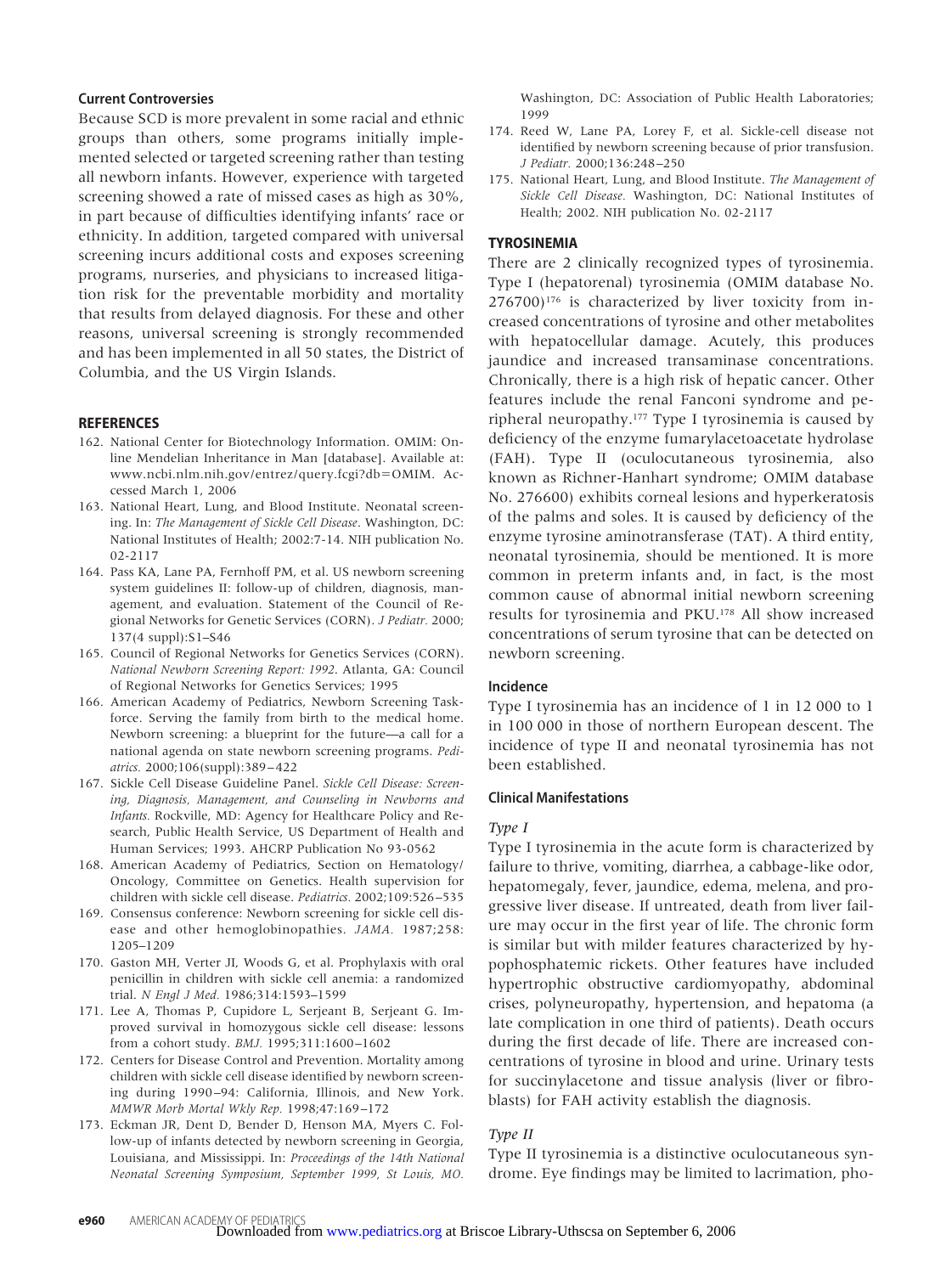#### **Current Controversies**

Because SCD is more prevalent in some racial and ethnic groups than others, some programs initially implemented selected or targeted screening rather than testing all newborn infants. However, experience with targeted screening showed a rate of missed cases as high as 30%, in part because of difficulties identifying infants' race or ethnicity. In addition, targeted compared with universal screening incurs additional costs and exposes screening programs, nurseries, and physicians to increased litigation risk for the preventable morbidity and mortality that results from delayed diagnosis. For these and other reasons, universal screening is strongly recommended and has been implemented in all 50 states, the District of Columbia, and the US Virgin Islands.

#### **REFERENCES**

- 162. National Center for Biotechnology Information. OMIM: Online Mendelian Inheritance in Man [database]. Available at: www.ncbi.nlm.nih.gov/entrez/query.fcgi?db=OMIM. Accessed March 1, 2006
- 163. National Heart, Lung, and Blood Institute. Neonatal screening. In: *The Management of Sickle Cell Disease*. Washington, DC: National Institutes of Health; 2002:7-14. NIH publication No. 02-2117
- 164. Pass KA, Lane PA, Fernhoff PM, et al. US newborn screening system guidelines II: follow-up of children, diagnosis, management, and evaluation. Statement of the Council of Regional Networks for Genetic Services (CORN). *J Pediatr.* 2000; 137(4 suppl):S1–S46
- 165. Council of Regional Networks for Genetics Services (CORN). *National Newborn Screening Report: 1992*. Atlanta, GA: Council of Regional Networks for Genetics Services; 1995
- 166. American Academy of Pediatrics, Newborn Screening Taskforce. Serving the family from birth to the medical home. Newborn screening: a blueprint for the future—a call for a national agenda on state newborn screening programs. *Pediatrics.* 2000;106(suppl):389 – 422
- 167. Sickle Cell Disease Guideline Panel. *Sickle Cell Disease: Screening, Diagnosis, Management, and Counseling in Newborns and Infants.* Rockville, MD: Agency for Healthcare Policy and Research, Public Health Service, US Department of Health and Human Services; 1993. AHCRP Publication No 93-0562
- 168. American Academy of Pediatrics, Section on Hematology/ Oncology, Committee on Genetics. Health supervision for children with sickle cell disease. *Pediatrics.* 2002;109:526 –535
- 169. Consensus conference: Newborn screening for sickle cell disease and other hemoglobinopathies. *JAMA.* 1987;258: 1205–1209
- 170. Gaston MH, Verter JI, Woods G, et al. Prophylaxis with oral penicillin in children with sickle cell anemia: a randomized trial. *N Engl J Med.* 1986;314:1593–1599
- 171. Lee A, Thomas P, Cupidore L, Serjeant B, Serjeant G. Improved survival in homozygous sickle cell disease: lessons from a cohort study. *BMJ.* 1995;311:1600 –1602
- 172. Centers for Disease Control and Prevention. Mortality among children with sickle cell disease identified by newborn screening during 1990 –94: California, Illinois, and New York. *MMWR Morb Mortal Wkly Rep.* 1998;47:169 –172
- 173. Eckman JR, Dent D, Bender D, Henson MA, Myers C. Follow-up of infants detected by newborn screening in Georgia, Louisiana, and Mississippi. In: *Proceedings of the 14th National Neonatal Screening Symposium, September 1999, St Louis, MO.*

Washington, DC: Association of Public Health Laboratories; 1999

- 174. Reed W, Lane PA, Lorey F, et al. Sickle-cell disease not identified by newborn screening because of prior transfusion. *J Pediatr.* 2000;136:248 –250
- 175. National Heart, Lung, and Blood Institute. *The Management of Sickle Cell Disease.* Washington, DC: National Institutes of Health; 2002. NIH publication No. 02-2117

#### **TYROSINEMIA**

There are 2 clinically recognized types of tyrosinemia. Type I (hepatorenal) tyrosinemia (OMIM database No. 276700)176 is characterized by liver toxicity from increased concentrations of tyrosine and other metabolites with hepatocellular damage. Acutely, this produces jaundice and increased transaminase concentrations. Chronically, there is a high risk of hepatic cancer. Other features include the renal Fanconi syndrome and peripheral neuropathy.177 Type I tyrosinemia is caused by deficiency of the enzyme fumarylacetoacetate hydrolase (FAH). Type II (oculocutaneous tyrosinemia, also known as Richner-Hanhart syndrome; OMIM database No. 276600) exhibits corneal lesions and hyperkeratosis of the palms and soles. It is caused by deficiency of the enzyme tyrosine aminotransferase (TAT). A third entity, neonatal tyrosinemia, should be mentioned. It is more common in preterm infants and, in fact, is the most common cause of abnormal initial newborn screening results for tyrosinemia and PKU.178 All show increased concentrations of serum tyrosine that can be detected on newborn screening.

#### **Incidence**

Type I tyrosinemia has an incidence of 1 in 12 000 to 1 in 100 000 in those of northern European descent. The incidence of type II and neonatal tyrosinemia has not been established.

#### **Clinical Manifestations**

#### *Type I*

Type I tyrosinemia in the acute form is characterized by failure to thrive, vomiting, diarrhea, a cabbage-like odor, hepatomegaly, fever, jaundice, edema, melena, and progressive liver disease. If untreated, death from liver failure may occur in the first year of life. The chronic form is similar but with milder features characterized by hypophosphatemic rickets. Other features have included hypertrophic obstructive cardiomyopathy, abdominal crises, polyneuropathy, hypertension, and hepatoma (a late complication in one third of patients). Death occurs during the first decade of life. There are increased concentrations of tyrosine in blood and urine. Urinary tests for succinylacetone and tissue analysis (liver or fibroblasts) for FAH activity establish the diagnosis.

#### *Type II*

Type II tyrosinemia is a distinctive oculocutaneous syndrome. Eye findings may be limited to lacrimation, pho-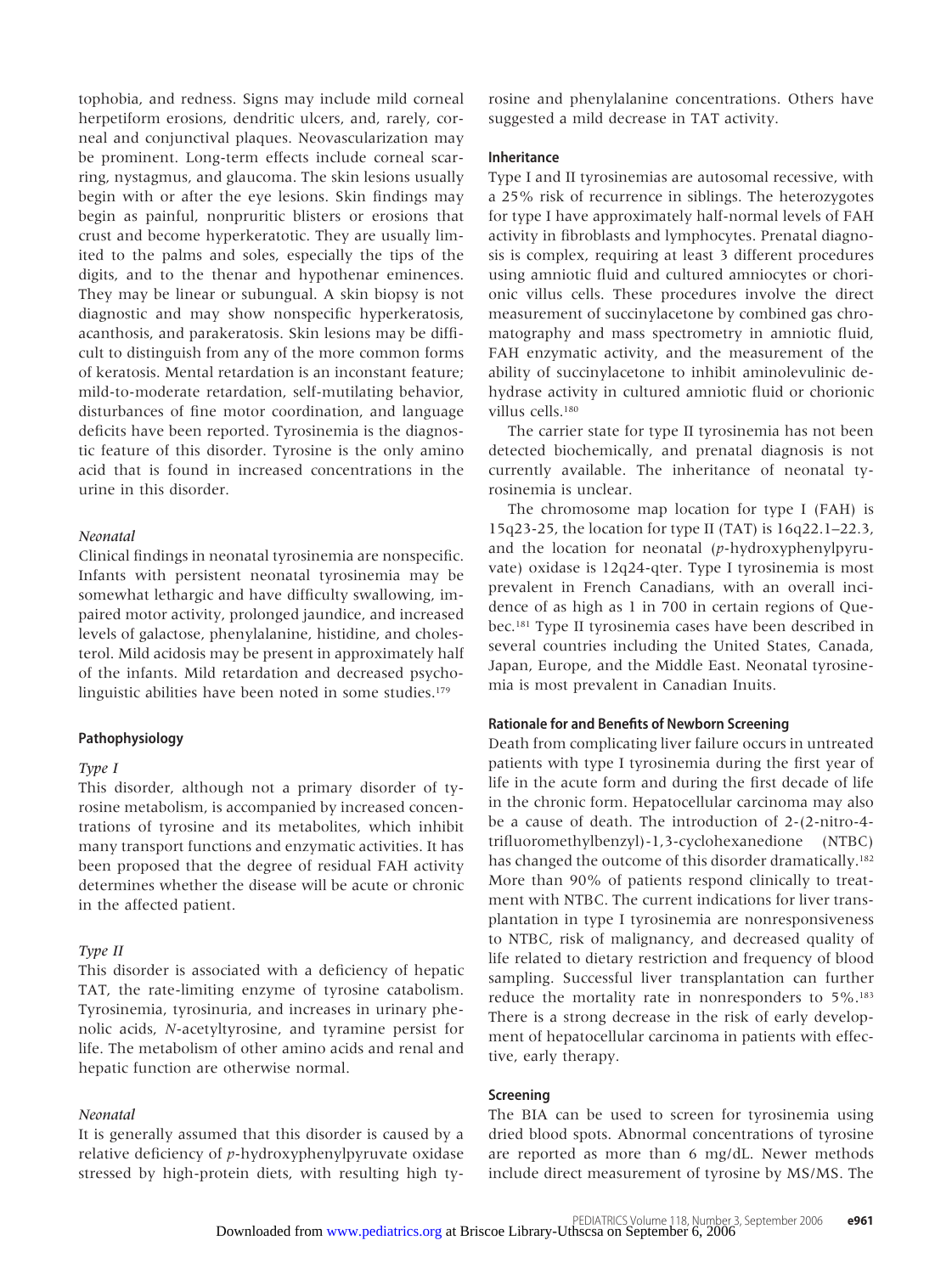tophobia, and redness. Signs may include mild corneal herpetiform erosions, dendritic ulcers, and, rarely, corneal and conjunctival plaques. Neovascularization may be prominent. Long-term effects include corneal scarring, nystagmus, and glaucoma. The skin lesions usually begin with or after the eye lesions. Skin findings may begin as painful, nonpruritic blisters or erosions that crust and become hyperkeratotic. They are usually limited to the palms and soles, especially the tips of the digits, and to the thenar and hypothenar eminences. They may be linear or subungual. A skin biopsy is not diagnostic and may show nonspecific hyperkeratosis, acanthosis, and parakeratosis. Skin lesions may be difficult to distinguish from any of the more common forms of keratosis. Mental retardation is an inconstant feature; mild-to-moderate retardation, self-mutilating behavior, disturbances of fine motor coordination, and language deficits have been reported. Tyrosinemia is the diagnostic feature of this disorder. Tyrosine is the only amino acid that is found in increased concentrations in the urine in this disorder.

#### *Neonatal*

Clinical findings in neonatal tyrosinemia are nonspecific. Infants with persistent neonatal tyrosinemia may be somewhat lethargic and have difficulty swallowing, impaired motor activity, prolonged jaundice, and increased levels of galactose, phenylalanine, histidine, and cholesterol. Mild acidosis may be present in approximately half of the infants. Mild retardation and decreased psycholinguistic abilities have been noted in some studies.179

#### **Pathophysiology**

#### *Type I*

This disorder, although not a primary disorder of tyrosine metabolism, is accompanied by increased concentrations of tyrosine and its metabolites, which inhibit many transport functions and enzymatic activities. It has been proposed that the degree of residual FAH activity determines whether the disease will be acute or chronic in the affected patient.

#### *Type II*

This disorder is associated with a deficiency of hepatic TAT, the rate-limiting enzyme of tyrosine catabolism. Tyrosinemia, tyrosinuria, and increases in urinary phenolic acids, *N*-acetyltyrosine, and tyramine persist for life. The metabolism of other amino acids and renal and hepatic function are otherwise normal.

#### *Neonatal*

It is generally assumed that this disorder is caused by a relative deficiency of *p*-hydroxyphenylpyruvate oxidase stressed by high-protein diets, with resulting high tyrosine and phenylalanine concentrations. Others have suggested a mild decrease in TAT activity.

#### **Inheritance**

Type I and II tyrosinemias are autosomal recessive, with a 25% risk of recurrence in siblings. The heterozygotes for type I have approximately half-normal levels of FAH activity in fibroblasts and lymphocytes. Prenatal diagnosis is complex, requiring at least 3 different procedures using amniotic fluid and cultured amniocytes or chorionic villus cells. These procedures involve the direct measurement of succinylacetone by combined gas chromatography and mass spectrometry in amniotic fluid, FAH enzymatic activity, and the measurement of the ability of succinylacetone to inhibit aminolevulinic dehydrase activity in cultured amniotic fluid or chorionic villus cells.180

The carrier state for type II tyrosinemia has not been detected biochemically, and prenatal diagnosis is not currently available. The inheritance of neonatal tyrosinemia is unclear.

The chromosome map location for type I (FAH) is 15q23-25, the location for type II (TAT) is 16q22.1–22.3, and the location for neonatal (*p*-hydroxyphenylpyruvate) oxidase is 12q24-qter. Type I tyrosinemia is most prevalent in French Canadians, with an overall incidence of as high as 1 in 700 in certain regions of Quebec.181 Type II tyrosinemia cases have been described in several countries including the United States, Canada, Japan, Europe, and the Middle East. Neonatal tyrosinemia is most prevalent in Canadian Inuits.

#### **Rationale for and Benefits of Newborn Screening**

Death from complicating liver failure occurs in untreated patients with type I tyrosinemia during the first year of life in the acute form and during the first decade of life in the chronic form. Hepatocellular carcinoma may also be a cause of death. The introduction of 2-(2-nitro-4 trifluoromethylbenzyl)-1,3-cyclohexanedione (NTBC) has changed the outcome of this disorder dramatically.<sup>182</sup> More than 90% of patients respond clinically to treatment with NTBC. The current indications for liver transplantation in type I tyrosinemia are nonresponsiveness to NTBC, risk of malignancy, and decreased quality of life related to dietary restriction and frequency of blood sampling. Successful liver transplantation can further reduce the mortality rate in nonresponders to 5%.183 There is a strong decrease in the risk of early development of hepatocellular carcinoma in patients with effective, early therapy.

#### **Screening**

The BIA can be used to screen for tyrosinemia using dried blood spots. Abnormal concentrations of tyrosine are reported as more than 6 mg/dL. Newer methods include direct measurement of tyrosine by MS/MS. The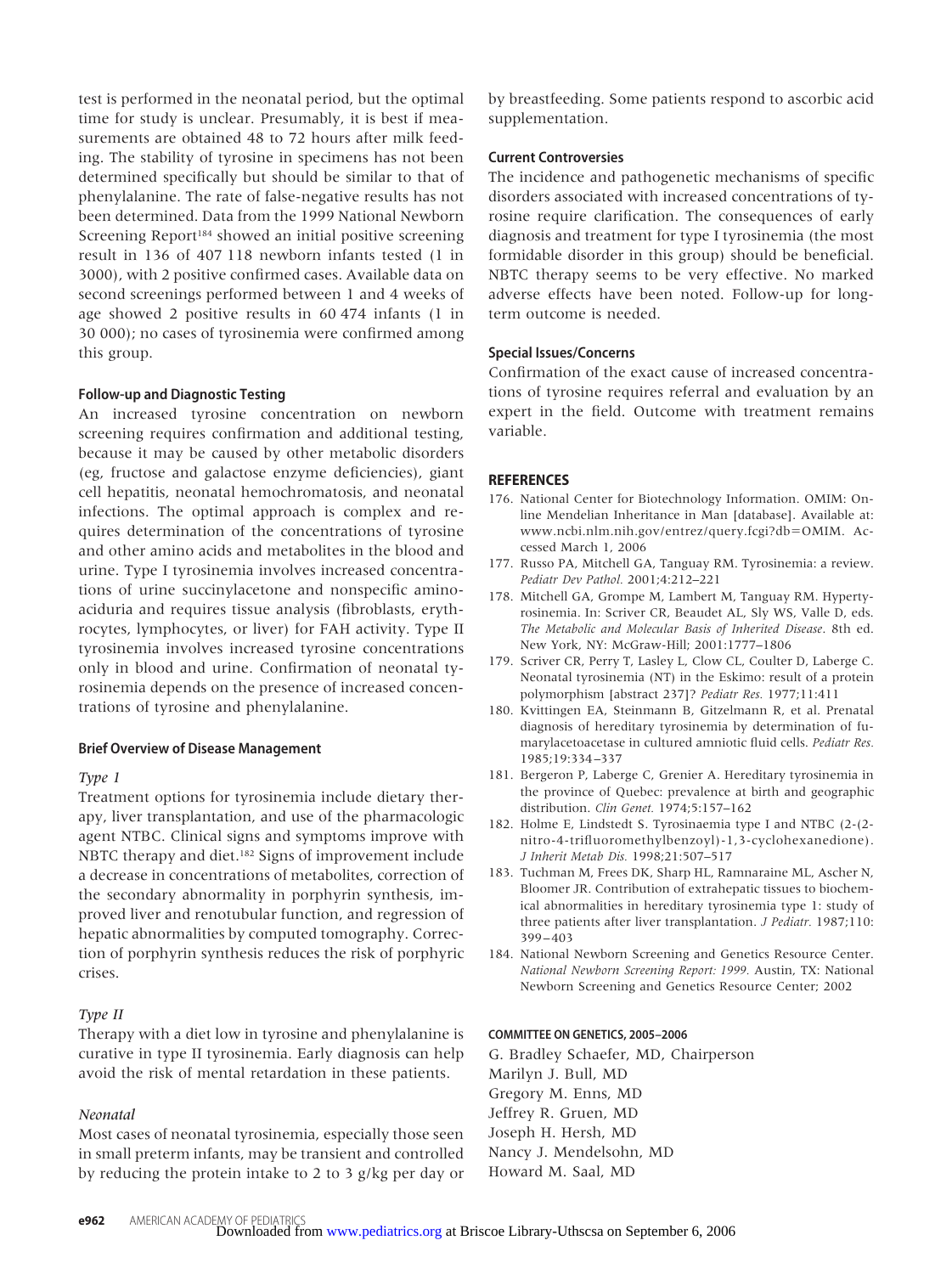test is performed in the neonatal period, but the optimal time for study is unclear. Presumably, it is best if measurements are obtained 48 to 72 hours after milk feeding. The stability of tyrosine in specimens has not been determined specifically but should be similar to that of phenylalanine. The rate of false-negative results has not been determined. Data from the 1999 National Newborn Screening Report<sup>184</sup> showed an initial positive screening result in 136 of 407 118 newborn infants tested (1 in 3000), with 2 positive confirmed cases. Available data on second screenings performed between 1 and 4 weeks of age showed 2 positive results in 60 474 infants (1 in 30 000); no cases of tyrosinemia were confirmed among this group.

#### **Follow-up and Diagnostic Testing**

An increased tyrosine concentration on newborn screening requires confirmation and additional testing, because it may be caused by other metabolic disorders (eg, fructose and galactose enzyme deficiencies), giant cell hepatitis, neonatal hemochromatosis, and neonatal infections. The optimal approach is complex and requires determination of the concentrations of tyrosine and other amino acids and metabolites in the blood and urine. Type I tyrosinemia involves increased concentrations of urine succinylacetone and nonspecific aminoaciduria and requires tissue analysis (fibroblasts, erythrocytes, lymphocytes, or liver) for FAH activity. Type II tyrosinemia involves increased tyrosine concentrations only in blood and urine. Confirmation of neonatal tyrosinemia depends on the presence of increased concentrations of tyrosine and phenylalanine.

#### **Brief Overview of Disease Management**

#### *Type 1*

Treatment options for tyrosinemia include dietary therapy, liver transplantation, and use of the pharmacologic agent NTBC. Clinical signs and symptoms improve with NBTC therapy and diet.182 Signs of improvement include a decrease in concentrations of metabolites, correction of the secondary abnormality in porphyrin synthesis, improved liver and renotubular function, and regression of hepatic abnormalities by computed tomography. Correction of porphyrin synthesis reduces the risk of porphyric crises.

#### *Type II*

Therapy with a diet low in tyrosine and phenylalanine is curative in type II tyrosinemia. Early diagnosis can help avoid the risk of mental retardation in these patients.

#### *Neonatal*

Most cases of neonatal tyrosinemia, especially those seen in small preterm infants, may be transient and controlled by reducing the protein intake to 2 to 3 g/kg per day or by breastfeeding. Some patients respond to ascorbic acid supplementation.

#### **Current Controversies**

The incidence and pathogenetic mechanisms of specific disorders associated with increased concentrations of tyrosine require clarification. The consequences of early diagnosis and treatment for type I tyrosinemia (the most formidable disorder in this group) should be beneficial. NBTC therapy seems to be very effective. No marked adverse effects have been noted. Follow-up for longterm outcome is needed.

#### **Special Issues/Concerns**

Confirmation of the exact cause of increased concentrations of tyrosine requires referral and evaluation by an expert in the field. Outcome with treatment remains variable.

#### **REFERENCES**

- 176. National Center for Biotechnology Information. OMIM: Online Mendelian Inheritance in Man [database]. Available at: www.ncbi.nlm.nih.gov/entrez/query.fcgi?db=OMIM. Accessed March 1, 2006
- 177. Russo PA, Mitchell GA, Tanguay RM. Tyrosinemia: a review. *Pediatr Dev Pathol.* 2001;4:212–221
- 178. Mitchell GA, Grompe M, Lambert M, Tanguay RM. Hypertyrosinemia. In: Scriver CR, Beaudet AL, Sly WS, Valle D, eds. *The Metabolic and Molecular Basis of Inherited Disease*. 8th ed. New York, NY: McGraw-Hill; 2001:1777–1806
- 179. Scriver CR, Perry T, Lasley L, Clow CL, Coulter D, Laberge C. Neonatal tyrosinemia (NT) in the Eskimo: result of a protein polymorphism [abstract 237]? *Pediatr Res.* 1977;11:411
- 180. Kvittingen EA, Steinmann B, Gitzelmann R, et al. Prenatal diagnosis of hereditary tyrosinemia by determination of fumarylacetoacetase in cultured amniotic fluid cells. *Pediatr Res.* 1985;19:334 –337
- 181. Bergeron P, Laberge C, Grenier A. Hereditary tyrosinemia in the province of Quebec: prevalence at birth and geographic distribution. *Clin Genet.* 1974;5:157–162
- 182. Holme E, Lindstedt S. Tyrosinaemia type I and NTBC (2-(2 nitro-4-trifluoromethylbenzoyl)-1,3-cyclohexanedione). *J Inherit Metab Dis.* 1998;21:507–517
- 183. Tuchman M, Frees DK, Sharp HL, Ramnaraine ML, Ascher N, Bloomer JR. Contribution of extrahepatic tissues to biochemical abnormalities in hereditary tyrosinemia type 1: study of three patients after liver transplantation. *J Pediatr.* 1987;110: 399 – 403
- 184. National Newborn Screening and Genetics Resource Center. *National Newborn Screening Report: 1999.* Austin, TX: National Newborn Screening and Genetics Resource Center; 2002

#### **COMMITTEE ON GENETICS, 2005–2006**

G. Bradley Schaefer, MD, Chairperson Marilyn J. Bull, MD Gregory M. Enns, MD Jeffrey R. Gruen, MD Joseph H. Hersh, MD Nancy J. Mendelsohn, MD Howard M. Saal, MD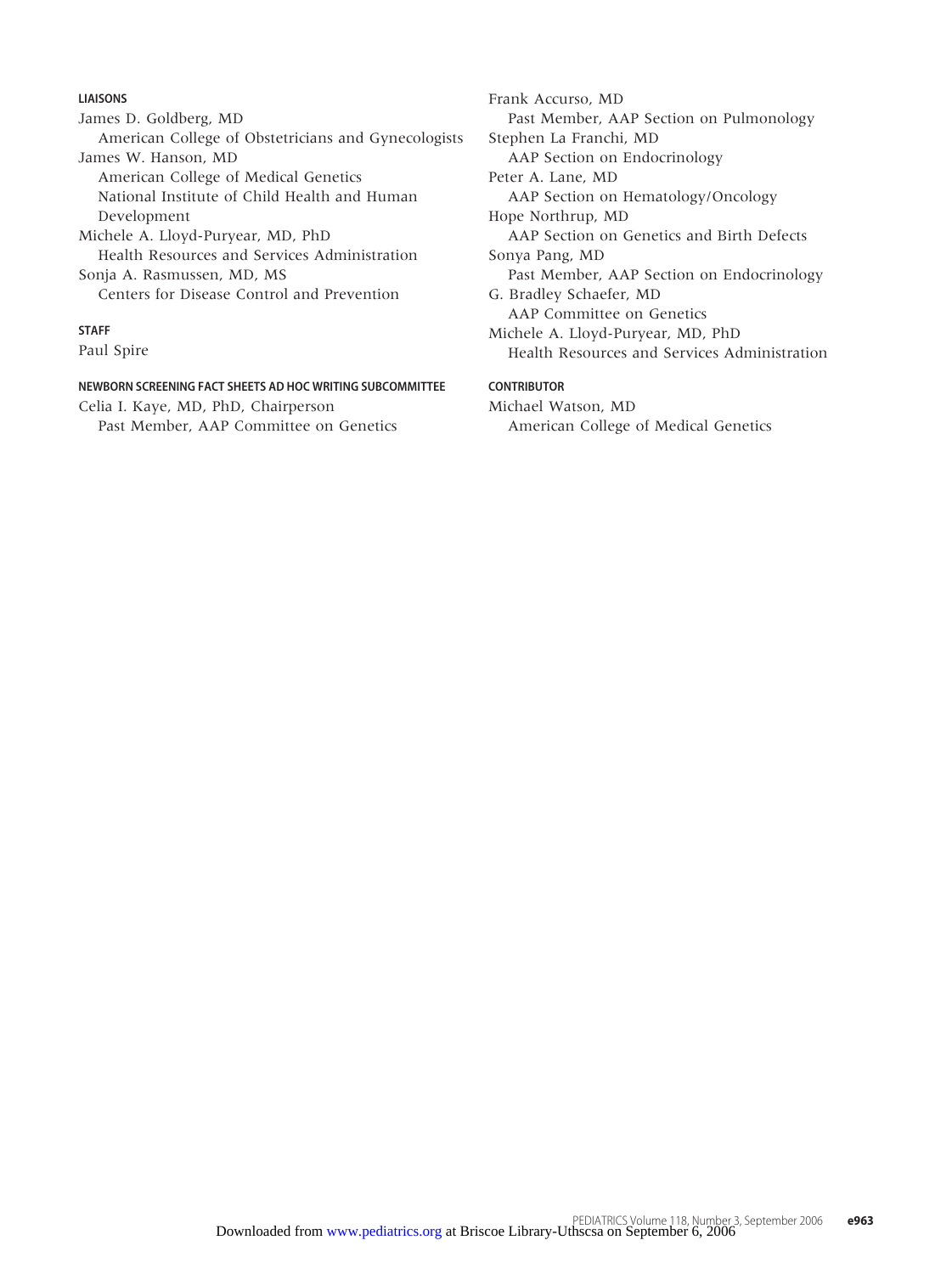#### **LIAISONS**

James D. Goldberg, MD American College of Obstetricians and Gynecologists James W. Hanson, MD American College of Medical Genetics National Institute of Child Health and Human Development Michele A. Lloyd-Puryear, MD, PhD Health Resources and Services Administration Sonja A. Rasmussen, MD, MS Centers for Disease Control and Prevention

#### **STAFF**

Paul Spire

#### **NEWBORN SCREENING FACT SHEETS AD HOC WRITING SUBCOMMITTEE**

Celia I. Kaye, MD, PhD, Chairperson Past Member, AAP Committee on Genetics Frank Accurso, MD Past Member, AAP Section on Pulmonology Stephen La Franchi, MD AAP Section on Endocrinology Peter A. Lane, MD AAP Section on Hematology/Oncology Hope Northrup, MD AAP Section on Genetics and Birth Defects Sonya Pang, MD Past Member, AAP Section on Endocrinology G. Bradley Schaefer, MD AAP Committee on Genetics Michele A. Lloyd-Puryear, MD, PhD Health Resources and Services Administration

#### **CONTRIBUTOR**

Michael Watson, MD American College of Medical Genetics